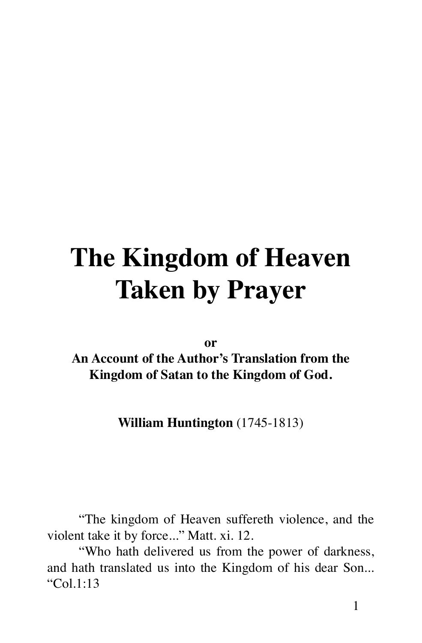# **The Kingdom of Heaven Taken by Prayer**

**or**

**An Account of the Author's Translation from the Kingdom of Satan to the Kingdom of God.**

**William Huntington** (1745-1813)

"The kingdom of Heaven suffereth violence, and the violent take it by force..." Matt. xi. 12.

"Who hath delivered us from the power of darkness, and hath translated us into the Kingdom of his dear Son... "Col.1:13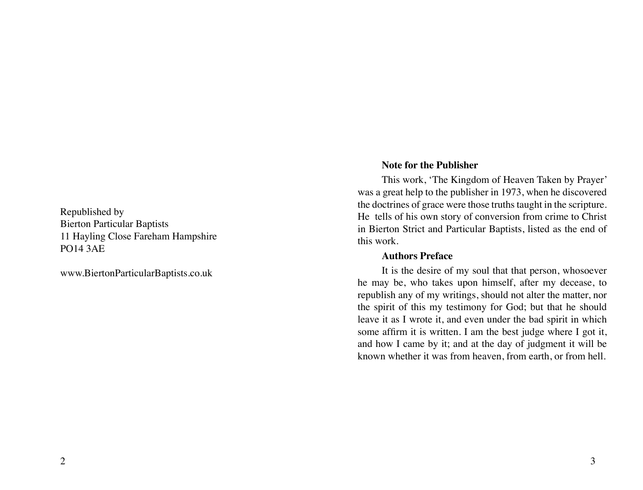<span id="page-1-0"></span>Republished by Bierton Particular Baptists 11 Hayling Close Fareham Hampshire PO14 3AE

www.BiertonParticularBaptists.co.uk

#### **Note for the Publisher**

This work, 'The Kingdom of Heaven Taken by Prayer' was a great help to the publisher in 1973, when he discovered the doctrines of grace were those truths taught in the scripture. He tells of his own story of conversion from crime to Christ in Bierton Strict and Particular Baptists, listed as the end of this work.

#### **Authors Preface**

It is the desire of my soul that that person, whosoever he may be, who takes upon himself, after my decease, to republish any of my writings, should not alter the matter, nor the spirit of this my testimony for God; but that he should leave it as I wrote it, and even under the bad spirit in which some affirm it is written. I am the best judge where I got it, and how I came by it; and at the day of judgment it will be known whether it was from heaven, from earth, or from hell.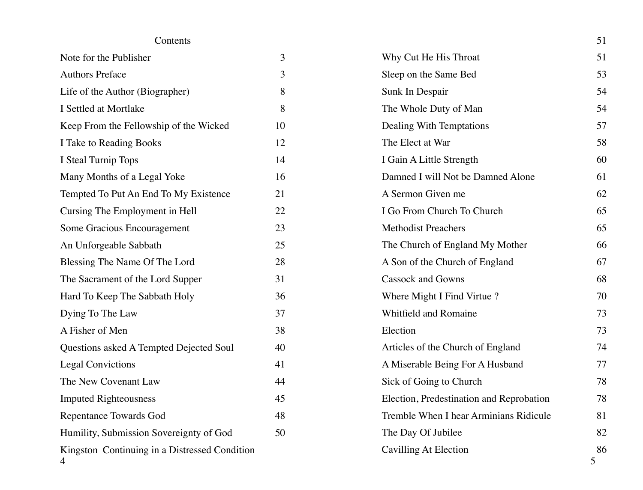# Contents

| Note for the Publisher                             | 3  |
|----------------------------------------------------|----|
| <b>Authors Preface</b>                             | 3  |
| Life of the Author (Biographer)                    | 8  |
| I Settled at Mortlake                              | 8  |
| Keep From the Fellowship of the Wicked             | 10 |
| I Take to Reading Books                            | 12 |
| I Steal Turnip Tops                                | 14 |
| Many Months of a Legal Yoke                        | 16 |
| Tempted To Put An End To My Existence              | 21 |
| Cursing The Employment in Hell                     | 22 |
| Some Gracious Encouragement                        | 23 |
| An Unforgeable Sabbath                             | 25 |
| Blessing The Name Of The Lord                      | 28 |
| The Sacrament of the Lord Supper                   | 31 |
| Hard To Keep The Sabbath Holy                      | 36 |
| Dying To The Law                                   | 37 |
| A Fisher of Men                                    | 38 |
| Questions asked A Tempted Dejected Soul            | 40 |
| <b>Legal Convictions</b>                           | 41 |
| The New Covenant Law                               | 44 |
| <b>Imputed Righteousness</b>                       | 45 |
| <b>Repentance Towards God</b>                      | 48 |
| Humility, Submission Sovereignty of God            | 50 |
| Kingston Continuing in a Distressed Condition<br>4 |    |

| Contents                                           |    |                                          | 51      |
|----------------------------------------------------|----|------------------------------------------|---------|
| Note for the Publisher                             | 3  | Why Cut He His Throat                    | 51      |
| <b>Authors Preface</b>                             | 3  | Sleep on the Same Bed                    | 53      |
| Life of the Author (Biographer)                    | 8  | Sunk In Despair                          | 54      |
| I Settled at Mortlake                              | 8  | The Whole Duty of Man                    | 54      |
| Keep From the Fellowship of the Wicked             | 10 | Dealing With Temptations                 | 57      |
| I Take to Reading Books                            | 12 | The Elect at War                         | 58      |
| I Steal Turnip Tops                                | 14 | I Gain A Little Strength                 | 60      |
| Many Months of a Legal Yoke                        | 16 | Damned I will Not be Damned Alone        | 61      |
| Tempted To Put An End To My Existence              | 21 | A Sermon Given me                        | 62      |
| Cursing The Employment in Hell                     | 22 | I Go From Church To Church               | 65      |
| Some Gracious Encouragement                        | 23 | <b>Methodist Preachers</b>               | 65      |
| An Unforgeable Sabbath                             | 25 | The Church of England My Mother          | 66      |
| Blessing The Name Of The Lord                      | 28 | A Son of the Church of England           | 67      |
| The Sacrament of the Lord Supper                   | 31 | <b>Cassock and Gowns</b>                 | 68      |
| Hard To Keep The Sabbath Holy                      | 36 | Where Might I Find Virtue?               | 70      |
| Dying To The Law                                   | 37 | Whitfield and Romaine                    | 73      |
| A Fisher of Men                                    | 38 | Election                                 | 73      |
| Questions asked A Tempted Dejected Soul            | 40 | Articles of the Church of England        | 74      |
| <b>Legal Convictions</b>                           | 41 | A Miserable Being For A Husband          | 77      |
| The New Covenant Law                               | 44 | Sick of Going to Church                  | 78      |
| <b>Imputed Righteousness</b>                       | 45 | Election, Predestination and Reprobation | 78      |
| Repentance Towards God                             | 48 | Tremble When I hear Arminians Ridicule   | 81      |
| Humility, Submission Sovereignty of God            | 50 | The Day Of Jubilee                       | 82      |
| Kingston Continuing in a Distressed Condition<br>4 |    | Cavilling At Election                    | 86<br>5 |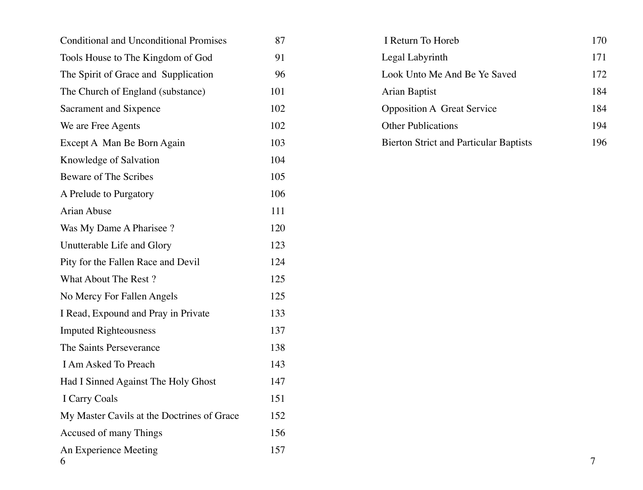| <b>Conditional and Unconditional Promises</b> | 87  | I Return To Horeb                             |   |
|-----------------------------------------------|-----|-----------------------------------------------|---|
| Tools House to The Kingdom of God             | 91  | Legal Labyrinth                               |   |
| The Spirit of Grace and Supplication          | 96  | Look Unto Me And Be Ye Saved                  |   |
| The Church of England (substance)             | 101 | Arian Baptist                                 |   |
| Sacrament and Sixpence                        | 102 | <b>Opposition A Great Service</b>             |   |
| We are Free Agents                            | 102 | <b>Other Publications</b>                     |   |
| Except A Man Be Born Again                    | 103 | <b>Bierton Strict and Particular Baptists</b> |   |
| Knowledge of Salvation                        | 104 |                                               |   |
| Beware of The Scribes                         | 105 |                                               |   |
| A Prelude to Purgatory                        | 106 |                                               |   |
| Arian Abuse                                   | 111 |                                               |   |
| Was My Dame A Pharisee?                       | 120 |                                               |   |
| Unutterable Life and Glory                    | 123 |                                               |   |
| Pity for the Fallen Race and Devil            | 124 |                                               |   |
| What About The Rest?                          | 125 |                                               |   |
| No Mercy For Fallen Angels                    | 125 |                                               |   |
| I Read, Expound and Pray in Private           | 133 |                                               |   |
| <b>Imputed Righteousness</b>                  | 137 |                                               |   |
| The Saints Perseverance                       | 138 |                                               |   |
| I Am Asked To Preach                          | 143 |                                               |   |
| Had I Sinned Against The Holy Ghost           | 147 |                                               |   |
| I Carry Coals                                 | 151 |                                               |   |
| My Master Cavils at the Doctrines of Grace    | 152 |                                               |   |
| Accused of many Things                        | 156 |                                               |   |
| An Experience Meeting<br>6                    | 157 |                                               | 7 |

| I Return To Horeb                             | 170 |
|-----------------------------------------------|-----|
| Legal Labyrinth                               | 171 |
| Look Unto Me And Be Ye Saved                  | 172 |
| Arian Baptist                                 | 184 |
| <b>Opposition A Great Service</b>             | 184 |
| <b>Other Publications</b>                     | 194 |
| <b>Bierton Strict and Particular Baptists</b> |     |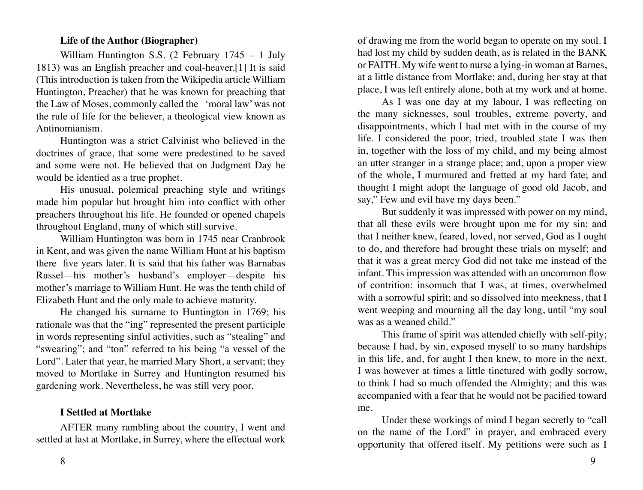#### **Life of the Author (Biographer)**

<span id="page-4-0"></span>William Huntington S.S. (2 February 1745 – 1 July 1813) was an English preacher and coal-heaver.[1] It is said (This introduction is taken from the Wikipedia article William Huntington, Preacher) that he was known for preaching that the Law of Moses, commonly called the 'moral law' was not the rule of life for the believer, a theological view known as Antinomianism.

Huntington was a strict Calvinist who believed in the doctrines of grace, that some were predestined to be saved and some were not. He believed that on Judgment Day he would be identied as a true prophet.

His unusual, polemical preaching style and writings made him popular but brought him into conflict with other preachers throughout his life. He founded or opened chapels throughout England, many of which still survive.

William Huntington was born in 1745 near Cranbrook in Kent, and was given the name William Hunt at his baptism there five years later. It is said that his father was Barnabas Russel—his mother's husband's employer—despite his mother's marriage to William Hunt. He was the tenth child of Elizabeth Hunt and the only male to achieve maturity.

He changed his surname to Huntington in 1769; his rationale was that the "ing" represented the present participle in words representing sinful activities, such as "stealing" and "swearing"; and "ton" referred to his being "a vessel of the Lord". Later that year, he married Mary Short, a servant; they moved to Mortlake in Surrey and Huntington resumed his gardening work. Nevertheless, he was still very poor.

# **I Settled at Mortlake**

AFTER many rambling about the country, I went and settled at last at Mortlake, in Surrey, where the effectual work of drawing me from the world began to operate on my soul. I had lost my child by sudden death, as is related in the BANK or FAITH. My wife went to nurse a lying-in woman at Barnes, at a little distance from Mortlake; and, during her stay at that place, I was left entirely alone, both at my work and at home.

As I was one day at my labour, I was reflecting on the many sicknesses, soul troubles, extreme poverty, and disappointments, which I had met with in the course of my life. I considered the poor, tried, troubled state I was then in, together with the loss of my child, and my being almost an utter stranger in a strange place; and, upon a proper view of the whole, I murmured and fretted at my hard fate; and thought I might adopt the language of good old Jacob, and say," Few and evil have my days been."

But suddenly it was impressed with power on my mind, that all these evils were brought upon me for my sin: and that I neither knew, feared, loved, nor served, God as I ought to do, and therefore had brought these trials on myself; and that it was a great mercy God did not take me instead of the infant. This impression was attended with an uncommon flow of contrition: insomuch that I was, at times, overwhelmed with a sorrowful spirit; and so dissolved into meekness, that I went weeping and mourning all the day long, until "my soul was as a weaned child."

This frame of spirit was attended chiefly with self-pity; because I had, by sin, exposed myself to so many hardships in this life, and, for aught I then knew, to more in the next. I was however at times a little tinctured with godly sorrow, to think I had so much offended the Almighty; and this was accompanied with a fear that he would not be pacified toward me.

Under these workings of mind I began secretly to "call on the name of the Lord" in prayer, and embraced every opportunity that offered itself. My petitions were such as I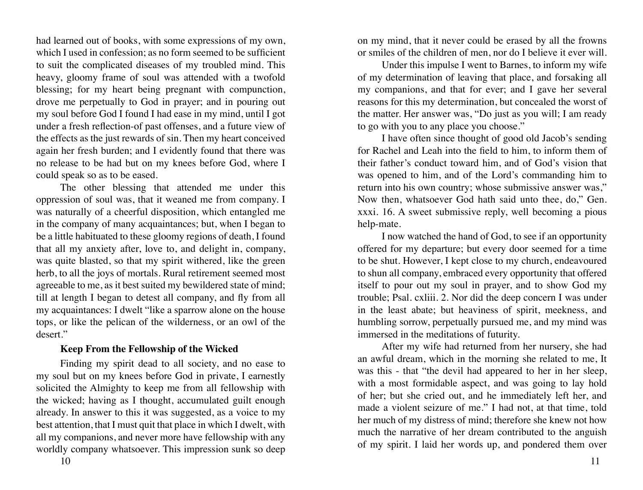<span id="page-5-0"></span>had learned out of books, with some expressions of my own, which I used in confession; as no form seemed to be sufficient to suit the complicated diseases of my troubled mind. This heavy, gloomy frame of soul was attended with a twofold blessing; for my heart being pregnant with compunction, drove me perpetually to God in prayer; and in pouring out my soul before God I found I had ease in my mind, until I got under a fresh reflection-of past offenses, and a future view of the effects as the just rewards of sin. Then my heart conceived again her fresh burden; and I evidently found that there was no release to be had but on my knees before God, where I could speak so as to be eased.

The other blessing that attended me under this oppression of soul was, that it weaned me from company. I was naturally of a cheerful disposition, which entangled me in the company of many acquaintances; but, when I began to be a little habituated to these gloomy regions of death, I found that all my anxiety after, love to, and delight in, company, was quite blasted, so that my spirit withered, like the green herb, to all the joys of mortals. Rural retirement seemed most agreeable to me, as it best suited my bewildered state of mind; till at length I began to detest all company, and fly from all my acquaintances: I dwelt "like a sparrow alone on the house tops, or like the pelican of the wilderness, or an owl of the desert."

#### **Keep From the Fellowship of the Wicked**

Finding my spirit dead to all society, and no ease to my soul but on my knees before God in private, I earnestly solicited the Almighty to keep me from all fellowship with the wicked; having as I thought, accumulated guilt enough already. In answer to this it was suggested, as a voice to my best attention, that I must quit that place in which I dwelt, with all my companions, and never more have fellowship with any worldly company whatsoever. This impression sunk so deep

on my mind, that it never could be erased by all the frowns or smiles of the children of men, nor do I believe it ever will.

Under this impulse I went to Barnes, to inform my wife of my determination of leaving that place, and forsaking all my companions, and that for ever; and I gave her several reasons for this my determination, but concealed the worst of the matter. Her answer was, "Do just as you will; I am ready to go with you to any place you choose."

I have often since thought of good old Jacob's sending for Rachel and Leah into the field to him, to inform them of their father's conduct toward him, and of God's vision that was opened to him, and of the Lord's commanding him to return into his own country; whose submissive answer was," Now then, whatsoever God hath said unto thee, do," Gen. xxxi. 16. A sweet submissive reply, well becoming a pious help-mate.

I now watched the hand of God, to see if an opportunity offered for my departure; but every door seemed for a time to be shut. However, I kept close to my church, endeavoured to shun all company, embraced every opportunity that offered itself to pour out my soul in prayer, and to show God my trouble; Psal. cxliii. 2. Nor did the deep concern I was under in the least abate; but heaviness of spirit, meekness, and humbling sorrow, perpetually pursued me, and my mind was immersed in the meditations of futurity.

After my wife had returned from her nursery, she had an awful dream, which in the morning she related to me, It was this - that "the devil had appeared to her in her sleep, with a most formidable aspect, and was going to lay hold of her; but she cried out, and he immediately left her, and made a violent seizure of me." I had not, at that time, told her much of my distress of mind; therefore she knew not how much the narrative of her dream contributed to the anguish of my spirit. I laid her words up, and pondered them over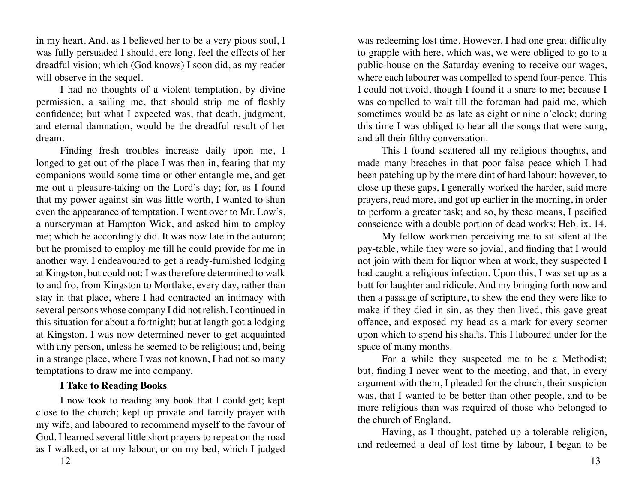<span id="page-6-0"></span>in my heart. And, as I believed her to be a very pious soul, I was fully persuaded I should, ere long, feel the effects of her dreadful vision; which (God knows) I soon did, as my reader will observe in the sequel.

I had no thoughts of a violent temptation, by divine permission, a sailing me, that should strip me of fleshly confidence; but what I expected was, that death, judgment, and eternal damnation, would be the dreadful result of her dream.

Finding fresh troubles increase daily upon me, I longed to get out of the place I was then in, fearing that my companions would some time or other entangle me, and get me out a pleasure-taking on the Lord's day; for, as I found that my power against sin was little worth, I wanted to shun even the appearance of temptation. I went over to Mr. Low's, a nurseryman at Hampton Wick, and asked him to employ me; which he accordingly did. It was now late in the autumn; but he promised to employ me till he could provide for me in another way. I endeavoured to get a ready-furnished lodging at Kingston, but could not: I was therefore determined to walk to and fro, from Kingston to Mortlake, every day, rather than stay in that place, where I had contracted an intimacy with several persons whose company I did not relish. I continued in this situation for about a fortnight; but at length got a lodging at Kingston. I was now determined never to get acquainted with any person, unless he seemed to be religious; and, being in a strange place, where I was not known, I had not so many temptations to draw me into company.

#### **I Take to Reading Books**

I now took to reading any book that I could get; kept close to the church; kept up private and family prayer with my wife, and laboured to recommend myself to the favour of God. I learned several little short prayers to repeat on the road as I walked, or at my labour, or on my bed, which I judged

was redeeming lost time. However, I had one great difficulty to grapple with here, which was, we were obliged to go to a public-house on the Saturday evening to receive our wages, where each labourer was compelled to spend four-pence. This I could not avoid, though I found it a snare to me; because I was compelled to wait till the foreman had paid me, which sometimes would be as late as eight or nine o'clock; during this time I was obliged to hear all the songs that were sung, and all their filthy conversation.

This I found scattered all my religious thoughts, and made many breaches in that poor false peace which I had been patching up by the mere dint of hard labour: however, to close up these gaps, I generally worked the harder, said more prayers, read more, and got up earlier in the morning, in order to perform a greater task; and so, by these means, I pacified conscience with a double portion of dead works; Heb. ix. 14.

My fellow workmen perceiving me to sit silent at the pay-table, while they were so jovial, and finding that I would not join with them for liquor when at work, they suspected I had caught a religious infection. Upon this, I was set up as a butt for laughter and ridicule. And my bringing forth now and then a passage of scripture, to shew the end they were like to make if they died in sin, as they then lived, this gave great offence, and exposed my head as a mark for every scorner upon which to spend his shafts. This I laboured under for the space of many months.

For a while they suspected me to be a Methodist; but, finding I never went to the meeting, and that, in every argument with them, I pleaded for the church, their suspicion was, that I wanted to be better than other people, and to be more religious than was required of those who belonged to the church of England.

Having, as I thought, patched up a tolerable religion, and redeemed a deal of lost time by labour, I began to be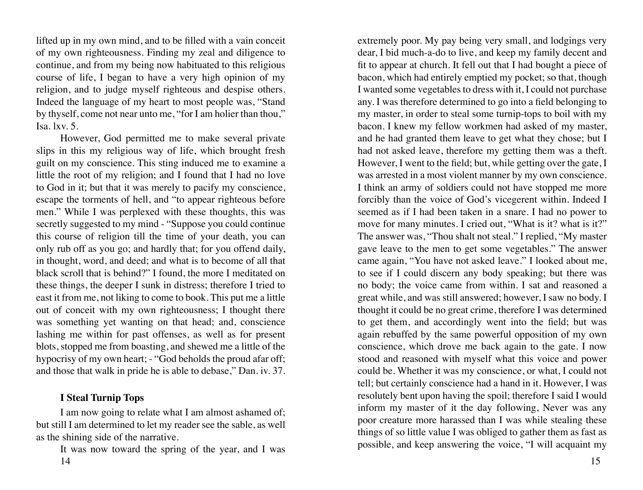<span id="page-7-0"></span>lifted up in my own mind, and to be filled with a vain conceit of my own righteousness. Finding my zeal and diligence to continue, and from my being now habituated to this religious course of life, I began to have a very high opinion of my religion, and to judge myself righteous and despise others. Indeed the language of my heart to most people was, "Stand by thyself, come not near unto me, "for I am holier than thou," Isa. lxv. 5.

However, God permitted me to make several private slips in this my religious way of life, which brought fresh guilt on my conscience. This sting induced me to examine a little the root of my religion; and I found that I had no love to God in it; but that it was merely to pacify my conscience, escape the torments of hell, and "to appear righteous before men." While I was perplexed with these thoughts, this was secretly suggested to my mind - "Suppose you could continue this course of religion till the time of your death, you can only rub off as you go; and hardly that; for you offend daily, in thought, word, and deed; and what is to become of all that black scroll that is behind?" I found, the more I meditated on these things, the deeper I sunk in distress; therefore I tried to east it from me, not liking to come to book. This put me a little out of conceit with my own righteousness; I thought there was something yet wanting on that head; and, conscience lashing me within for past offenses, as well as for present blots, stopped me from boasting, and shewed me a little of the hypocrisy of my own heart; - "God beholds the proud afar off; and those that walk in pride he is able to debase," Dan. iv. 37.

# **I Steal Turnip Tops**

I am now going to relate what I am almost ashamed of; but still I am determined to let my reader see the sable, as well as the shining side of the narrative.

14 15 It was now toward the spring of the year, and I was

extremely poor. My pay being very small, and lodgings very dear, I bid much-a-do to live, and keep my family decent and fit to appear at church. It fell out that I had bought a piece of bacon, which had entirely emptied my pocket; so that, though I wanted some vegetables to dress with it, I could not purchase any. I was therefore determined to go into a field belonging to my master, in order to steal some turnip-tops to boil with my bacon. I knew my fellow workmen had asked of my master, and he had granted them leave to get what they chose; but I had not asked leave, therefore my getting them was a theft. However, I went to the field; but, while getting over the gate, I was arrested in a most violent manner by my own conscience. I think an army of soldiers could not have stopped me more forcibly than the voice of God's vicegerent within. Indeed I seemed as if I had been taken in a snare. I had no power to move for many minutes. I cried out, "What is it? what is it?" The answer was, "Thou shalt not steal." I replied, "My master gave leave to the men to get some vegetables." The answer came again, "You have not asked leave." I looked about me, to see if I could discern any body speaking; but there was no body; the voice came from within. I sat and reasoned a great while, and was still answered; however, I saw no body. I thought it could be no great crime, therefore I was determined to get them, and accordingly went into the field; but was again rebuffed by the same powerful opposition of my own conscience, which drove me back again to the gate. I now stood and reasoned with myself what this voice and power could be. Whether it was my conscience, or what, I could not tell; but certainly conscience had a hand in it. However, I was resolutely bent upon having the spoil; therefore I said I would inform my master of it the day following, Never was any poor creature more harassed than I was while stealing these things of so little value I was obliged to gather them as fast as possible, and keep answering the voice, "I will acquaint my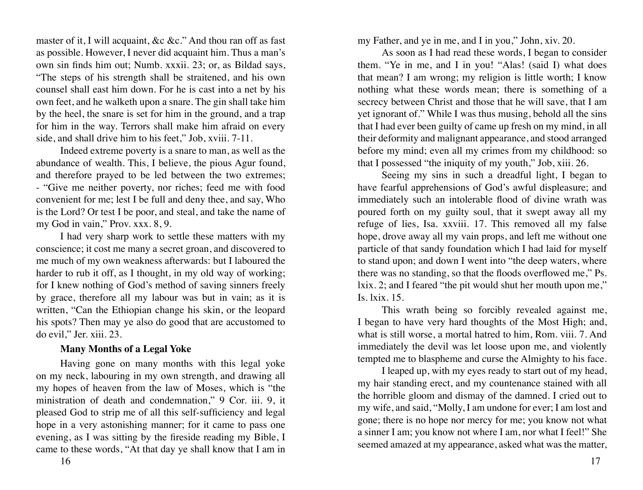<span id="page-8-0"></span>master of it, I will acquaint, &c &c." And thou ran off as fast as possible. However, I never did acquaint him. Thus a man's own sin finds him out; Numb. xxxii. 23; or, as Bildad says, "The steps of his strength shall be straitened, and his own counsel shall east him down. For he is cast into a net by his own feet, and he walketh upon a snare. The gin shall take him by the heel, the snare is set for him in the ground, and a trap for him in the way. Terrors shall make him afraid on every side, and shall drive him to his feet," Job, xviii. 7-11.

Indeed extreme poverty is a snare to man, as well as the abundance of wealth. This, I believe, the pious Agur found, and therefore prayed to be led between the two extremes; - "Give me neither poverty, nor riches; feed me with food convenient for me; lest I be full and deny thee, and say, Who is the Lord? Or test I be poor, and steal, and take the name of my God in vain," Prov. xxx. 8, 9.

I had very sharp work to settle these matters with my conscience; it cost me many a secret groan, and discovered to me much of my own weakness afterwards: but I laboured the harder to rub it off, as I thought, in my old way of working; for I knew nothing of God's method of saving sinners freely by grace, therefore all my labour was but in vain; as it is written, "Can the Ethiopian change his skin, or the leopard his spots? Then may ye also do good that are accustomed to do evil," Jer. xiii. 23.

#### **Many Months of a Legal Yoke**

Having gone on many months with this legal yoke on my neck, labouring in my own strength, and drawing all my hopes of heaven from the law of Moses, which is "the ministration of death and condemnation," 9 Cor. iii. 9, it pleased God to strip me of all this self-sufficiency and legal hope in a very astonishing manner; for it came to pass one evening, as I was sitting by the fireside reading my Bible, I came to these words, "At that day ye shall know that I am in

my Father, and ye in me, and I in you," John, xiv. 20.

As soon as I had read these words, I began to consider them. "Ye in me, and I in you! "Alas! (said I) what does that mean? I am wrong; my religion is little worth; I know nothing what these words mean; there is something of a secrecy between Christ and those that he will save, that I am yet ignorant of." While I was thus musing, behold all the sins that I had ever been guilty of came up fresh on my mind, in all their deformity and malignant appearance, and stood arranged before my mind; even all my crimes from my childhood: so that I possessed "the iniquity of my youth," Job, xiii. 26.

Seeing my sins in such a dreadful light, I began to have fearful apprehensions of God's awful displeasure; and immediately such an intolerable flood of divine wrath was poured forth on my guilty soul, that it swept away all my refuge of lies, Isa. xxviii. 17. This removed all my false hope, drove away all my vain props, and left me without one particle of that sandy foundation which I had laid for myself to stand upon; and down I went into "the deep waters, where there was no standing, so that the floods overflowed me," Ps. lxix. 2; and I feared "the pit would shut her mouth upon me," Is. lxix. 15.

This wrath being so forcibly revealed against me, I began to have very hard thoughts of the Most High; and, what is still worse, a mortal hatred to him, Rom. viii. 7. And immediately the devil was let loose upon me, and violently tempted me to blaspheme and curse the Almighty to his face.

I leaped up, with my eyes ready to start out of my head, my hair standing erect, and my countenance stained with all the horrible gloom and dismay of the damned. I cried out to my wife, and said, "Molly, I am undone for ever; I am lost and gone; there is no hope nor mercy for me; you know not what a sinner I am; you know not where I am, nor what I feel!" She seemed amazed at my appearance, asked what was the matter,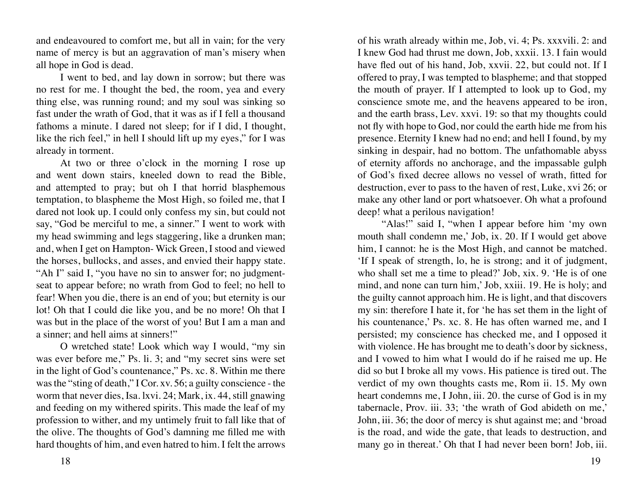and endeavoured to comfort me, but all in vain; for the very name of mercy is but an aggravation of man's misery when all hope in God is dead.

I went to bed, and lay down in sorrow; but there was no rest for me. I thought the bed, the room, yea and every thing else, was running round; and my soul was sinking so fast under the wrath of God, that it was as if I fell a thousand fathoms a minute. I dared not sleep; for if I did, I thought, like the rich feel," in hell I should lift up my eyes," for I was already in torment.

At two or three o'clock in the morning I rose up and went down stairs, kneeled down to read the Bible, and attempted to pray; but oh I that horrid blasphemous temptation, to blaspheme the Most High, so foiled me, that I dared not look up. I could only confess my sin, but could not say, "God be merciful to me, a sinner." I went to work with my head swimming and legs staggering, like a drunken man; and, when I get on Hampton- Wick Green, I stood and viewed the horses, bullocks, and asses, and envied their happy state. "Ah I" said I, "you have no sin to answer for; no judgmentseat to appear before; no wrath from God to feel; no hell to fear! When you die, there is an end of you; but eternity is our lot! Oh that I could die like you, and be no more! Oh that I was but in the place of the worst of you! But I am a man and a sinner; and hell aims at sinners!"

O wretched state! Look which way I would, "my sin was ever before me," Ps. li. 3; and "my secret sins were set in the light of God's countenance," Ps. xc. 8. Within me there was the "sting of death," I Cor. xv. 56; a guilty conscience - the worm that never dies, Isa. lxvi. 24; Mark, ix. 44, still gnawing and feeding on my withered spirits. This made the leaf of my profession to wither, and my untimely fruit to fall like that of the olive. The thoughts of God's damning me filled me with hard thoughts of him, and even hatred to him. I felt the arrows

of his wrath already within me, Job, vi. 4; Ps. xxxvili. 2: and I knew God had thrust me down, Job, xxxii. 13. I fain would have fled out of his hand, Job, xxvii. 22, but could not. If I offered to pray, I was tempted to blaspheme; and that stopped the mouth of prayer. If I attempted to look up to God, my conscience smote me, and the heavens appeared to be iron, and the earth brass, Lev. xxvi. 19: so that my thoughts could not fly with hope to God, nor could the earth hide me from his presence. Eternity I knew had no end; and hell I found, by my sinking in despair, had no bottom. The unfathomable abyss of eternity affords no anchorage, and the impassable gulph of God's fixed decree allows no vessel of wrath, fitted for destruction, ever to pass to the haven of rest, Luke, xvi 26; or make any other land or port whatsoever. Oh what a profound deep! what a perilous navigation!

"Alas!" said I, "when I appear before him 'my own mouth shall condemn me,' Job, ix. 20. If I would get above him, I cannot: he is the Most High, and cannot be matched. 'If I speak of strength, lo, he is strong; and it of judgment, who shall set me a time to plead?' Job, xix. 9. 'He is of one mind, and none can turn him,' Job, xxiii. 19. He is holy; and the guilty cannot approach him. He is light, and that discovers my sin: therefore I hate it, for 'he has set them in the light of his countenance,' Ps. xc. 8. He has often warned me, and I persisted; my conscience has checked me, and I opposed it with violence. He has brought me to death's door by sickness, and I vowed to him what I would do if he raised me up. He did so but I broke all my vows. His patience is tired out. The verdict of my own thoughts casts me, Rom ii. 15. My own heart condemns me, I John, iii. 20. the curse of God is in my tabernacle, Prov. iii. 33; 'the wrath of God abideth on me,' John, iii. 36; the door of mercy is shut against me; and 'broad is the road, and wide the gate, that leads to destruction, and many go in thereat.' Oh that I had never been born! Job, iii.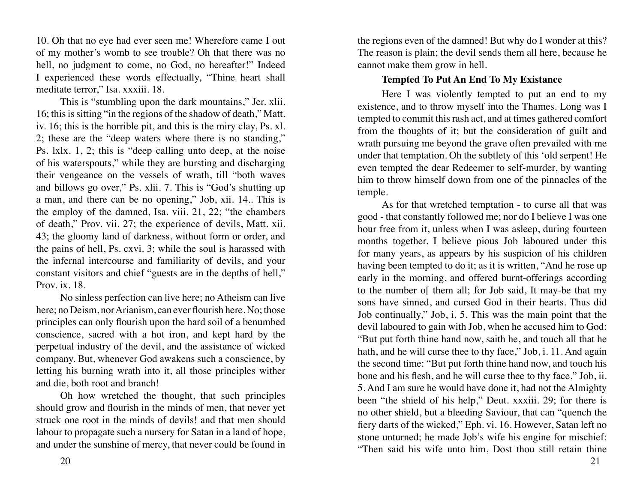<span id="page-10-0"></span>10. Oh that no eye had ever seen me! Wherefore came I out of my mother's womb to see trouble? Oh that there was no hell, no judgment to come, no God, no hereafter!" Indeed I experienced these words effectually, "Thine heart shall meditate terror," Isa. xxxiii. 18.

This is "stumbling upon the dark mountains," Jer. xlii. 16; this is sitting "in the regions of the shadow of death," Matt. iv. 16; this is the horrible pit, and this is the miry clay, Ps. xl. 2; these are the "deep waters where there is no standing," Ps. lxlx. 1, 2; this is "deep calling unto deep, at the noise of his waterspouts," while they are bursting and discharging their vengeance on the vessels of wrath, till "both waves and billows go over," Ps. xlii. 7. This is "God's shutting up a man, and there can be no opening," Job, xii. 14.. This is the employ of the damned, Isa. viii. 21, 22; "the chambers of death," Prov. vii. 27; the experience of devils, Matt. xii. 43; the gloomy land of darkness, without form or order, and the pains of hell, Ps. cxvi. 3; while the soul is harassed with the infernal intercourse and familiarity of devils, and your constant visitors and chief "guests are in the depths of hell," Prov. ix. 18.

No sinless perfection can live here; no Atheism can live here; no Deism, nor Arianism, can ever flourish here. No; those principles can only flourish upon the hard soil of a benumbed conscience, sacred with a hot iron, and kept hard by the perpetual industry of the devil, and the assistance of wicked company. But, whenever God awakens such a conscience, by letting his burning wrath into it, all those principles wither and die, both root and branch!

Oh how wretched the thought, that such principles should grow and flourish in the minds of men, that never yet struck one root in the minds of devils! and that men should labour to propagate such a nursery for Satan in a land of hope, and under the sunshine of mercy, that never could be found in

the regions even of the damned! But why do I wonder at this? The reason is plain; the devil sends them all here, because he cannot make them grow in hell.

# **Tempted To Put An End To My Existance**

Here I was violently tempted to put an end to my existence, and to throw myself into the Thames. Long was I tempted to commit this rash act, and at times gathered comfort from the thoughts of it; but the consideration of guilt and wrath pursuing me beyond the grave often prevailed with me under that temptation. Oh the subtlety of this 'old serpent! He even tempted the dear Redeemer to self-murder, by wanting him to throw himself down from one of the pinnacles of the temple.

As for that wretched temptation - to curse all that was good - that constantly followed me; nor do I believe I was one hour free from it, unless when I was asleep, during fourteen months together. I believe pious Job laboured under this for many years, as appears by his suspicion of his children having been tempted to do it; as it is written, "And he rose up early in the morning, and offered burnt-offerings according to the number o[ them all; for Job said, It may-be that my sons have sinned, and cursed God in their hearts. Thus did Job continually," Job, i. 5. This was the main point that the devil laboured to gain with Job, when he accused him to God: "But put forth thine hand now, saith he, and touch all that he hath, and he will curse thee to thy face," Job, i. 11. And again the second time: "But put forth thine hand now, and touch his bone and his flesh, and he will curse thee to thy face," Job, ii. 5. And I am sure he would have done it, had not the Almighty been "the shield of his help," Deut. xxxiii. 29; for there is no other shield, but a bleeding Saviour, that can "quench the fiery darts of the wicked," Eph. vi. 16. However, Satan left no stone unturned; he made Job's wife his engine for mischief: "Then said his wife unto him, Dost thou still retain thine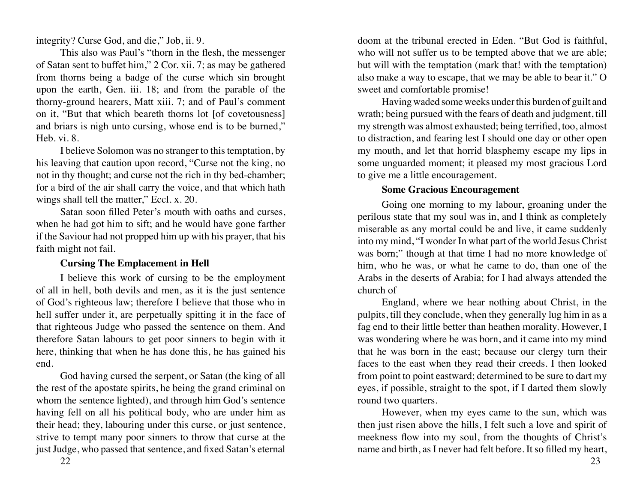<span id="page-11-0"></span>integrity? Curse God, and die," Job, ii. 9.

This also was Paul's "thorn in the flesh, the messenger of Satan sent to buffet him," 2 Cor. xii. 7; as may be gathered from thorns being a badge of the curse which sin brought upon the earth, Gen. iii. 18; and from the parable of the thorny-ground hearers, Matt xiii. 7; and of Paul's comment on it, "But that which beareth thorns lot [of covetousness] and briars is nigh unto cursing, whose end is to be burned," Heb. vi. 8.

I believe Solomon was no stranger to this temptation, by his leaving that caution upon record, "Curse not the king, no not in thy thought; and curse not the rich in thy bed-chamber; for a bird of the air shall carry the voice, and that which hath wings shall tell the matter," Eccl. x. 20.

Satan soon filled Peter's mouth with oaths and curses, when he had got him to sift; and he would have gone farther if the Saviour had not propped him up with his prayer, that his faith might not fail.

# **Cursing The Emplacement in Hell**

I believe this work of cursing to be the employment of all in hell, both devils and men, as it is the just sentence of God's righteous law; therefore I believe that those who in hell suffer under it, are perpetually spitting it in the face of that righteous Judge who passed the sentence on them. And therefore Satan labours to get poor sinners to begin with it here, thinking that when he has done this, he has gained his end.

God having cursed the serpent, or Satan (the king of all the rest of the apostate spirits, he being the grand criminal on whom the sentence lighted), and through him God's sentence having fell on all his political body, who are under him as their head; they, labouring under this curse, or just sentence, strive to tempt many poor sinners to throw that curse at the just Judge, who passed that sentence, and fixed Satan's eternal

doom at the tribunal erected in Eden. "But God is faithful, who will not suffer us to be tempted above that we are able; but will with the temptation (mark that! with the temptation) also make a way to escape, that we may be able to bear it." O sweet and comfortable promise!

Having waded some weeks under this burden of guilt and wrath; being pursued with the fears of death and judgment, till my strength was almost exhausted; being terrified, too, almost to distraction, and fearing lest I should one day or other open my mouth, and let that horrid blasphemy escape my lips in some unguarded moment; it pleased my most gracious Lord to give me a little encouragement.

#### **Some Gracious Encouragement**

Going one morning to my labour, groaning under the perilous state that my soul was in, and I think as completely miserable as any mortal could be and live, it came suddenly into my mind, "I wonder In what part of the world Jesus Christ was born;" though at that time I had no more knowledge of him, who he was, or what he came to do, than one of the Arabs in the deserts of Arabia; for I had always attended the church of

England, where we hear nothing about Christ, in the pulpits, till they conclude, when they generally lug him in as a fag end to their little better than heathen morality. However, I was wondering where he was born, and it came into my mind that he was born in the east; because our clergy turn their faces to the east when they read their creeds. I then looked from point to point eastward; determined to be sure to dart my eyes, if possible, straight to the spot, if I darted them slowly round two quarters.

However, when my eyes came to the sun, which was then just risen above the hills, I felt such a love and spirit of meekness flow into my soul, from the thoughts of Christ's name and birth, as I never had felt before. It so filled my heart,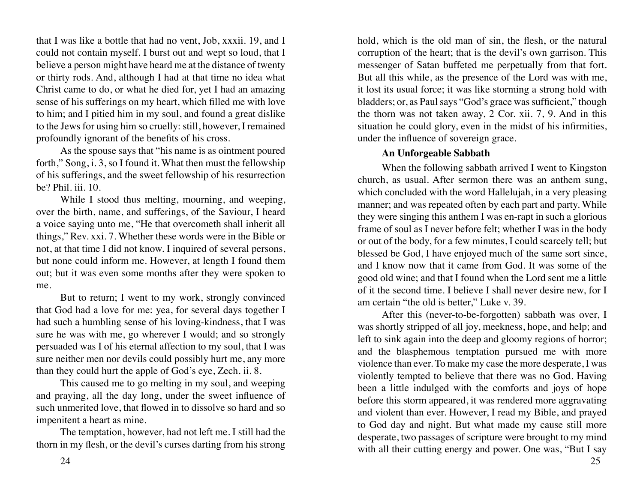<span id="page-12-0"></span>that I was like a bottle that had no vent, Job, xxxii. 19, and I could not contain myself. I burst out and wept so loud, that I believe a person might have heard me at the distance of twenty or thirty rods. And, although I had at that time no idea what Christ came to do, or what he died for, yet I had an amazing sense of his sufferings on my heart, which filled me with love to him; and I pitied him in my soul, and found a great dislike to the Jews for using him so cruelly: still, however, I remained profoundly ignorant of the benefits of his cross.

As the spouse says that "his name is as ointment poured forth," Song, i. 3, so I found it. What then must the fellowship of his sufferings, and the sweet fellowship of his resurrection be? Phil. iii. 10.

While I stood thus melting, mourning, and weeping, over the birth, name, and sufferings, of the Saviour, I heard a voice saying unto me, "He that overcometh shall inherit all things," Rev. xxi. 7. Whether these words were in the Bible or not, at that time I did not know. I inquired of several persons, but none could inform me. However, at length I found them out; but it was even some months after they were spoken to me.

But to return; I went to my work, strongly convinced that God had a love for me: yea, for several days together I had such a humbling sense of his loving-kindness, that I was sure he was with me, go wherever I would; and so strongly persuaded was I of his eternal affection to my soul, that I was sure neither men nor devils could possibly hurt me, any more than they could hurt the apple of God's eye, Zech. ii. 8.

This caused me to go melting in my soul, and weeping and praying, all the day long, under the sweet influence of such unmerited love, that flowed in to dissolve so hard and so impenitent a heart as mine.

The temptation, however, had not left me. I still had the thorn in my flesh, or the devil's curses darting from his strong

hold, which is the old man of sin, the flesh, or the natural corruption of the heart; that is the devil's own garrison. This messenger of Satan buffeted me perpetually from that fort. But all this while, as the presence of the Lord was with me, it lost its usual force; it was like storming a strong hold with bladders; or, as Paul says "God's grace was sufficient," though the thorn was not taken away, 2 Cor. xii. 7, 9. And in this situation he could glory, even in the midst of his infirmities, under the influence of sovereign grace.

#### **An Unforgeable Sabbath**

When the following sabbath arrived I went to Kingston church, as usual. After sermon there was an anthem sung, which concluded with the word Hallelujah, in a very pleasing manner; and was repeated often by each part and party. While they were singing this anthem I was en-rapt in such a glorious frame of soul as I never before felt; whether I was in the body or out of the body, for a few minutes, I could scarcely tell; but blessed be God, I have enjoyed much of the same sort since, and I know now that it came from God. It was some of the good old wine; and that I found when the Lord sent me a little of it the second time. I believe I shall never desire new, for I am certain "the old is better," Luke v. 39.

After this (never-to-be-forgotten) sabbath was over, I was shortly stripped of all joy, meekness, hope, and help; and left to sink again into the deep and gloomy regions of horror; and the blasphemous temptation pursued me with more violence than ever. To make my case the more desperate, I was violently tempted to believe that there was no God. Having been a little indulged with the comforts and joys of hope before this storm appeared, it was rendered more aggravating and violent than ever. However, I read my Bible, and prayed to God day and night. But what made my cause still more desperate, two passages of scripture were brought to my mind with all their cutting energy and power. One was, "But I say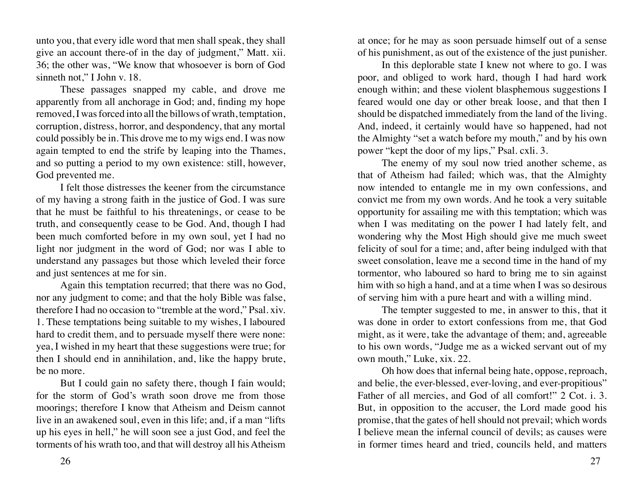unto you, that every idle word that men shall speak, they shall give an account there-of in the day of judgment," Matt. xii. 36; the other was, "We know that whosoever is born of God sinneth not," I John v. 18.

These passages snapped my cable, and drove me apparently from all anchorage in God; and, finding my hope removed, I was forced into all the billows of wrath, temptation, corruption, distress, horror, and despondency, that any mortal could possibly be in. This drove me to my wigs end. I was now again tempted to end the strife by leaping into the Thames, and so putting a period to my own existence: still, however, God prevented me.

I felt those distresses the keener from the circumstance of my having a strong faith in the justice of God. I was sure that he must be faithful to his threatenings, or cease to be truth, and consequently cease to be God. And, though I had been much comforted before in my own soul, yet I had no light nor judgment in the word of God; nor was I able to understand any passages but those which leveled their force and just sentences at me for sin.

Again this temptation recurred; that there was no God, nor any judgment to come; and that the holy Bible was false, therefore I had no occasion to "tremble at the word," Psal. xiv. 1. These temptations being suitable to my wishes, I laboured hard to credit them, and to persuade myself there were none: yea, I wished in my heart that these suggestions were true; for then I should end in annihilation, and, like the happy brute, be no more.

But I could gain no safety there, though I fain would; for the storm of God's wrath soon drove me from those moorings; therefore I know that Atheism and Deism cannot live in an awakened soul, even in this life; and, if a man "lifts up his eyes in hell," he will soon see a just God, and feel the torments of his wrath too, and that will destroy all his Atheism

at once; for he may as soon persuade himself out of a sense of his punishment, as out of the existence of the just punisher.

In this deplorable state I knew not where to go. I was poor, and obliged to work hard, though I had hard work enough within; and these violent blasphemous suggestions I feared would one day or other break loose, and that then I should be dispatched immediately from the land of the living. And, indeed, it certainly would have so happened, had not the Almighty "set a watch before my mouth," and by his own power "kept the door of my lips," Psal. cxli. 3.

The enemy of my soul now tried another scheme, as that of Atheism had failed; which was, that the Almighty now intended to entangle me in my own confessions, and convict me from my own words. And he took a very suitable opportunity for assailing me with this temptation; which was when I was meditating on the power I had lately felt, and wondering why the Most High should give me much sweet felicity of soul for a time; and, after being indulged with that sweet consolation, leave me a second time in the hand of my tormentor, who laboured so hard to bring me to sin against him with so high a hand, and at a time when I was so desirous of serving him with a pure heart and with a willing mind.

The tempter suggested to me, in answer to this, that it was done in order to extort confessions from me, that God might, as it were, take the advantage of them; and, agreeable to his own words, "Judge me as a wicked servant out of my own mouth," Luke, xix. 22.

Oh how does that infernal being hate, oppose, reproach, and belie, the ever-blessed, ever-loving, and ever-propitious" Father of all mercies, and God of all comfort!" 2 Cot. i. 3. But, in opposition to the accuser, the Lord made good his promise, that the gates of hell should not prevail; which words I believe mean the infernal council of devils; as causes were in former times heard and tried, councils held, and matters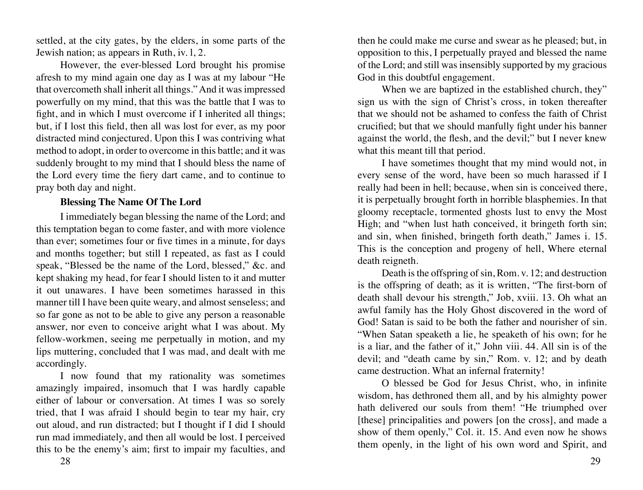<span id="page-14-0"></span>settled, at the city gates, by the elders, in some parts of the Jewish nation; as appears in Ruth, iv. l, 2.

However, the ever-blessed Lord brought his promise afresh to my mind again one day as I was at my labour "He that overcometh shall inherit all things." And it was impressed powerfully on my mind, that this was the battle that I was to fight, and in which I must overcome if I inherited all things; but, if I lost this field, then all was lost for ever, as my poor distracted mind conjectured. Upon this I was contriving what method to adopt, in order to overcome in this battle; and it was suddenly brought to my mind that I should bless the name of the Lord every time the fiery dart came, and to continue to pray both day and night.

## **Blessing The Name Of The Lord**

I immediately began blessing the name of the Lord; and this temptation began to come faster, and with more violence than ever; sometimes four or five times in a minute, for days and months together; but still I repeated, as fast as I could speak, "Blessed be the name of the Lord, blessed," &c. and kept shaking my head, for fear I should listen to it and mutter it out unawares. I have been sometimes harassed in this manner till I have been quite weary, and almost senseless; and so far gone as not to be able to give any person a reasonable answer, nor even to conceive aright what I was about. My fellow-workmen, seeing me perpetually in motion, and my lips muttering, concluded that I was mad, and dealt with me accordingly.

I now found that my rationality was sometimes amazingly impaired, insomuch that I was hardly capable either of labour or conversation. At times I was so sorely tried, that I was afraid I should begin to tear my hair, cry out aloud, and run distracted; but I thought if I did I should run mad immediately, and then all would be lost. I perceived this to be the enemy's aim; first to impair my faculties, and

then he could make me curse and swear as he pleased; but, in opposition to this, I perpetually prayed and blessed the name of the Lord; and still was insensibly supported by my gracious God in this doubtful engagement.

When we are baptized in the established church, they" sign us with the sign of Christ's cross, in token thereafter that we should not be ashamed to confess the faith of Christ crucified; but that we should manfully fight under his banner against the world, the flesh, and the devil;" but I never knew what this meant till that period.

I have sometimes thought that my mind would not, in every sense of the word, have been so much harassed if I really had been in hell; because, when sin is conceived there, it is perpetually brought forth in horrible blasphemies. In that gloomy receptacle, tormented ghosts lust to envy the Most High; and "when lust hath conceived, it bringeth forth sin; and sin, when finished, bringeth forth death," James i. 15. This is the conception and progeny of hell, Where eternal death reigneth.

Death is the offspring of sin, Rom. v. 12; and destruction is the offspring of death; as it is written, "The first-born of death shall devour his strength," Job, xviii. 13. Oh what an awful family has the Holy Ghost discovered in the word of God! Satan is said to be both the father and nourisher of sin. "When Satan speaketh a lie, he speaketh of his own; for he is a liar, and the father of it," John viii. 44. All sin is of the devil; and "death came by sin," Rom. v. 12; and by death came destruction. What an infernal fraternity!

O blessed be God for Jesus Christ, who, in infinite wisdom, has dethroned them all, and by his almighty power hath delivered our souls from them! "He triumphed over [these] principalities and powers [on the cross], and made a show of them openly," Col. it. 15. And even now he shows them openly, in the light of his own word and Spirit, and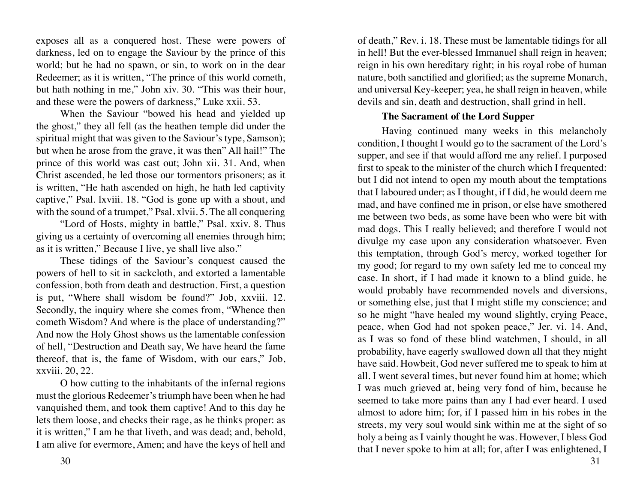<span id="page-15-0"></span>exposes all as a conquered host. These were powers of darkness, led on to engage the Saviour by the prince of this world; but he had no spawn, or sin, to work on in the dear Redeemer; as it is written, "The prince of this world cometh, but hath nothing in me," John xiv. 30. "This was their hour, and these were the powers of darkness," Luke xxii. 53.

When the Saviour "bowed his head and yielded up the ghost," they all fell (as the heathen temple did under the spiritual might that was given to the Saviour's type, Samson); but when he arose from the grave, it was then" All hail!" The prince of this world was cast out; John xii. 31. And, when Christ ascended, he led those our tormentors prisoners; as it is written, "He hath ascended on high, he hath led captivity captive," Psal. lxviii. 18. "God is gone up with a shout, and with the sound of a trumpet," Psal. xlvii. 5. The all conquering

"Lord of Hosts, mighty in battle," Psal. xxiv. 8. Thus giving us a certainty of overcoming all enemies through him; as it is written," Because I live, ye shall live also."

These tidings of the Saviour's conquest caused the powers of hell to sit in sackcloth, and extorted a lamentable confession, both from death and destruction. First, a question is put, "Where shall wisdom be found?" Job, xxviii. 12. Secondly, the inquiry where she comes from, "Whence then cometh Wisdom? And where is the place of understanding?" And now the Holy Ghost shows us the lamentable confession of hell, "Destruction and Death say, We have heard the fame thereof, that is, the fame of Wisdom, with our ears," Job, xxviii. 20, 22.

O how cutting to the inhabitants of the infernal regions must the glorious Redeemer's triumph have been when he had vanquished them, and took them captive! And to this day he lets them loose, and checks their rage, as he thinks proper: as it is written," I am he that liveth, and was dead; and, behold, I am alive for evermore, Amen; and have the keys of hell and

of death," Rev. i. 18. These must be lamentable tidings for all in hell! But the ever-blessed Immanuel shall reign in heaven; reign in his own hereditary right; in his royal robe of human nature, both sanctified and glorified; as the supreme Monarch, and universal Key-keeper; yea, he shall reign in heaven, while devils and sin, death and destruction, shall grind in hell.

#### **The Sacrament of the Lord Supper**

Having continued many weeks in this melancholy condition, I thought I would go to the sacrament of the Lord's supper, and see if that would afford me any relief. I purposed first to speak to the minister of the church which I frequented: but I did not intend to open my mouth about the temptations that I laboured under; as I thought, if I did, he would deem me mad, and have confined me in prison, or else have smothered me between two beds, as some have been who were bit with mad dogs. This I really believed; and therefore I would not divulge my case upon any consideration whatsoever. Even this temptation, through God's mercy, worked together for my good; for regard to my own safety led me to conceal my case. In short, if I had made it known to a blind guide, he would probably have recommended novels and diversions, or something else, just that I might stifle my conscience; and so he might "have healed my wound slightly, crying Peace, peace, when God had not spoken peace," Jer. vi. 14. And, as I was so fond of these blind watchmen, I should, in all probability, have eagerly swallowed down all that they might have said. Howbeit, God never suffered me to speak to him at all. I went several times, but never found him at home; which I was much grieved at, being very fond of him, because he seemed to take more pains than any I had ever heard. I used almost to adore him; for, if I passed him in his robes in the streets, my very soul would sink within me at the sight of so holy a being as I vainly thought he was. However, I bless God that I never spoke to him at all; for, after I was enlightened, I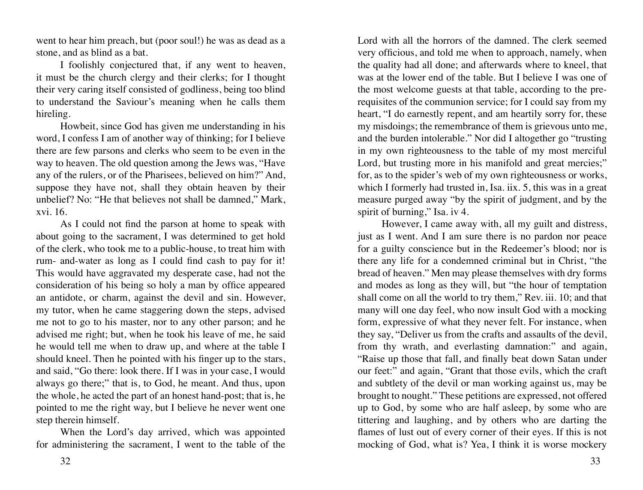went to hear him preach, but (poor soul!) he was as dead as a stone, and as blind as a bat.

I foolishly conjectured that, if any went to heaven, it must be the church clergy and their clerks; for I thought their very caring itself consisted of godliness, being too blind to understand the Saviour's meaning when he calls them hireling.

Howbeit, since God has given me understanding in his word, I confess I am of another way of thinking; for I believe there are few parsons and clerks who seem to be even in the way to heaven. The old question among the Jews was, "Have any of the rulers, or of the Pharisees, believed on him?" And, suppose they have not, shall they obtain heaven by their unbelief? No: "He that believes not shall be damned," Mark, xvi. 16.

As I could not find the parson at home to speak with about going to the sacrament, I was determined to get hold of the clerk, who took me to a public-house, to treat him with rum- and-water as long as I could find cash to pay for it! This would have aggravated my desperate case, had not the consideration of his being so holy a man by office appeared an antidote, or charm, against the devil and sin. However, my tutor, when he came staggering down the steps, advised me not to go to his master, nor to any other parson; and he advised me right; but, when he took his leave of me, he said he would tell me when to draw up, and where at the table I should kneel. Then he pointed with his finger up to the stars, and said, "Go there: look there. If I was in your case, I would always go there;" that is, to God, he meant. And thus, upon the whole, he acted the part of an honest hand-post; that is, he pointed to me the right way, but I believe he never went one step therein himself.

When the Lord's day arrived, which was appointed for administering the sacrament, I went to the table of the Lord with all the horrors of the damned. The clerk seemed very officious, and told me when to approach, namely, when the quality had all done; and afterwards where to kneel, that was at the lower end of the table. But I believe I was one of the most welcome guests at that table, according to the prerequisites of the communion service; for I could say from my heart, "I do earnestly repent, and am heartily sorry for, these my misdoings; the remembrance of them is grievous unto me, and the burden intolerable." Nor did I altogether go "trusting in my own righteousness to the table of my most merciful Lord, but trusting more in his manifold and great mercies;" for, as to the spider's web of my own righteousness or works, which I formerly had trusted in, Isa. iix. 5, this was in a great measure purged away "by the spirit of judgment, and by the spirit of burning," Isa. iv 4.

However, I came away with, all my guilt and distress, just as I went. And I am sure there is no pardon nor peace for a guilty conscience but in the Redeemer's blood; nor is there any life for a condemned criminal but in Christ, "the bread of heaven." Men may please themselves with dry forms and modes as long as they will, but "the hour of temptation shall come on all the world to try them," Rev. iii. 10; and that many will one day feel, who now insult God with a mocking form, expressive of what they never felt. For instance, when they say, "Deliver us from the crafts and assaults of the devil, from thy wrath, and everlasting damnation:" and again, "Raise up those that fall, and finally beat down Satan under our feet:" and again, "Grant that those evils, which the craft and subtlety of the devil or man working against us, may be brought to nought." These petitions are expressed, not offered up to God, by some who are half asleep, by some who are tittering and laughing, and by others who are darting the flames of lust out of every corner of their eyes. If this is not mocking of God, what is? Yea, I think it is worse mockery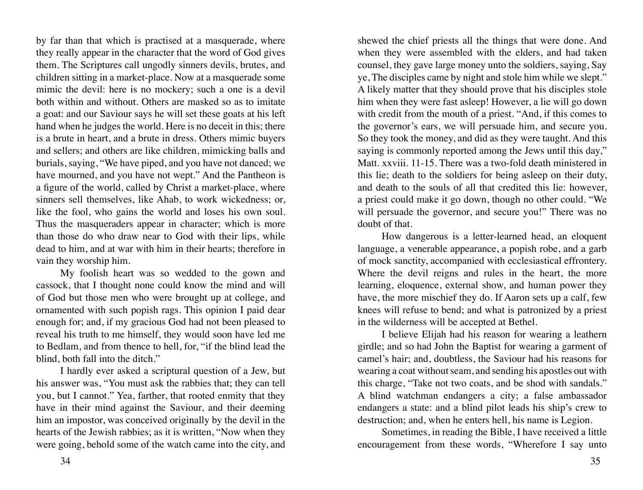by far than that which is practised at a masquerade, where they really appear in the character that the word of God gives them. The Scriptures call ungodly sinners devils, brutes, and children sitting in a market-place. Now at a masquerade some mimic the devil: here is no mockery; such a one is a devil both within and without. Others are masked so as to imitate a goat: and our Saviour says he will set these goats at his left hand when he judges the world. Here is no deceit in this; there is a brute in heart, and a brute in dress. Others mimic buyers and sellers; and others are like children, mimicking balls and burials, saying, "We have piped, and you have not danced; we have mourned, and you have not wept." And the Pantheon is a figure of the world, called by Christ a market-place, where sinners sell themselves, like Ahab, to work wickedness; or, like the fool, who gains the world and loses his own soul. Thus the masqueraders appear in character; which is more than those do who draw near to God with their lips, while dead to him, and at war with him in their hearts; therefore in vain they worship him.

My foolish heart was so wedded to the gown and cassock, that I thought none could know the mind and will of God but those men who were brought up at college, and ornamented with such popish rags. This opinion I paid dear enough for; and, if my gracious God had not been pleased to reveal his truth to me himself, they would soon have led me to Bedlam, and from thence to hell, for, "if the blind lead the blind, both fall into the ditch."

I hardly ever asked a scriptural question of a Jew, but his answer was, "You must ask the rabbies that; they can tell you, but I cannot." Yea, farther, that rooted enmity that they have in their mind against the Saviour, and their deeming him an impostor, was conceived originally by the devil in the hearts of the Jewish rabbies; as it is written, "Now when they were going, behold some of the watch came into the city, and

shewed the chief priests all the things that were done. And when they were assembled with the elders, and had taken counsel, they gave large money unto the soldiers, saying, Say ye, The disciples came by night and stole him while we slept." A likely matter that they should prove that his disciples stole him when they were fast asleep! However, a lie will go down with credit from the mouth of a priest. "And, if this comes to the governor's ears, we will persuade him, and secure you. So they took the money, and did as they were taught. And this saying is commonly reported among the Jews until this day," Matt. xxviii. 11-15. There was a two-fold death ministered in this lie; death to the soldiers for being asleep on their duty, and death to the souls of all that credited this lie: however, a priest could make it go down, though no other could. "We will persuade the governor, and secure you!" There was no doubt of that.

How dangerous is a letter-learned head, an eloquent language, a venerable appearance, a popish robe, and a garb of mock sanctity, accompanied with ecclesiastical effrontery. Where the devil reigns and rules in the heart, the more learning, eloquence, external show, and human power they have, the more mischief they do. If Aaron sets up a calf, few knees will refuse to bend; and what is patronized by a priest in the wilderness will be accepted at Bethel.

I believe Elijah had his reason for wearing a leathern girdle; and so had John the Baptist for wearing a garment of camel's hair; and, doubtless, the Saviour had his reasons for wearing a coat without seam, and sending his apostles out with this charge, "Take not two coats, and be shod with sandals." A blind watchman endangers a city; a false ambassador endangers a state: and a blind pilot leads his ship's crew to destruction; and, when he enters hell, his name is Legion.

Sometimes, in reading the Bible, I have received a little encouragement from these words, "Wherefore I say unto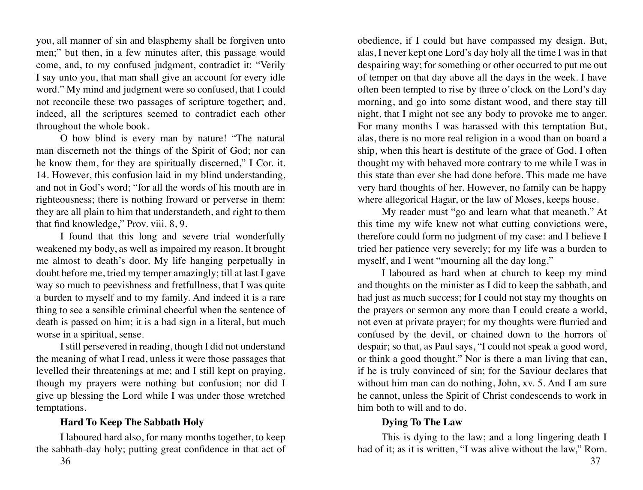<span id="page-18-0"></span>you, all manner of sin and blasphemy shall be forgiven unto men;" but then, in a few minutes after, this passage would come, and, to my confused judgment, contradict it: "Verily I say unto you, that man shall give an account for every idle word." My mind and judgment were so confused, that I could not reconcile these two passages of scripture together; and, indeed, all the scriptures seemed to contradict each other throughout the whole book.

O how blind is every man by nature! "The natural man discerneth not the things of the Spirit of God; nor can he know them, for they are spiritually discerned," I Cor. it. 14. However, this confusion laid in my blind understanding, and not in God's word; "for all the words of his mouth are in righteousness; there is nothing froward or perverse in them: they are all plain to him that understandeth, and right to them that find knowledge," Prov. viii. 8, 9.

I found that this long and severe trial wonderfully weakened my body, as well as impaired my reason. It brought me almost to death's door. My life hanging perpetually in doubt before me, tried my temper amazingly; till at last I gave way so much to peevishness and fretfullness, that I was quite a burden to myself and to my family. And indeed it is a rare thing to see a sensible criminal cheerful when the sentence of death is passed on him; it is a bad sign in a literal, but much worse in a spiritual, sense.

I still persevered in reading, though I did not understand the meaning of what I read, unless it were those passages that levelled their threatenings at me; and I still kept on praying, though my prayers were nothing but confusion; nor did I give up blessing the Lord while I was under those wretched temptations.

# **Hard To Keep The Sabbath Holy**

I laboured hard also, for many months together, to keep the sabbath-day holy; putting great confidence in that act of obedience, if I could but have compassed my design. But, alas, I never kept one Lord's day holy all the time I was in that despairing way; for something or other occurred to put me out of temper on that day above all the days in the week. I have often been tempted to rise by three o'clock on the Lord's day morning, and go into some distant wood, and there stay till night, that I might not see any body to provoke me to anger. For many months I was harassed with this temptation But, alas, there is no more real religion in a wood than on board a ship, when this heart is destitute of the grace of God. I often thought my with behaved more contrary to me while I was in this state than ever she had done before. This made me have very hard thoughts of her. However, no family can be happy where allegorical Hagar, or the law of Moses, keeps house.

My reader must "go and learn what that meaneth." At this time my wife knew not what cutting convictions were, therefore could form no judgment of my case: and I believe I tried her patience very severely; for my life was a burden to myself, and I went "mourning all the day long."

I laboured as hard when at church to keep my mind and thoughts on the minister as I did to keep the sabbath, and had just as much success; for I could not stay my thoughts on the prayers or sermon any more than I could create a world, not even at private prayer; for my thoughts were flurried and confused by the devil, or chained down to the horrors of despair; so that, as Paul says, "I could not speak a good word, or think a good thought." Nor is there a man living that can, if he is truly convinced of sin; for the Saviour declares that without him man can do nothing, John, xv. 5. And I am sure he cannot, unless the Spirit of Christ condescends to work in him both to will and to do.

# **Dying To The Law**

This is dying to the law; and a long lingering death I had of it; as it is written, "I was alive without the law," Rom.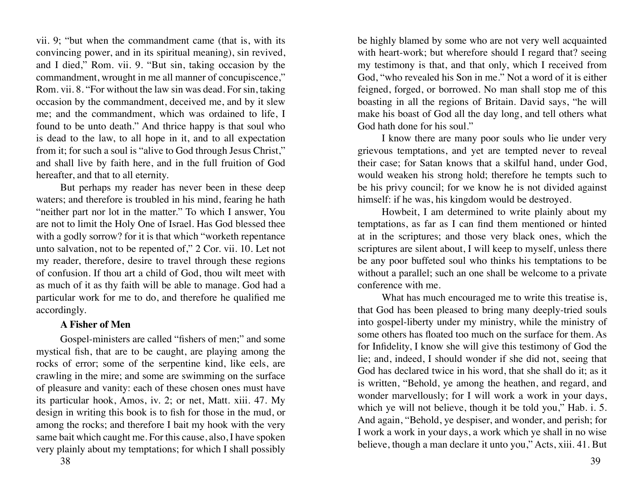<span id="page-19-0"></span>vii. 9; "but when the commandment came (that is, with its convincing power, and in its spiritual meaning), sin revived, and I died," Rom. vii. 9. "But sin, taking occasion by the commandment, wrought in me all manner of concupiscence," Rom. vii. 8. "For without the law sin was dead. For sin, taking occasion by the commandment, deceived me, and by it slew me; and the commandment, which was ordained to life, I found to be unto death." And thrice happy is that soul who is dead to the law, to all hope in it, and to all expectation from it; for such a soul is "alive to God through Jesus Christ," and shall live by faith here, and in the full fruition of God hereafter, and that to all eternity.

But perhaps my reader has never been in these deep waters; and therefore is troubled in his mind, fearing he hath "neither part nor lot in the matter." To which I answer, You are not to limit the Holy One of Israel. Has God blessed thee with a godly sorrow? for it is that which "worketh repentance" unto salvation, not to be repented of," 2 Cor. vii. 10. Let not my reader, therefore, desire to travel through these regions of confusion. If thou art a child of God, thou wilt meet with as much of it as thy faith will be able to manage. God had a particular work for me to do, and therefore he qualified me accordingly.

#### **A Fisher of Men**

Gospel-ministers are called "fishers of men;" and some mystical fish, that are to be caught, are playing among the rocks of error; some of the serpentine kind, like eels, are crawling in the mire; and some are swimming on the surface of pleasure and vanity: each of these chosen ones must have its particular hook, Amos, iv. 2; or net, Matt. xiii. 47. My design in writing this book is to fish for those in the mud, or among the rocks; and therefore I bait my hook with the very same bait which caught me. For this cause, also, I have spoken very plainly about my temptations; for which I shall possibly

be highly blamed by some who are not very well acquainted with heart-work; but wherefore should I regard that? seeing my testimony is that, and that only, which I received from God, "who revealed his Son in me." Not a word of it is either feigned, forged, or borrowed. No man shall stop me of this boasting in all the regions of Britain. David says, "he will make his boast of God all the day long, and tell others what God hath done for his soul."

I know there are many poor souls who lie under very grievous temptations, and yet are tempted never to reveal their case; for Satan knows that a skilful hand, under God, would weaken his strong hold; therefore he tempts such to be his privy council; for we know he is not divided against himself: if he was, his kingdom would be destroyed.

Howbeit, I am determined to write plainly about my temptations, as far as I can find them mentioned or hinted at in the scriptures; and those very black ones, which the scriptures are silent about, I will keep to myself, unless there be any poor buffeted soul who thinks his temptations to be without a parallel; such an one shall be welcome to a private conference with me.

What has much encouraged me to write this treatise is, that God has been pleased to bring many deeply-tried souls into gospel-liberty under my ministry, while the ministry of some others has floated too much on the surface for them. As for Infidelity, I know she will give this testimony of God the lie; and, indeed, I should wonder if she did not, seeing that God has declared twice in his word, that she shall do it; as it is written, "Behold, ye among the heathen, and regard, and wonder marvellously; for I will work a work in your days, which ye will not believe, though it be told you," Hab. i. 5. And again, "Behold, ye despiser, and wonder, and perish; for I work a work in your days, a work which ye shall in no wise believe, though a man declare it unto you," Acts, xiii. 41. But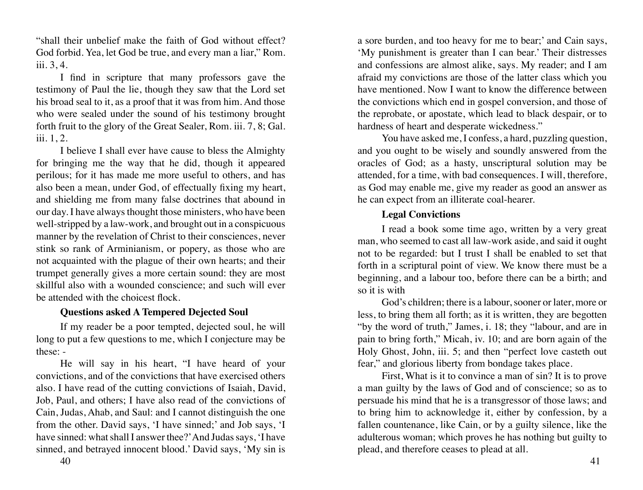<span id="page-20-0"></span>"shall their unbelief make the faith of God without effect? God forbid. Yea, let God be true, and every man a liar," Rom. iii. 3, 4.

I find in scripture that many professors gave the testimony of Paul the lie, though they saw that the Lord set his broad seal to it, as a proof that it was from him. And those who were sealed under the sound of his testimony brought forth fruit to the glory of the Great Sealer, Rom. iii. 7, 8; Gal. iii. 1, 2.

I believe I shall ever have cause to bless the Almighty for bringing me the way that he did, though it appeared perilous; for it has made me more useful to others, and has also been a mean, under God, of effectually fixing my heart, and shielding me from many false doctrines that abound in our day. I have always thought those ministers, who have been well-stripped by a law-work, and brought out in a conspicuous manner by the revelation of Christ to their consciences, never stink so rank of Arminianism, or popery, as those who are not acquainted with the plague of their own hearts; and their trumpet generally gives a more certain sound: they are most skillful also with a wounded conscience; and such will ever be attended with the choicest flock.

#### **Questions asked A Tempered Dejected Soul**

If my reader be a poor tempted, dejected soul, he will long to put a few questions to me, which I conjecture may be these: -

He will say in his heart, "I have heard of your convictions, and of the convictions that have exercised others also. I have read of the cutting convictions of Isaiah, David, Job, Paul, and others; I have also read of the convictions of Cain, Judas, Ahab, and Saul: and I cannot distinguish the one from the other. David says, 'I have sinned;' and Job says, 'I have sinned: what shall I answer thee?' And Judas says, 'I have sinned, and betrayed innocent blood.' David says, 'My sin is

a sore burden, and too heavy for me to bear;' and Cain says, 'My punishment is greater than I can bear.' Their distresses and confessions are almost alike, says. My reader; and I am afraid my convictions are those of the latter class which you have mentioned. Now I want to know the difference between the convictions which end in gospel conversion, and those of the reprobate, or apostate, which lead to black despair, or to hardness of heart and desperate wickedness."

You have asked me, I confess, a hard, puzzling question, and you ought to be wisely and soundly answered from the oracles of God; as a hasty, unscriptural solution may be attended, for a time, with bad consequences. I will, therefore, as God may enable me, give my reader as good an answer as he can expect from an illiterate coal-hearer.

# **Legal Convictions**

I read a book some time ago, written by a very great man, who seemed to cast all law-work aside, and said it ought not to be regarded: but I trust I shall be enabled to set that forth in a scriptural point of view. We know there must be a beginning, and a labour too, before there can be a birth; and so it is with

God's children; there is a labour, sooner or later, more or less, to bring them all forth; as it is written, they are begotten "by the word of truth," James, i. 18; they "labour, and are in pain to bring forth," Micah, iv. 10; and are born again of the Holy Ghost, John, iii. 5; and then "perfect love casteth out fear," and glorious liberty from bondage takes place.

First, What is it to convince a man of sin? It is to prove a man guilty by the laws of God and of conscience; so as to persuade his mind that he is a transgressor of those laws; and to bring him to acknowledge it, either by confession, by a fallen countenance, like Cain, or by a guilty silence, like the adulterous woman; which proves he has nothing but guilty to plead, and therefore ceases to plead at all.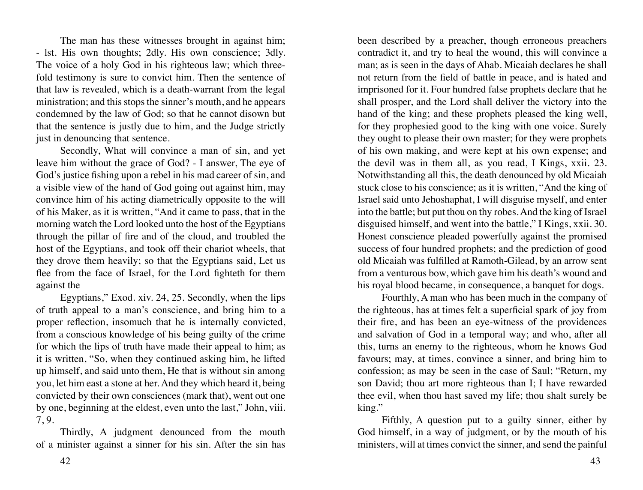The man has these witnesses brought in against him; - lst. His own thoughts; 2dly. His own conscience; 3dly. The voice of a holy God in his righteous law; which threefold testimony is sure to convict him. Then the sentence of that law is revealed, which is a death-warrant from the legal ministration; and this stops the sinner's mouth, and he appears condemned by the law of God; so that he cannot disown but that the sentence is justly due to him, and the Judge strictly just in denouncing that sentence.

Secondly, What will convince a man of sin, and yet leave him without the grace of God? - I answer, The eye of God's justice fishing upon a rebel in his mad career of sin, and a visible view of the hand of God going out against him, may convince him of his acting diametrically opposite to the will of his Maker, as it is written, "And it came to pass, that in the morning watch the Lord looked unto the host of the Egyptians through the pillar of fire and of the cloud, and troubled the host of the Egyptians, and took off their chariot wheels, that they drove them heavily; so that the Egyptians said, Let us flee from the face of Israel, for the Lord fighteth for them against the

Egyptians," Exod. xiv. 24, 25. Secondly, when the lips of truth appeal to a man's conscience, and bring him to a proper reflection, insomuch that he is internally convicted, from a conscious knowledge of his being guilty of the crime for which the lips of truth have made their appeal to him; as it is written, "So, when they continued asking him, he lifted up himself, and said unto them, He that is without sin among you, let him east a stone at her. And they which heard it, being convicted by their own consciences (mark that), went out one by one, beginning at the eldest, even unto the last," John, viii. 7, 9.

Thirdly, A judgment denounced from the mouth of a minister against a sinner for his sin. After the sin has

been described by a preacher, though erroneous preachers contradict it, and try to heal the wound, this will convince a man; as is seen in the days of Ahab. Micaiah declares he shall not return from the field of battle in peace, and is hated and imprisoned for it. Four hundred false prophets declare that he shall prosper, and the Lord shall deliver the victory into the hand of the king; and these prophets pleased the king well, for they prophesied good to the king with one voice. Surely they ought to please their own master; for they were prophets of his own making, and were kept at his own expense; and the devil was in them all, as you read, I Kings, xxii. 23. Notwithstanding all this, the death denounced by old Micaiah stuck close to his conscience; as it is written, "And the king of Israel said unto Jehoshaphat, I will disguise myself, and enter into the battle; but put thou on thy robes. And the king of Israel disguised himself, and went into the battle," I Kings, xxii. 30. Honest conscience pleaded powerfully against the promised success of four hundred prophets; and the prediction of good old Micaiah was fulfilled at Ramoth-Gilead, by an arrow sent from a venturous bow, which gave him his death's wound and his royal blood became, in consequence, a banquet for dogs.

Fourthly, A man who has been much in the company of the righteous, has at times felt a superficial spark of joy from their fire, and has been an eye-witness of the providences and salvation of God in a temporal way; and who, after all this, turns an enemy to the righteous, whom he knows God favours; may, at times, convince a sinner, and bring him to confession; as may be seen in the case of Saul; "Return, my son David; thou art more righteous than I; I have rewarded thee evil, when thou hast saved my life; thou shalt surely be king."

Fifthly, A question put to a guilty sinner, either by God himself, in a way of judgment, or by the mouth of his ministers, will at times convict the sinner, and send the painful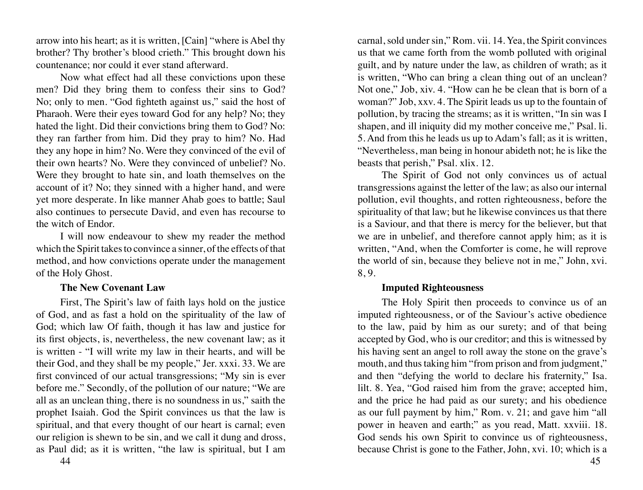<span id="page-22-0"></span>arrow into his heart; as it is written, [Cain] "where is Abel thy brother? Thy brother's blood crieth." This brought down his countenance; nor could it ever stand afterward.

Now what effect had all these convictions upon these men? Did they bring them to confess their sins to God? No; only to men. "God fighteth against us," said the host of Pharaoh. Were their eyes toward God for any help? No; they hated the light. Did their convictions bring them to God? No: they ran farther from him. Did they pray to him? No. Had they any hope in him? No. Were they convinced of the evil of their own hearts? No. Were they convinced of unbelief? No. Were they brought to hate sin, and loath themselves on the account of it? No; they sinned with a higher hand, and were yet more desperate. In like manner Ahab goes to battle; Saul also continues to persecute David, and even has recourse to the witch of Endor.

I will now endeavour to shew my reader the method which the Spirit takes to convince a sinner, of the effects of that method, and how convictions operate under the management of the Holy Ghost.

#### **The New Covenant Law**

First, The Spirit's law of faith lays hold on the justice of God, and as fast a hold on the spirituality of the law of God; which law Of faith, though it has law and justice for its first objects, is, nevertheless, the new covenant law; as it is written - "I will write my law in their hearts, and will be their God, and they shall be my people," Jer. xxxi. 33. We are first convinced of our actual transgressions; "My sin is ever before me." Secondly, of the pollution of our nature; "We are all as an unclean thing, there is no soundness in us," saith the prophet Isaiah. God the Spirit convinces us that the law is spiritual, and that every thought of our heart is carnal; even our religion is shewn to be sin, and we call it dung and dross, as Paul did; as it is written, "the law is spiritual, but I am

carnal, sold under sin," Rom. vii. 14. Yea, the Spirit convinces us that we came forth from the womb polluted with original guilt, and by nature under the law, as children of wrath; as it is written, "Who can bring a clean thing out of an unclean? Not one," Job, xiv. 4. "How can he be clean that is born of a woman?" Job, xxv. 4. The Spirit leads us up to the fountain of pollution, by tracing the streams; as it is written, "In sin was I shapen, and ill iniquity did my mother conceive me," Psal. li. 5. And from this he leads us up to Adam's fall; as it is written, "Nevertheless, man being in honour abideth not; he is like the beasts that perish," Psal. xlix. 12.

The Spirit of God not only convinces us of actual transgressions against the letter of the law; as also our internal pollution, evil thoughts, and rotten righteousness, before the spirituality of that law; but he likewise convinces us that there is a Saviour, and that there is mercy for the believer, but that we are in unbelief, and therefore cannot apply him; as it is written, "And, when the Comforter is come, he will reprove the world of sin, because they believe not in me," John, xvi. 8, 9.

# **Imputed Righteousness**

The Holy Spirit then proceeds to convince us of an imputed righteousness, or of the Saviour's active obedience to the law, paid by him as our surety; and of that being accepted by God, who is our creditor; and this is witnessed by his having sent an angel to roll away the stone on the grave's mouth, and thus taking him "from prison and from judgment," and then "defying the world to declare his fraternity," Isa. lilt. 8. Yea, "God raised him from the grave; accepted him, and the price he had paid as our surety; and his obedience as our full payment by him," Rom. v. 21; and gave him "all power in heaven and earth;" as you read, Matt. xxviii. 18. God sends his own Spirit to convince us of righteousness, because Christ is gone to the Father, John, xvi. 10; which is a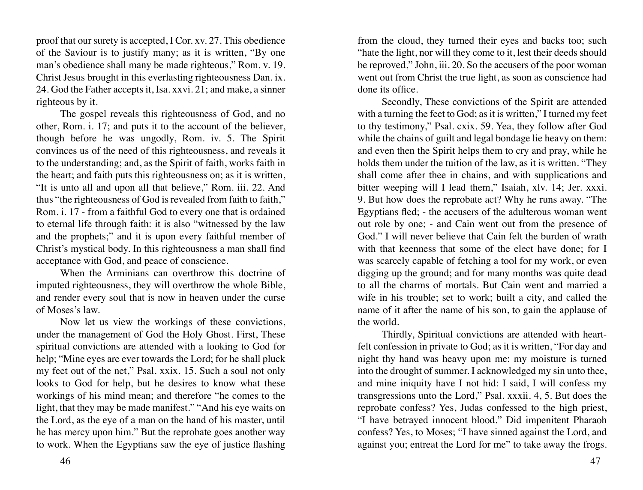proof that our surety is accepted, I Cor. xv. 27. This obedience of the Saviour is to justify many; as it is written, "By one man's obedience shall many be made righteous," Rom. v. 19. Christ Jesus brought in this everlasting righteousness Dan. ix. 24. God the Father accepts it, Isa. xxvi. 21; and make, a sinner righteous by it.

The gospel reveals this righteousness of God, and no other, Rom. i. 17; and puts it to the account of the believer, though before he was ungodly, Rom. iv. 5. The Spirit convinces us of the need of this righteousness, and reveals it to the understanding; and, as the Spirit of faith, works faith in the heart; and faith puts this righteousness on; as it is written, "It is unto all and upon all that believe," Rom. iii. 22. And thus "the righteousness of God is revealed from faith to faith," Rom. i. 17 - from a faithful God to every one that is ordained to eternal life through faith: it is also "witnessed by the law and the prophets;" and it is upon every faithful member of Christ's mystical body. In this righteousness a man shall find acceptance with God, and peace of conscience.

When the Arminians can overthrow this doctrine of imputed righteousness, they will overthrow the whole Bible, and render every soul that is now in heaven under the curse of Moses's law.

Now let us view the workings of these convictions, under the management of God the Holy Ghost. First, These spiritual convictions are attended with a looking to God for help; "Mine eyes are ever towards the Lord; for he shall pluck my feet out of the net," Psal. xxix. 15. Such a soul not only looks to God for help, but he desires to know what these workings of his mind mean; and therefore "he comes to the light, that they may be made manifest." "And his eye waits on the Lord, as the eye of a man on the hand of his master, until he has mercy upon him." But the reprobate goes another way to work. When the Egyptians saw the eye of justice flashing

from the cloud, they turned their eyes and backs too; such "hate the light, nor will they come to it, lest their deeds should be reproved," John, iii. 20. So the accusers of the poor woman went out from Christ the true light, as soon as conscience had done its office.

Secondly, These convictions of the Spirit are attended with a turning the feet to God; as it is written," I turned my feet to thy testimony," Psal. cxix. 59. Yea, they follow after God while the chains of guilt and legal bondage lie heavy on them: and even then the Spirit helps them to cry and pray, while he holds them under the tuition of the law, as it is written. "They shall come after thee in chains, and with supplications and bitter weeping will I lead them," Isaiah, xlv. 14; Jer. xxxi. 9. But how does the reprobate act? Why he runs away. "The Egyptians fled; - the accusers of the adulterous woman went out role by one; - and Cain went out from the presence of God." I will never believe that Cain felt the burden of wrath with that keenness that some of the elect have done; for I was scarcely capable of fetching a tool for my work, or even digging up the ground; and for many months was quite dead to all the charms of mortals. But Cain went and married a wife in his trouble; set to work; built a city, and called the name of it after the name of his son, to gain the applause of the world.

Thirdly, Spiritual convictions are attended with heartfelt confession in private to God; as it is written, "For day and night thy hand was heavy upon me: my moisture is turned into the drought of summer. I acknowledged my sin unto thee, and mine iniquity have I not hid: I said, I will confess my transgressions unto the Lord," Psal. xxxii. 4, 5. But does the reprobate confess? Yes, Judas confessed to the high priest, "I have betrayed innocent blood." Did impenitent Pharaoh confess? Yes, to Moses; "I have sinned against the Lord, and against you; entreat the Lord for me" to take away the frogs.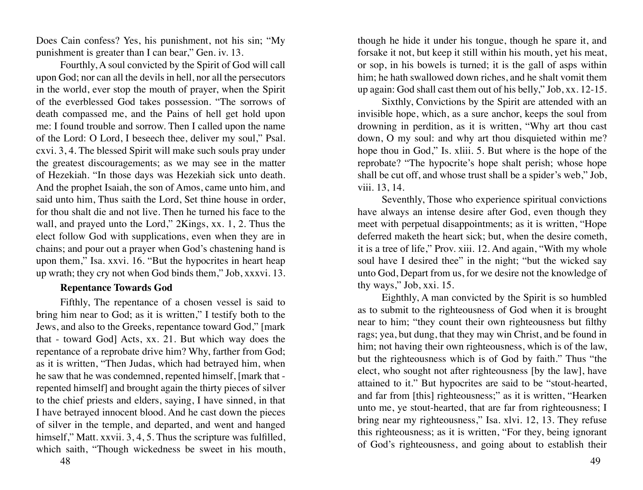<span id="page-24-0"></span>Does Cain confess? Yes, his punishment, not his sin; "My punishment is greater than I can bear," Gen. iv. 13.

Fourthly, A soul convicted by the Spirit of God will call upon God; nor can all the devils in hell, nor all the persecutors in the world, ever stop the mouth of prayer, when the Spirit of the everblessed God takes possession. "The sorrows of death compassed me, and the Pains of hell get hold upon me: I found trouble and sorrow. Then I called upon the name of the Lord: O Lord, I beseech thee, deliver my soul," Psal. cxvi. 3, 4. The blessed Spirit will make such souls pray under the greatest discouragements; as we may see in the matter of Hezekiah. "In those days was Hezekiah sick unto death. And the prophet Isaiah, the son of Amos, came unto him, and said unto him, Thus saith the Lord, Set thine house in order, for thou shalt die and not live. Then he turned his face to the wall, and prayed unto the Lord," 2Kings, xx. 1, 2. Thus the elect follow God with supplications, even when they are in chains; and pour out a prayer when God's chastening hand is upon them," Isa. xxvi. 16. "But the hypocrites in heart heap up wrath; they cry not when God binds them," Job, xxxvi. 13.

#### **Repentance Towards God**

Fifthly, The repentance of a chosen vessel is said to bring him near to God; as it is written," I testify both to the Jews, and also to the Greeks, repentance toward God," [mark that - toward God] Acts, xx. 21. But which way does the repentance of a reprobate drive him? Why, farther from God; as it is written, "Then Judas, which had betrayed him, when he saw that he was condemned, repented himself, [mark that repented himself] and brought again the thirty pieces of silver to the chief priests and elders, saying, I have sinned, in that I have betrayed innocent blood. And he cast down the pieces of silver in the temple, and departed, and went and hanged himself," Matt. xxvii. 3, 4, 5. Thus the scripture was fulfilled, which saith, "Though wickedness be sweet in his mouth,

though he hide it under his tongue, though he spare it, and forsake it not, but keep it still within his mouth, yet his meat, or sop, in his bowels is turned; it is the gall of asps within him; he hath swallowed down riches, and he shalt vomit them up again: God shall cast them out of his belly," Job, xx. 12-15.

Sixthly, Convictions by the Spirit are attended with an invisible hope, which, as a sure anchor, keeps the soul from drowning in perdition, as it is written, "Why art thou cast down, O my soul: and why art thou disquieted within me? hope thou in God," Is. xliii. 5. But where is the hope of the reprobate? "The hypocrite's hope shalt perish; whose hope shall be cut off, and whose trust shall be a spider's web," Job, viii. 13, 14.

Seventhly, Those who experience spiritual convictions have always an intense desire after God, even though they meet with perpetual disappointments; as it is written, "Hope deferred maketh the heart sick; but, when the desire cometh, it is a tree of life," Prov. xiii. 12. And again, "With my whole soul have I desired thee" in the night; "but the wicked say unto God, Depart from us, for we desire not the knowledge of thy ways," Job, xxi. 15.

Eighthly, A man convicted by the Spirit is so humbled as to submit to the righteousness of God when it is brought near to him; "they count their own righteousness but filthy rags; yea, but dung, that they may win Christ, and be found in him; not having their own righteousness, which is of the law, but the righteousness which is of God by faith." Thus "the elect, who sought not after righteousness [by the law], have attained to it." But hypocrites are said to be "stout-hearted, and far from [this] righteousness;" as it is written, "Hearken unto me, ye stout-hearted, that are far from righteousness; I bring near my righteousness," Isa. xlvi. 12, 13. They refuse this righteousness; as it is written, "For they, being ignorant of God's righteousness, and going about to establish their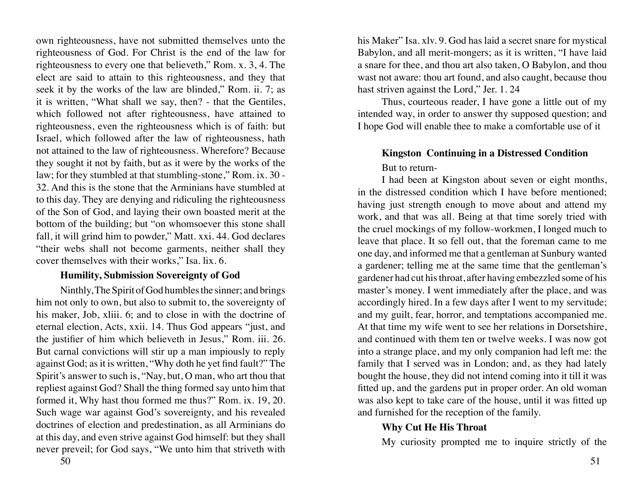<span id="page-25-0"></span>own righteousness, have not submitted themselves unto the righteousness of God. For Christ is the end of the law for righteousness to every one that believeth," Rom. x. 3, 4. The elect are said to attain to this righteousness, and they that seek it by the works of the law are blinded," Rom. ii. 7; as it is written, "What shall we say, then? - that the Gentiles, which followed not after righteousness, have attained to righteousness, even the righteousness which is of faith: but Israel, which followed after the law of righteousness, hath not attained to the law of righteousness. Wherefore? Because they sought it not by faith, but as it were by the works of the law; for they stumbled at that stumbling-stone," Rom. ix. 30 - 32. And this is the stone that the Arminians have stumbled at to this day. They are denying and ridiculing the righteousness of the Son of God, and laying their own boasted merit at the bottom of the building; but "on whomsoever this stone shall fall, it will grind him to powder," Matt. xxi. 44. God declares "their webs shall not become garments, neither shall they cover themselves with their works," Isa. lix. 6.

#### **Humility, Submission Sovereignty of God**

Ninthly, The Spirit of God humbles the sinner; and brings him not only to own, but also to submit to, the sovereignty of his maker, Job, xliii. 6; and to close in with the doctrine of eternal election, Acts, xxii. 14. Thus God appears "just, and the justifier of him which believeth in Jesus," Rom. iii. 26. But carnal convictions will stir up a man impiously to reply against God; as it is written, "Why doth he yet find fault?" The Spirit's answer to such is, "Nay, but, O man, who art thou that repliest against God? Shall the thing formed say unto him that formed it, Why hast thou formed me thus?" Rom. ix. 19, 20. Such wage war against God's sovereignty, and his revealed doctrines of election and predestination, as all Arminians do at this day, and even strive against God himself: but they shall never preveil; for God says, "We unto him that striveth with

his Maker" Isa. xlv. 9. God has laid a secret snare for mystical Babylon, and all merit-mongers; as it is written, "I have laid a snare for thee, and thou art also taken, O Babylon, and thou wast not aware: thou art found, and also caught, because thou hast striven against the Lord," Jer. 1.24

Thus, courteous reader, I have gone a little out of my intended way, in order to answer thy supposed question; and I hope God will enable thee to make a comfortable use of it

# **Kingston Continuing in a Distressed Condition**

# But to return-

I had been at Kingston about seven or eight months, in the distressed condition which I have before mentioned; having just strength enough to move about and attend my work, and that was all. Being at that time sorely tried with the cruel mockings of my follow-workmen, I longed much to leave that place. It so fell out, that the foreman came to me one day, and informed me that a gentleman at Sunbury wanted a gardener; telling me at the same time that the gentleman's gardener had cut his throat, after having embezzled some of his master's money. I went immediately after the place, and was accordingly hired. In a few days after I went to my servitude; and my guilt, fear, horror, and temptations accompanied me. At that time my wife went to see her relations in Dorsetshire, and continued with them ten or twelve weeks. I was now got into a strange place, and my only companion had left me: the family that I served was in London; and, as they had lately bought the house, they did not intend coming into it till it was fitted up, and the gardens put in proper order. An old woman was also kept to take care of the house, until it was fitted up and furnished for the reception of the family.

# **Why Cut He His Throat**

My curiosity prompted me to inquire strictly of the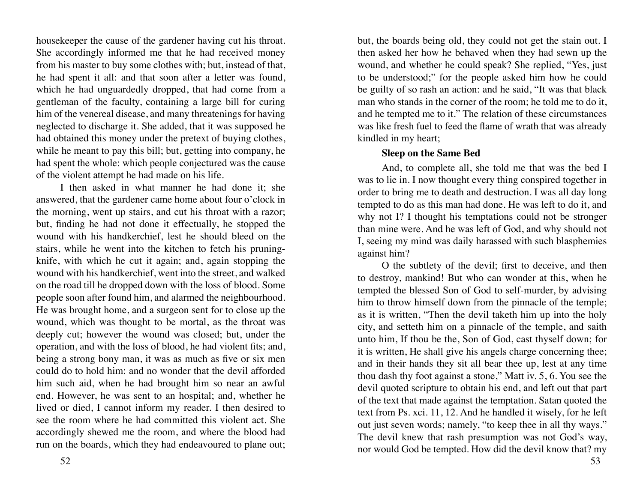<span id="page-26-0"></span>housekeeper the cause of the gardener having cut his throat. She accordingly informed me that he had received money from his master to buy some clothes with; but, instead of that, he had spent it all: and that soon after a letter was found, which he had unguardedly dropped, that had come from a gentleman of the faculty, containing a large bill for curing him of the venereal disease, and many threatenings for having neglected to discharge it. She added, that it was supposed he had obtained this money under the pretext of buying clothes, while he meant to pay this bill; but, getting into company, he had spent the whole: which people conjectured was the cause of the violent attempt he had made on his life.

I then asked in what manner he had done it; she answered, that the gardener came home about four o'clock in the morning, went up stairs, and cut his throat with a razor; but, finding he had not done it effectually, he stopped the wound with his handkerchief, lest he should bleed on the stairs, while he went into the kitchen to fetch his pruningknife, with which he cut it again; and, again stopping the wound with his handkerchief, went into the street, and walked on the road till he dropped down with the loss of blood. Some people soon after found him, and alarmed the neighbourhood. He was brought home, and a surgeon sent for to close up the wound, which was thought to be mortal, as the throat was deeply cut; however the wound was closed; but, under the operation, and with the loss of blood, he had violent fits; and, being a strong bony man, it was as much as five or six men could do to hold him: and no wonder that the devil afforded him such aid, when he had brought him so near an awful end. However, he was sent to an hospital; and, whether he lived or died, I cannot inform my reader. I then desired to see the room where he had committed this violent act. She accordingly shewed me the room, and where the blood had run on the boards, which they had endeavoured to plane out;

but, the boards being old, they could not get the stain out. I then asked her how he behaved when they had sewn up the wound, and whether he could speak? She replied, "Yes, just to be understood;" for the people asked him how he could be guilty of so rash an action: and he said, "It was that black man who stands in the corner of the room; he told me to do it, and he tempted me to it." The relation of these circumstances was like fresh fuel to feed the flame of wrath that was already kindled in my heart;

#### **Sleep on the Same Bed**

And, to complete all, she told me that was the bed I was to lie in. I now thought every thing conspired together in order to bring me to death and destruction. I was all day long tempted to do as this man had done. He was left to do it, and why not I? I thought his temptations could not be stronger than mine were. And he was left of God, and why should not I, seeing my mind was daily harassed with such blasphemies against him?

O the subtlety of the devil; first to deceive, and then to destroy, mankind! But who can wonder at this, when he tempted the blessed Son of God to self-murder, by advising him to throw himself down from the pinnacle of the temple; as it is written, "Then the devil taketh him up into the holy city, and setteth him on a pinnacle of the temple, and saith unto him, If thou be the, Son of God, cast thyself down; for it is written, He shall give his angels charge concerning thee; and in their hands they sit all bear thee up, lest at any time thou dash thy foot against a stone," Matt iv. 5, 6. You see the devil quoted scripture to obtain his end, and left out that part of the text that made against the temptation. Satan quoted the text from Ps. xci. 11, 12. And he handled it wisely, for he left out just seven words; namely, "to keep thee in all thy ways." The devil knew that rash presumption was not God's way, nor would God be tempted. How did the devil know that? my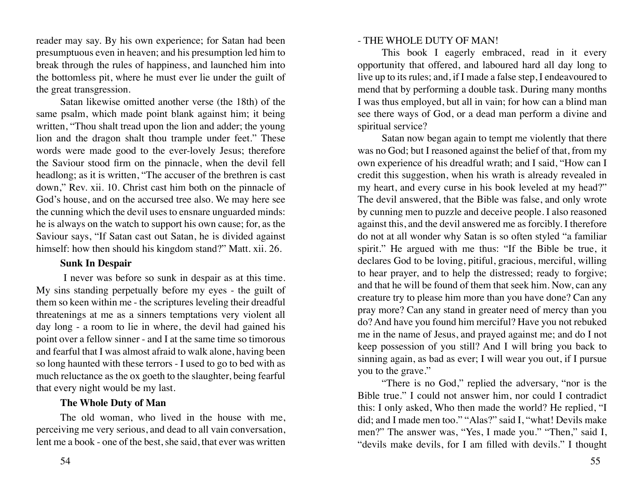<span id="page-27-0"></span>reader may say. By his own experience; for Satan had been presumptuous even in heaven; and his presumption led him to break through the rules of happiness, and launched him into the bottomless pit, where he must ever lie under the guilt of the great transgression.

Satan likewise omitted another verse (the 18th) of the same psalm, which made point blank against him; it being written, "Thou shalt tread upon the lion and adder; the young lion and the dragon shalt thou trample under feet." These words were made good to the ever-lovely Jesus; therefore the Saviour stood firm on the pinnacle, when the devil fell headlong; as it is written, "The accuser of the brethren is cast down," Rev. xii. 10. Christ cast him both on the pinnacle of God's house, and on the accursed tree also. We may here see the cunning which the devil uses to ensnare unguarded minds: he is always on the watch to support his own cause; for, as the Saviour says, "If Satan cast out Satan, he is divided against himself: how then should his kingdom stand?" Matt. xii. 26.

#### **Sunk In Despair**

 I never was before so sunk in despair as at this time. My sins standing perpetually before my eyes - the guilt of them so keen within me - the scriptures leveling their dreadful threatenings at me as a sinners temptations very violent all day long - a room to lie in where, the devil had gained his point over a fellow sinner - and I at the same time so timorous and fearful that I was almost afraid to walk alone, having been so long haunted with these terrors - I used to go to bed with as much reluctance as the ox goeth to the slaughter, being fearful that every night would be my last.

#### **The Whole Duty of Man**

The old woman, who lived in the house with me, perceiving me very serious, and dead to all vain conversation, lent me a book - one of the best, she said, that ever was written

# - THE WHOLE DUTY OF MAN!

This book I eagerly embraced, read in it every opportunity that offered, and laboured hard all day long to live up to its rules; and, if I made a false step, I endeavoured to mend that by performing a double task. During many months I was thus employed, but all in vain; for how can a blind man see there ways of God, or a dead man perform a divine and spiritual service?

Satan now began again to tempt me violently that there was no God; but I reasoned against the belief of that, from my own experience of his dreadful wrath; and I said, "How can I credit this suggestion, when his wrath is already revealed in my heart, and every curse in his book leveled at my head?" The devil answered, that the Bible was false, and only wrote by cunning men to puzzle and deceive people. I also reasoned against this, and the devil answered me as forcibly. I therefore do not at all wonder why Satan is so often styled "a familiar spirit." He argued with me thus: "If the Bible be true, it declares God to be loving, pitiful, gracious, merciful, willing to hear prayer, and to help the distressed; ready to forgive; and that he will be found of them that seek him. Now, can any creature try to please him more than you have done? Can any pray more? Can any stand in greater need of mercy than you do? And have you found him merciful? Have you not rebuked me in the name of Jesus, and prayed against me; and do I not keep possession of you still? And I will bring you back to sinning again, as bad as ever; I will wear you out, if I pursue you to the grave."

"There is no God," replied the adversary, "nor is the Bible true." I could not answer him, nor could I contradict this: I only asked, Who then made the world? He replied, "I did; and I made men too." "Alas?" said I, "what! Devils make men?" The answer was, "Yes, I made you." "Then," said I, "devils make devils, for I am filled with devils." I thought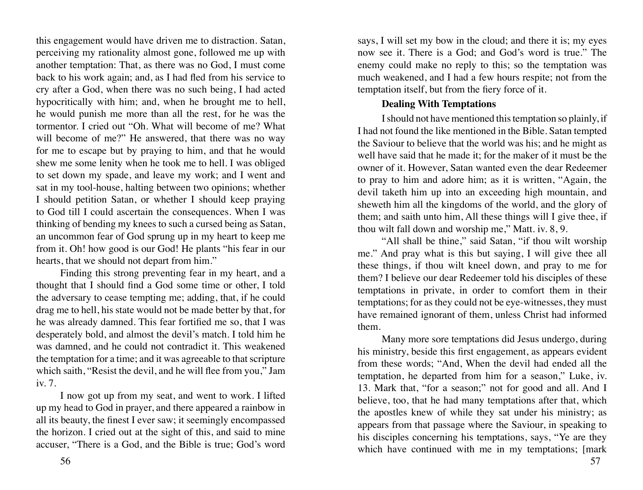<span id="page-28-0"></span>this engagement would have driven me to distraction. Satan, perceiving my rationality almost gone, followed me up with another temptation: That, as there was no God, I must come back to his work again; and, as I had fled from his service to cry after a God, when there was no such being, I had acted hypocritically with him; and, when he brought me to hell, he would punish me more than all the rest, for he was the tormentor. I cried out "Oh. What will become of me? What will become of me?" He answered, that there was no way for me to escape but by praying to him, and that he would shew me some lenity when he took me to hell. I was obliged to set down my spade, and leave my work; and I went and sat in my tool-house, halting between two opinions; whether I should petition Satan, or whether I should keep praying to God till I could ascertain the consequences. When I was thinking of bending my knees to such a cursed being as Satan, an uncommon fear of God sprung up in my heart to keep me from it. Oh! how good is our God! He plants "his fear in our hearts, that we should not depart from him."

Finding this strong preventing fear in my heart, and a thought that I should find a God some time or other, I told the adversary to cease tempting me; adding, that, if he could drag me to hell, his state would not be made better by that, for he was already damned. This fear fortified me so, that I was desperately bold, and almost the devil's match. I told him he was damned, and he could not contradict it. This weakened the temptation for a time; and it was agreeable to that scripture which saith, "Resist the devil, and he will flee from you," Jam iv. 7.

I now got up from my seat, and went to work. I lifted up my head to God in prayer, and there appeared a rainbow in all its beauty, the finest I ever saw; it seemingly encompassed the horizon. I cried out at the sight of this, and said to mine accuser, "There is a God, and the Bible is true; God's word

says, I will set my bow in the cloud; and there it is; my eyes now see it. There is a God; and God's word is true." The enemy could make no reply to this; so the temptation was much weakened, and I had a few hours respite; not from the temptation itself, but from the fiery force of it.

#### **Dealing With Temptations**

I should not have mentioned this temptation so plainly, if I had not found the like mentioned in the Bible. Satan tempted the Saviour to believe that the world was his; and he might as well have said that he made it; for the maker of it must be the owner of it. However, Satan wanted even the dear Redeemer to pray to him and adore him; as it is written, "Again, the devil taketh him up into an exceeding high mountain, and sheweth him all the kingdoms of the world, and the glory of them; and saith unto him, All these things will I give thee, if thou wilt fall down and worship me," Matt. iv. 8, 9.

"All shall be thine," said Satan, "if thou wilt worship me." And pray what is this but saying, I will give thee all these things, if thou wilt kneel down, and pray to me for them? I believe our dear Redeemer told his disciples of these temptations in private, in order to comfort them in their temptations; for as they could not be eye-witnesses, they must have remained ignorant of them, unless Christ had informed them.

Many more sore temptations did Jesus undergo, during his ministry, beside this first engagement, as appears evident from these words; "And, When the devil had ended all the temptation, he departed from him for a season," Luke, iv. 13. Mark that, "for a season;" not for good and all. And I believe, too, that he had many temptations after that, which the apostles knew of while they sat under his ministry; as appears from that passage where the Saviour, in speaking to his disciples concerning his temptations, says, "Ye are they which have continued with me in my temptations; [mark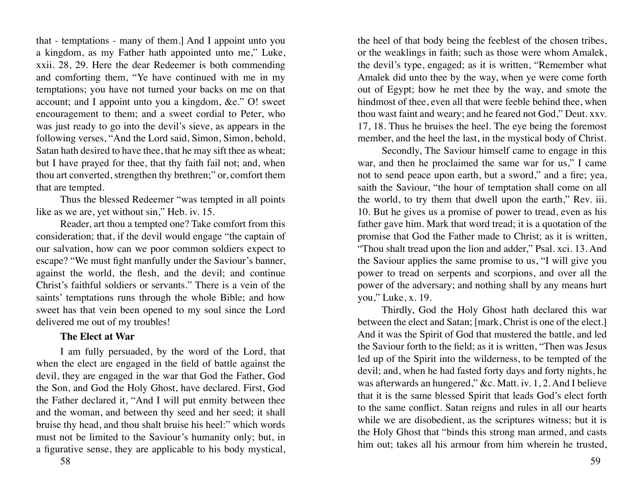<span id="page-29-0"></span>that - temptations - many of them.] And I appoint unto you a kingdom, as my Father hath appointed unto me," Luke, xxii. 28, 29. Here the dear Redeemer is both commending and comforting them, "Ye have continued with me in my temptations; you have not turned your backs on me on that account; and I appoint unto you a kingdom, &e." O! sweet encouragement to them; and a sweet cordial to Peter, who was just ready to go into the devil's sieve, as appears in the following verses, "And the Lord said, Simon, Simon, behold, Satan hath desired to have thee, that he may sift thee as wheat; but I have prayed for thee, that thy faith fail not; and, when thou art converted, strengthen thy brethren;" or, comfort them that are tempted.

Thus the blessed Redeemer "was tempted in all points like as we are, yet without sin," Heb. iv. 15.

Reader, art thou a tempted one? Take comfort from this consideration; that, if the devil would engage "the captain of our salvation, how can we poor common soldiers expect to escape? "We must fight manfully under the Saviour's banner, against the world, the flesh, and the devil; and continue Christ's faithful soldiers or servants." There is a vein of the saints' temptations runs through the whole Bible; and how sweet has that vein been opened to my soul since the Lord delivered me out of my troubles!

# **The Elect at War**

I am fully persuaded, by the word of the Lord, that when the elect are engaged in the field of battle against the devil, they are engaged in the war that God the Father, God the Son, and God the Holy Ghost, have declared. First, God the Father declared it, "And I will put enmity between thee and the woman, and between thy seed and her seed; it shall bruise thy head, and thou shalt bruise his heel:" which words must not be limited to the Saviour's humanity only; but, in a figurative sense, they are applicable to his body mystical,

the heel of that body being the feeblest of the chosen tribes, or the weaklings in faith; such as those were whom Amalek, the devil's type, engaged; as it is written, "Remember what Amalek did unto thee by the way, when ye were come forth out of Egypt; how he met thee by the way, and smote the hindmost of thee, even all that were feeble behind thee, when thou wast faint and weary; and he feared not God," Deut. xxv. 17, 18. Thus he bruises the heel. The eye being the foremost member, and the heel the last, in the mystical body of Christ.

Secondly, The Saviour himself came to engage in this war, and then he proclaimed the same war for us," I came not to send peace upon earth, but a sword," and a fire; yea, saith the Saviour, "the hour of temptation shall come on all the world, to try them that dwell upon the earth," Rev. iii. 10. But he gives us a promise of power to tread, even as his father gave him. Mark that word tread; it is a quotation of the promise that God the Father made to Christ; as it is written, "Thou shalt tread upon the lion and adder," Psal. xci. 13. And the Saviour applies the same promise to us, "I will give you power to tread on serpents and scorpions, and over all the power of the adversary; and nothing shall by any means hurt you," Luke, x. 19.

Thirdly, God the Holy Ghost hath declared this war between the elect and Satan; [mark, Christ is one of the elect.] And it was the Spirit of God that mustered the battle, and led the Saviour forth to the field; as it is written, "Then was Jesus led up of the Spirit into the wilderness, to be tempted of the devil; and, when he had fasted forty days and forty nights, he was afterwards an hungered," &c. Matt. iv. 1, 2. And I believe that it is the same blessed Spirit that leads God's elect forth to the same conflict. Satan reigns and rules in all our hearts while we are disobedient, as the scriptures witness; but it is the Holy Ghost that "binds this strong man armed, and casts him out; takes all his armour from him wherein he trusted.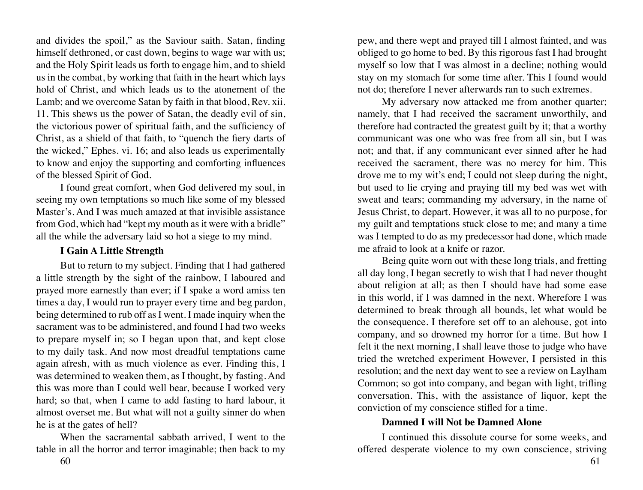<span id="page-30-0"></span>and divides the spoil," as the Saviour saith. Satan, finding himself dethroned, or cast down, begins to wage war with us; and the Holy Spirit leads us forth to engage him, and to shield us in the combat, by working that faith in the heart which lays hold of Christ, and which leads us to the atonement of the Lamb; and we overcome Satan by faith in that blood, Rev. xii. 11. This shews us the power of Satan, the deadly evil of sin, the victorious power of spiritual faith, and the sufficiency of Christ, as a shield of that faith, to "quench the fiery darts of the wicked," Ephes. vi. 16; and also leads us experimentally to know and enjoy the supporting and comforting influences of the blessed Spirit of God.

I found great comfort, when God delivered my soul, in seeing my own temptations so much like some of my blessed Master's. And I was much amazed at that invisible assistance from God, which had "kept my mouth as it were with a bridle" all the while the adversary laid so hot a siege to my mind.

#### **I Gain A Little Strength**

But to return to my subject. Finding that I had gathered a little strength by the sight of the rainbow, I laboured and prayed more earnestly than ever; if I spake a word amiss ten times a day, I would run to prayer every time and beg pardon, being determined to rub off as I went. I made inquiry when the sacrament was to be administered, and found I had two weeks to prepare myself in; so I began upon that, and kept close to my daily task. And now most dreadful temptations came again afresh, with as much violence as ever. Finding this, I was determined to weaken them, as I thought, by fasting. And this was more than I could well bear, because I worked very hard; so that, when I came to add fasting to hard labour, it almost overset me. But what will not a guilty sinner do when he is at the gates of hell?

When the sacramental sabbath arrived, I went to the table in all the horror and terror imaginable; then back to my

pew, and there wept and prayed till I almost fainted, and was obliged to go home to bed. By this rigorous fast I had brought myself so low that I was almost in a decline; nothing would stay on my stomach for some time after. This I found would not do; therefore I never afterwards ran to such extremes.

My adversary now attacked me from another quarter; namely, that I had received the sacrament unworthily, and therefore had contracted the greatest guilt by it; that a worthy communicant was one who was free from all sin, but I was not; and that, if any communicant ever sinned after he had received the sacrament, there was no mercy for him. This drove me to my wit's end; I could not sleep during the night, but used to lie crying and praying till my bed was wet with sweat and tears; commanding my adversary, in the name of Jesus Christ, to depart. However, it was all to no purpose, for my guilt and temptations stuck close to me; and many a time was I tempted to do as my predecessor had done, which made me afraid to look at a knife or razor.

Being quite worn out with these long trials, and fretting all day long, I began secretly to wish that I had never thought about religion at all; as then I should have had some ease in this world, if I was damned in the next. Wherefore I was determined to break through all bounds, let what would be the consequence. I therefore set off to an alehouse, got into company, and so drowned my horror for a time. But how I felt it the next morning, I shall leave those to judge who have tried the wretched experiment However, I persisted in this resolution; and the next day went to see a review on Laylham Common; so got into company, and began with light, trifling conversation. This, with the assistance of liquor, kept the conviction of my conscience stifled for a time.

#### **Damned I will Not be Damned Alone**

I continued this dissolute course for some weeks, and offered desperate violence to my own conscience, striving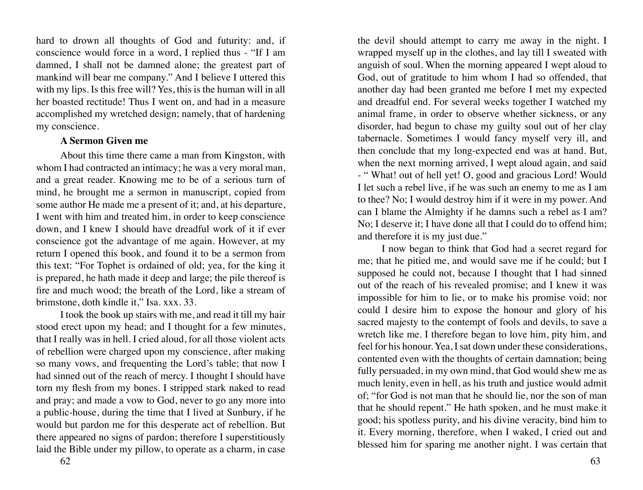<span id="page-31-0"></span>hard to drown all thoughts of God and futurity: and, if conscience would force in a word, I replied thus - "If I am damned, I shall not be damned alone; the greatest part of mankind will bear me company." And I believe I uttered this with my lips. Is this free will? Yes, this is the human will in all her boasted rectitude! Thus I went on, and had in a measure accomplished my wretched design; namely, that of hardening my conscience.

#### **A Sermon Given me**

About this time there came a man from Kingston, with whom I had contracted an intimacy; he was a very moral man, and a great reader. Knowing me to be of a serious turn of mind, he brought me a sermon in manuscript, copied from some author He made me a present of it; and, at his departure, I went with him and treated him, in order to keep conscience down, and I knew I should have dreadful work of it if ever conscience got the advantage of me again. However, at my return I opened this book, and found it to be a sermon from this text: "For Tophet is ordained of old; yea, for the king it is prepared, he hath made it deep and large; the pile thereof is fire and much wood; the breath of the Lord, like a stream of brimstone, doth kindle it," Isa. xxx. 33.

I took the book up stairs with me, and read it till my hair stood erect upon my head; and I thought for a few minutes, that I really was in hell. I cried aloud, for all those violent acts of rebellion were charged upon my conscience, after making so many vows, and frequenting the Lord's table; that now I had sinned out of the reach of mercy. I thought I should have torn my flesh from my bones. I stripped stark naked to read and pray; and made a vow to God, never to go any more into a public-house, during the time that I lived at Sunbury, if he would but pardon me for this desperate act of rebellion. But there appeared no signs of pardon; therefore I superstitiously laid the Bible under my pillow, to operate as a charm, in case

the devil should attempt to carry me away in the night. I wrapped myself up in the clothes, and lay till I sweated with anguish of soul. When the morning appeared I wept aloud to God, out of gratitude to him whom I had so offended, that another day had been granted me before I met my expected and dreadful end. For several weeks together I watched my animal frame, in order to observe whether sickness, or any disorder, had begun to chase my guilty soul out of her clay tabernacle. Sometimes I would fancy myself very ill, and then conclude that my long-expected end was at hand. But, when the next morning arrived, I wept aloud again, and said - " What! out of hell yet! O, good and gracious Lord! Would I let such a rebel live, if he was such an enemy to me as I am to thee? No; I would destroy him if it were in my power. And can I blame the Almighty if he damns such a rebel as I am? No; I deserve it; I have done all that I could do to offend him; and therefore it is my just due."

I now began to think that God had a secret regard for me; that he pitied me, and would save me if he could; but I supposed he could not, because I thought that I had sinned out of the reach of his revealed promise; and I knew it was impossible for him to lie, or to make his promise void: nor could I desire him to expose the honour and glory of his sacred majesty to the contempt of fools and devils, to save a wretch like me. I therefore began to love him, pity him, and feel for his honour. Yea, I sat down under these considerations, contented even with the thoughts of certain damnation; being fully persuaded, in my own mind, that God would shew me as much lenity, even in hell, as his truth and justice would admit of; "for God is not man that he should lie, nor the son of man that he should repent." He hath spoken, and he must make it good; his spotless purity, and his divine veracity, bind him to it. Every morning, therefore, when I waked, I cried out and blessed him for sparing me another night. I was certain that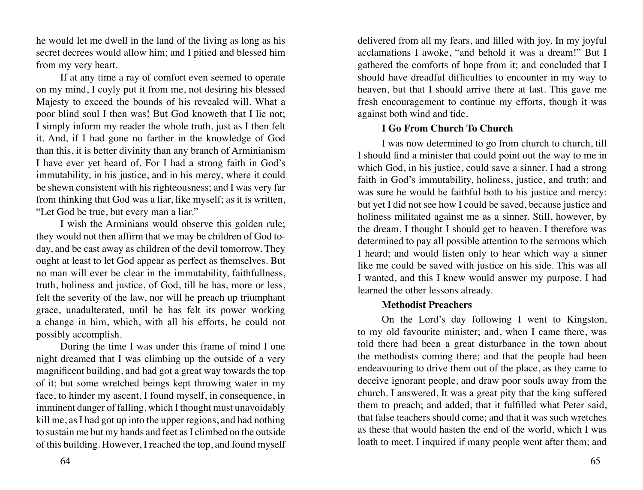<span id="page-32-0"></span>he would let me dwell in the land of the living as long as his secret decrees would allow him; and I pitied and blessed him from my very heart.

If at any time a ray of comfort even seemed to operate on my mind, I coyly put it from me, not desiring his blessed Majesty to exceed the bounds of his revealed will. What a poor blind soul I then was! But God knoweth that I lie not; I simply inform my reader the whole truth, just as I then felt it. And, if I had gone no farther in the knowledge of God than this, it is better divinity than any branch of Arminianism I have ever yet heard of. For I had a strong faith in God's immutability, in his justice, and in his mercy, where it could be shewn consistent with his righteousness; and I was very far from thinking that God was a liar, like myself; as it is written, "Let God be true, but every man a liar."

I wish the Arminians would observe this golden rule; they would not then affirm that we may be children of God today, and be cast away as children of the devil tomorrow. They ought at least to let God appear as perfect as themselves. But no man will ever be clear in the immutability, faithfullness, truth, holiness and justice, of God, till he has, more or less, felt the severity of the law, nor will he preach up triumphant grace, unadulterated, until he has felt its power working a change in him, which, with all his efforts, he could not possibly accomplish.

During the time I was under this frame of mind I one night dreamed that I was climbing up the outside of a very magnificent building, and had got a great way towards the top of it; but some wretched beings kept throwing water in my face, to hinder my ascent, I found myself, in consequence, in imminent danger of falling, which I thought must unavoidably kill me, as I had got up into the upper regions, and had nothing to sustain me but my hands and feet as I climbed on the outside of this building. However, I reached the top, and found myself

64 65

delivered from all my fears, and filled with joy. In my joyful acclamations I awoke, "and behold it was a dream!" But I gathered the comforts of hope from it; and concluded that I should have dreadful difficulties to encounter in my way to heaven, but that I should arrive there at last. This gave me fresh encouragement to continue my efforts, though it was against both wind and tide.

# **I Go From Church To Church**

I was now determined to go from church to church, till I should find a minister that could point out the way to me in which God, in his justice, could save a sinner. I had a strong faith in God's immutability, holiness, justice, and truth; and was sure he would he faithful both to his justice and mercy: but yet I did not see how I could be saved, because justice and holiness militated against me as a sinner. Still, however, by the dream, I thought I should get to heaven. I therefore was determined to pay all possible attention to the sermons which I heard; and would listen only to hear which way a sinner like me could be saved with justice on his side. This was all I wanted, and this I knew would answer my purpose. I had learned the other lessons already.

# **Methodist Preachers**

On the Lord's day following I went to Kingston, to my old favourite minister; and, when I came there, was told there had been a great disturbance in the town about the methodists coming there; and that the people had been endeavouring to drive them out of the place, as they came to deceive ignorant people, and draw poor souls away from the church. I answered, It was a great pity that the king suffered them to preach; and added, that it fulfilled what Peter said, that false teachers should come; and that it was such wretches as these that would hasten the end of the world, which I was loath to meet. I inquired if many people went after them; and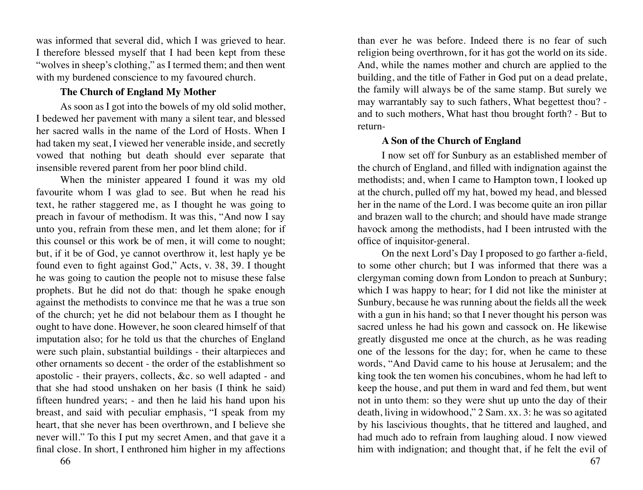<span id="page-33-0"></span>was informed that several did, which I was grieved to hear. I therefore blessed myself that I had been kept from these "wolves in sheep's clothing," as I termed them; and then went with my burdened conscience to my favoured church.

# **The Church of England My Mother**

As soon as I got into the bowels of my old solid mother, I bedewed her pavement with many a silent tear, and blessed her sacred walls in the name of the Lord of Hosts. When I had taken my seat, I viewed her venerable inside, and secretly vowed that nothing but death should ever separate that insensible revered parent from her poor blind child.

When the minister appeared I found it was my old favourite whom I was glad to see. But when he read his text, he rather staggered me, as I thought he was going to preach in favour of methodism. It was this, "And now I say unto you, refrain from these men, and let them alone; for if this counsel or this work be of men, it will come to nought; but, if it be of God, ye cannot overthrow it, lest haply ye be found even to fight against God," Acts, v. 38, 39. I thought he was going to caution the people not to misuse these false prophets. But he did not do that: though he spake enough against the methodists to convince me that he was a true son of the church; yet he did not belabour them as I thought he ought to have done. However, he soon cleared himself of that imputation also; for he told us that the churches of England were such plain, substantial buildings - their altarpieces and other ornaments so decent - the order of the establishment so apostolic - their prayers, collects, &c. so well adapted - and that she had stood unshaken on her basis (I think he said) fifteen hundred years; - and then he laid his hand upon his breast, and said with peculiar emphasis, "I speak from my heart, that she never has been overthrown, and I believe she never will." To this I put my secret Amen, and that gave it a final close. In short, I enthroned him higher in my affections

than ever he was before. Indeed there is no fear of such religion being overthrown, for it has got the world on its side. And, while the names mother and church are applied to the building, and the title of Father in God put on a dead prelate, the family will always be of the same stamp. But surely we may warrantably say to such fathers, What begettest thou? and to such mothers, What hast thou brought forth? - But to return-

# **A Son of the Church of England**

I now set off for Sunbury as an established member of the church of England, and filled with indignation against the methodists; and, when I came to Hampton town, I looked up at the church, pulled off my hat, bowed my head, and blessed her in the name of the Lord. I was become quite an iron pillar and brazen wall to the church; and should have made strange havock among the methodists, had I been intrusted with the office of inquisitor-general.

On the next Lord's Day I proposed to go farther a-field, to some other church; but I was informed that there was a clergyman coming down from London to preach at Sunbury; which I was happy to hear; for I did not like the minister at Sunbury, because he was running about the fields all the week with a gun in his hand; so that I never thought his person was sacred unless he had his gown and cassock on. He likewise greatly disgusted me once at the church, as he was reading one of the lessons for the day; for, when he came to these words, "And David came to his house at Jerusalem; and the king took the ten women his concubines, whom he had left to keep the house, and put them in ward and fed them, but went not in unto them: so they were shut up unto the day of their death, living in widowhood," 2 Sam. xx. 3: he was so agitated by his lascivious thoughts, that he tittered and laughed, and had much ado to refrain from laughing aloud. I now viewed him with indignation; and thought that, if he felt the evil of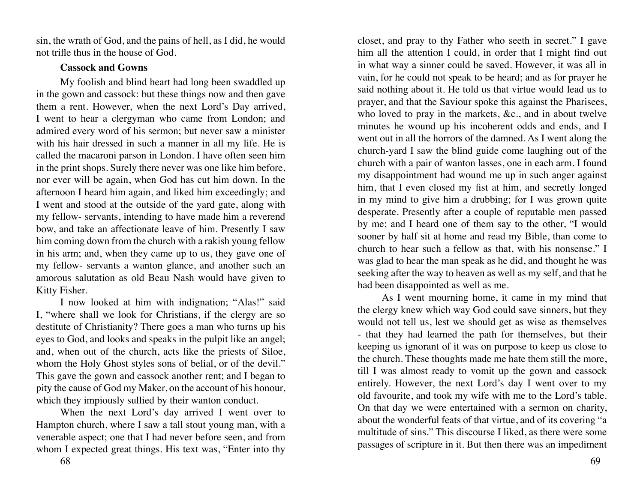<span id="page-34-0"></span>sin, the wrath of God, and the pains of hell, as I did, he would not trifle thus in the house of God.

#### **Cassock and Gowns**

My foolish and blind heart had long been swaddled up in the gown and cassock: but these things now and then gave them a rent. However, when the next Lord's Day arrived, I went to hear a clergyman who came from London; and admired every word of his sermon; but never saw a minister with his hair dressed in such a manner in all my life. He is called the macaroni parson in London. I have often seen him in the print shops. Surely there never was one like him before, nor ever will be again, when God has cut him down. In the afternoon I heard him again, and liked him exceedingly; and I went and stood at the outside of the yard gate, along with my fellow- servants, intending to have made him a reverend bow, and take an affectionate leave of him. Presently I saw him coming down from the church with a rakish young fellow in his arm; and, when they came up to us, they gave one of my fellow- servants a wanton glance, and another such an amorous salutation as old Beau Nash would have given to Kitty Fisher.

I now looked at him with indignation; "Alas!" said I, "where shall we look for Christians, if the clergy are so destitute of Christianity? There goes a man who turns up his eyes to God, and looks and speaks in the pulpit like an angel; and, when out of the church, acts like the priests of Siloe, whom the Holy Ghost styles sons of belial, or of the devil." This gave the gown and cassock another rent; and I began to pity the cause of God my Maker, on the account of his honour, which they impiously sullied by their wanton conduct.

When the next Lord's day arrived I went over to Hampton church, where I saw a tall stout young man, with a venerable aspect; one that I had never before seen, and from whom I expected great things. His text was, "Enter into thy

closet, and pray to thy Father who seeth in secret." I gave him all the attention I could, in order that I might find out in what way a sinner could be saved. However, it was all in vain, for he could not speak to be heard; and as for prayer he said nothing about it. He told us that virtue would lead us to prayer, and that the Saviour spoke this against the Pharisees, who loved to pray in the markets, &c., and in about twelve minutes he wound up his incoherent odds and ends, and I went out in all the horrors of the damned. As I went along the church-yard I saw the blind guide come laughing out of the church with a pair of wanton lasses, one in each arm. I found my disappointment had wound me up in such anger against him, that I even closed my fist at him, and secretly longed in my mind to give him a drubbing; for I was grown quite desperate. Presently after a couple of reputable men passed by me; and I heard one of them say to the other, "I would sooner by half sit at home and read my Bible, than come to church to hear such a fellow as that, with his nonsense." I was glad to hear the man speak as he did, and thought he was seeking after the way to heaven as well as my self, and that he had been disappointed as well as me.

As I went mourning home, it came in my mind that the clergy knew which way God could save sinners, but they would not tell us, lest we should get as wise as themselves - that they had learned the path for themselves, but their keeping us ignorant of it was on purpose to keep us close to the church. These thoughts made me hate them still the more, till I was almost ready to vomit up the gown and cassock entirely. However, the next Lord's day I went over to my old favourite, and took my wife with me to the Lord's table. On that day we were entertained with a sermon on charity, about the wonderful feats of that virtue, and of its covering "a multitude of sins." This discourse I liked, as there were some passages of scripture in it. But then there was an impediment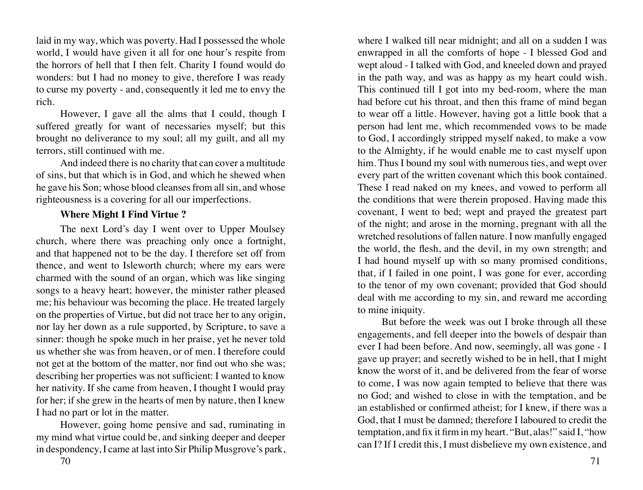<span id="page-35-0"></span>laid in my way, which was poverty. Had I possessed the whole world, I would have given it all for one hour's respite from the horrors of hell that I then felt. Charity I found would do wonders: but I had no money to give, therefore I was ready to curse my poverty - and, consequently it led me to envy the rich.

However, I gave all the alms that I could, though I suffered greatly for want of necessaries myself; but this brought no deliverance to my soul; all my guilt, and all my terrors, still continued with me.

And indeed there is no charity that can cover a multitude of sins, but that which is in God, and which he shewed when he gave his Son; whose blood cleanses from all sin, and whose righteousness is a covering for all our imperfections.

# **Where Might I Find Virtue ?**

The next Lord's day I went over to Upper Moulsey church, where there was preaching only once a fortnight, and that happened not to be the day. I therefore set off from thence, and went to Isleworth church; where my ears were charmed with the sound of an organ, which was like singing songs to a heavy heart; however, the minister rather pleased me; his behaviour was becoming the place. He treated largely on the properties of Virtue, but did not trace her to any origin, nor lay her down as a rule supported, by Scripture, to save a sinner: though he spoke much in her praise, yet he never told us whether she was from heaven, or of men. I therefore could not get at the bottom of the matter, nor find out who she was; describing her properties was not sufficient: I wanted to know her nativity. If she came from heaven, I thought I would pray for her; if she grew in the hearts of men by nature, then I knew I had no part or lot in the matter.

However, going home pensive and sad, ruminating in my mind what virtue could be, and sinking deeper and deeper in despondency, I came at last into Sir Philip Musgrove's park,

where I walked till near midnight; and all on a sudden I was enwrapped in all the comforts of hope - I blessed God and wept aloud - I talked with God, and kneeled down and prayed in the path way, and was as happy as my heart could wish. This continued till I got into my bed-room, where the man had before cut his throat, and then this frame of mind began to wear off a little. However, having got a little book that a person had lent me, which recommended vows to be made to God, I accordingly stripped myself naked, to make a vow to the Almighty, if he would enable me to cast myself upon him. Thus I bound my soul with numerous ties, and wept over every part of the written covenant which this book contained. These I read naked on my knees, and vowed to perform all the conditions that were therein proposed. Having made this covenant, I went to bed; wept and prayed the greatest part of the night; and arose in the morning, pregnant with all the wretched resolutions of fallen nature. I now manfully engaged the world, the flesh, and the devil, in my own strength; and I had hound myself up with so many promised conditions, that, if I failed in one point, I was gone for ever, according to the tenor of my own covenant; provided that God should deal with me according to my sin, and reward me according to mine iniquity.

But before the week was out I broke through all these engagements, and fell deeper into the bowels of despair than ever I had been before. And now, seemingly, all was gone - I gave up prayer; and secretly wished to be in hell, that I might know the worst of it, and be delivered from the fear of worse to come, I was now again tempted to believe that there was no God; and wished to close in with the temptation, and be an established or confirmed atheist; for I knew, if there was a God, that I must be damned; therefore I laboured to credit the temptation, and fix it firm in my heart. "But, alas!" said I, "how can I? If I credit this, I must disbelieve my own existence, and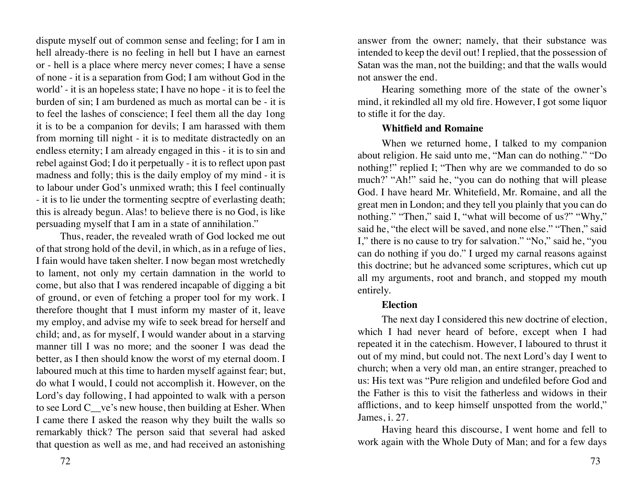dispute myself out of common sense and feeling; for I am in hell already-there is no feeling in hell but I have an earnest or - hell is a place where mercy never comes; I have a sense of none - it is a separation from God; I am without God in the world' - it is an hopeless state; I have no hope - it is to feel the burden of sin; I am burdened as much as mortal can be - it is to feel the lashes of conscience; I feel them all the day 1ong it is to be a companion for devils; I am harassed with them from morning till night - it is to meditate distractedly on an endless eternity; I am already engaged in this - it is to sin and rebel against God; I do it perpetually - it is to reflect upon past madness and folly; this is the daily employ of my mind - it is to labour under God's unmixed wrath; this I feel continually - it is to lie under the tormenting secptre of everlasting death; this is already begun. Alas! to believe there is no God, is like persuading myself that I am in a state of annihilation."

Thus, reader, the revealed wrath of God locked me out of that strong hold of the devil, in which, as in a refuge of lies, I fain would have taken shelter. I now began most wretchedly to lament, not only my certain damnation in the world to come, but also that I was rendered incapable of digging a bit of ground, or even of fetching a proper tool for my work. I therefore thought that I must inform my master of it, leave my employ, and advise my wife to seek bread for herself and child; and, as for myself, I would wander about in a starving manner till I was no more; and the sooner I was dead the better, as I then should know the worst of my eternal doom. I laboured much at this time to harden myself against fear; but, do what I would, I could not accomplish it. However, on the Lord's day following, I had appointed to walk with a person to see Lord C\_\_ve's new house, then building at Esher. When I came there I asked the reason why they built the walls so remarkably thick? The person said that several had asked that question as well as me, and had received an astonishing

answer from the owner; namely, that their substance was intended to keep the devil out! I replied, that the possession of Satan was the man, not the building; and that the walls would not answer the end.

Hearing something more of the state of the owner's mind, it rekindled all my old fire. However, I got some liquor to stifle it for the day.

### **Whitfield and Romaine**

When we returned home, I talked to my companion about religion. He said unto me, "Man can do nothing." "Do nothing!" replied I; "Then why are we commanded to do so much?' "Ah!" said he, "you can do nothing that will please God. I have heard Mr. Whitefield, Mr. Romaine, and all the great men in London; and they tell you plainly that you can do nothing." "Then," said I, "what will become of us?" "Why," said he, "the elect will be saved, and none else." "Then," said I," there is no cause to try for salvation." "No," said he, "you can do nothing if you do." I urged my carnal reasons against this doctrine; but he advanced some scriptures, which cut up all my arguments, root and branch, and stopped my mouth entirely.

# **Election**

The next day I considered this new doctrine of election, which I had never heard of before, except when I had repeated it in the catechism. However, I laboured to thrust it out of my mind, but could not. The next Lord's day I went to church; when a very old man, an entire stranger, preached to us: His text was "Pure religion and undefiled before God and the Father is this to visit the fatherless and widows in their afflictions, and to keep himself unspotted from the world," James, i. 27.

Having heard this discourse, I went home and fell to work again with the Whole Duty of Man; and for a few days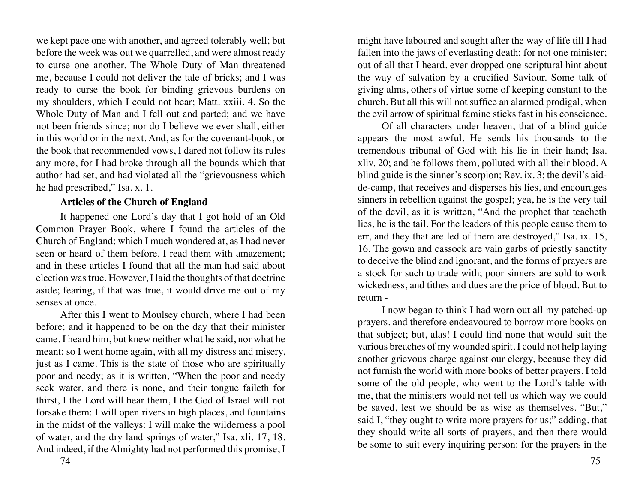we kept pace one with another, and agreed tolerably well; but before the week was out we quarrelled, and were almost ready to curse one another. The Whole Duty of Man threatened me, because I could not deliver the tale of bricks; and I was ready to curse the book for binding grievous burdens on my shoulders, which I could not bear; Matt. xxiii. 4. So the Whole Duty of Man and I fell out and parted; and we have not been friends since; nor do I believe we ever shall, either in this world or in the next. And, as for the covenant-book, or the book that recommended vows, I dared not follow its rules any more, for I had broke through all the bounds which that author had set, and had violated all the "grievousness which he had prescribed," Isa. x. 1.

## **Articles of the Church of England**

It happened one Lord's day that I got hold of an Old Common Prayer Book, where I found the articles of the Church of England; which I much wondered at, as I had never seen or heard of them before. I read them with amazement; and in these articles I found that all the man had said about election was true. However, I laid the thoughts of that doctrine aside; fearing, if that was true, it would drive me out of my senses at once.

After this I went to Moulsey church, where I had been before; and it happened to be on the day that their minister came. I heard him, but knew neither what he said, nor what he meant: so I went home again, with all my distress and misery, just as I came. This is the state of those who are spiritually poor and needy; as it is written, "When the poor and needy seek water, and there is none, and their tongue faileth for thirst, I the Lord will hear them, I the God of Israel will not forsake them: I will open rivers in high places, and fountains in the midst of the valleys: I will make the wilderness a pool of water, and the dry land springs of water," Isa. xli. 17, 18. And indeed, if the Almighty had not performed this promise, I

might have laboured and sought after the way of life till I had fallen into the jaws of everlasting death; for not one minister; out of all that I heard, ever dropped one scriptural hint about the way of salvation by a crucified Saviour. Some talk of giving alms, others of virtue some of keeping constant to the church. But all this will not suffice an alarmed prodigal, when the evil arrow of spiritual famine sticks fast in his conscience.

Of all characters under heaven, that of a blind guide appears the most awful. He sends his thousands to the tremendous tribunal of God with his lie in their hand; Isa. xliv. 20; and he follows them, polluted with all their blood. A blind guide is the sinner's scorpion; Rev. ix. 3; the devil's aidde-camp, that receives and disperses his lies, and encourages sinners in rebellion against the gospel; yea, he is the very tail of the devil, as it is written, "And the prophet that teacheth lies, he is the tail. For the leaders of this people cause them to err, and they that are led of them are destroyed," Isa. ix. 15, 16. The gown and cassock are vain garbs of priestly sanctity to deceive the blind and ignorant, and the forms of prayers are a stock for such to trade with; poor sinners are sold to work wickedness, and tithes and dues are the price of blood. But to return -

I now began to think I had worn out all my patched-up prayers, and therefore endeavoured to borrow more books on that subject; but, alas! I could find none that would suit the various breaches of my wounded spirit. I could not help laying another grievous charge against our clergy, because they did not furnish the world with more books of better prayers. I told some of the old people, who went to the Lord's table with me, that the ministers would not tell us which way we could be saved, lest we should be as wise as themselves. "But," said I, "they ought to write more prayers for us;" adding, that they should write all sorts of prayers, and then there would be some to suit every inquiring person: for the prayers in the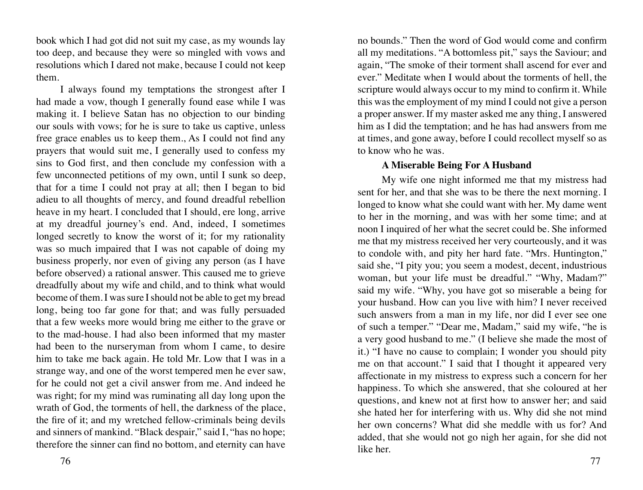book which I had got did not suit my case, as my wounds lay too deep, and because they were so mingled with vows and resolutions which I dared not make, because I could not keep them.

I always found my temptations the strongest after I had made a vow, though I generally found ease while I was making it. I believe Satan has no objection to our binding our souls with vows; for he is sure to take us captive, unless free grace enables us to keep them., As I could not find any prayers that would suit me, I generally used to confess my sins to God first, and then conclude my confession with a few unconnected petitions of my own, until I sunk so deep, that for a time I could not pray at all; then I began to bid adieu to all thoughts of mercy, and found dreadful rebellion heave in my heart. I concluded that I should, ere long, arrive at my dreadful journey's end. And, indeed, I sometimes longed secretly to know the worst of it; for my rationality was so much impaired that I was not capable of doing my business properly, nor even of giving any person (as I have before observed) a rational answer. This caused me to grieve dreadfully about my wife and child, and to think what would become of them. I was sure I should not be able to get my bread long, being too far gone for that; and was fully persuaded that a few weeks more would bring me either to the grave or to the mad-house. I had also been informed that my master had been to the nurseryman from whom I came, to desire him to take me back again. He told Mr. Low that I was in a strange way, and one of the worst tempered men he ever saw, for he could not get a civil answer from me. And indeed he was right; for my mind was ruminating all day long upon the wrath of God, the torments of hell, the darkness of the place, the fire of it; and my wretched fellow-criminals being devils and sinners of mankind. "Black despair," said I, "has no hope; therefore the sinner can find no bottom, and eternity can have

no bounds." Then the word of God would come and confirm all my meditations. "A bottomless pit," says the Saviour; and again, "The smoke of their torment shall ascend for ever and ever." Meditate when I would about the torments of hell, the scripture would always occur to my mind to confirm it. While this was the employment of my mind I could not give a person a proper answer. If my master asked me any thing, I answered him as I did the temptation; and he has had answers from me at times, and gone away, before I could recollect myself so as to know who he was.

#### **A Miserable Being For A Husband**

My wife one night informed me that my mistress had sent for her, and that she was to be there the next morning. I longed to know what she could want with her. My dame went to her in the morning, and was with her some time; and at noon I inquired of her what the secret could be. She informed me that my mistress received her very courteously, and it was to condole with, and pity her hard fate. "Mrs. Huntington," said she, "I pity you; you seem a modest, decent, industrious woman, but your life must be dreadful." "Why, Madam?" said my wife. "Why, you have got so miserable a being for your husband. How can you live with him? I never received such answers from a man in my life, nor did I ever see one of such a temper." "Dear me, Madam," said my wife, "he is a very good husband to me." (I believe she made the most of it.) "I have no cause to complain; I wonder you should pity me on that account." I said that I thought it appeared very affectionate in my mistress to express such a concern for her happiness. To which she answered, that she coloured at her questions, and knew not at first how to answer her; and said she hated her for interfering with us. Why did she not mind her own concerns? What did she meddle with us for? And added, that she would not go nigh her again, for she did not like her.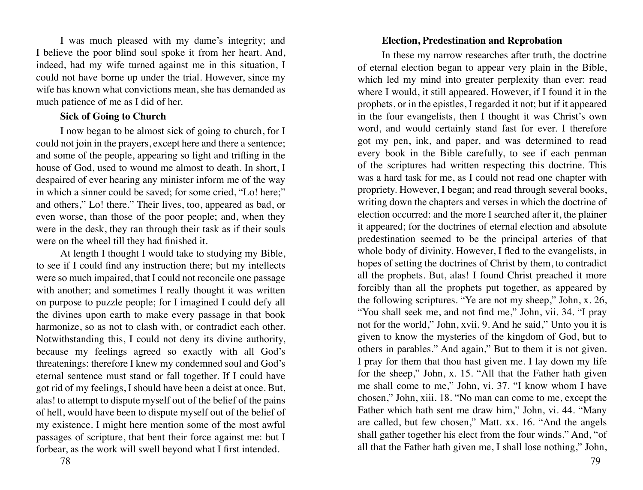I was much pleased with my dame's integrity; and I believe the poor blind soul spoke it from her heart. And, indeed, had my wife turned against me in this situation, I could not have borne up under the trial. However, since my wife has known what convictions mean, she has demanded as much patience of me as I did of her.

#### **Sick of Going to Church**

I now began to be almost sick of going to church, for I could not join in the prayers, except here and there a sentence; and some of the people, appearing so light and trifling in the house of God, used to wound me almost to death. In short, I despaired of ever hearing any minister inform me of the way in which a sinner could be saved; for some cried, "Lo! here;" and others," Lo! there." Their lives, too, appeared as bad, or even worse, than those of the poor people; and, when they were in the desk, they ran through their task as if their souls were on the wheel till they had finished it.

At length I thought I would take to studying my Bible, to see if I could find any instruction there; but my intellects were so much impaired, that I could not reconcile one passage with another; and sometimes I really thought it was written on purpose to puzzle people; for I imagined I could defy all the divines upon earth to make every passage in that book harmonize, so as not to clash with, or contradict each other. Notwithstanding this, I could not deny its divine authority, because my feelings agreed so exactly with all God's threatenings: therefore I knew my condemned soul and God's eternal sentence must stand or fall together. If I could have got rid of my feelings, I should have been a deist at once. But, alas! to attempt to dispute myself out of the belief of the pains of hell, would have been to dispute myself out of the belief of my existence. I might here mention some of the most awful passages of scripture, that bent their force against me: but I forbear, as the work will swell beyond what I first intended.

# **Election, Predestination and Reprobation**

In these my narrow researches after truth, the doctrine of eternal election began to appear very plain in the Bible, which led my mind into greater perplexity than ever: read where I would, it still appeared. However, if I found it in the prophets, or in the epistles, I regarded it not; but if it appeared in the four evangelists, then I thought it was Christ's own word, and would certainly stand fast for ever. I therefore got my pen, ink, and paper, and was determined to read every book in the Bible carefully, to see if each penman of the scriptures had written respecting this doctrine. This was a hard task for me, as I could not read one chapter with propriety. However, I began; and read through several books, writing down the chapters and verses in which the doctrine of election occurred: and the more I searched after it, the plainer it appeared; for the doctrines of eternal election and absolute predestination seemed to be the principal arteries of that whole body of divinity. However, I fled to the evangelists, in hopes of setting the doctrines of Christ by them, to contradict all the prophets. But, alas! I found Christ preached it more forcibly than all the prophets put together, as appeared by the following scriptures. "Ye are not my sheep," John, x. 26, "You shall seek me, and not find me," John, vii. 34. "I pray not for the world," John, xvii. 9. And he said," Unto you it is given to know the mysteries of the kingdom of God, but to others in parables." And again," But to them it is not given. I pray for them that thou hast given me. I lay down my life for the sheep," John, x. 15. "All that the Father hath given me shall come to me," John, vi. 37. "I know whom I have chosen," John, xiii. 18. "No man can come to me, except the Father which hath sent me draw him," John, vi. 44. "Many are called, but few chosen," Matt. xx. 16. "And the angels shall gather together his elect from the four winds." And, "of all that the Father hath given me, I shall lose nothing," John,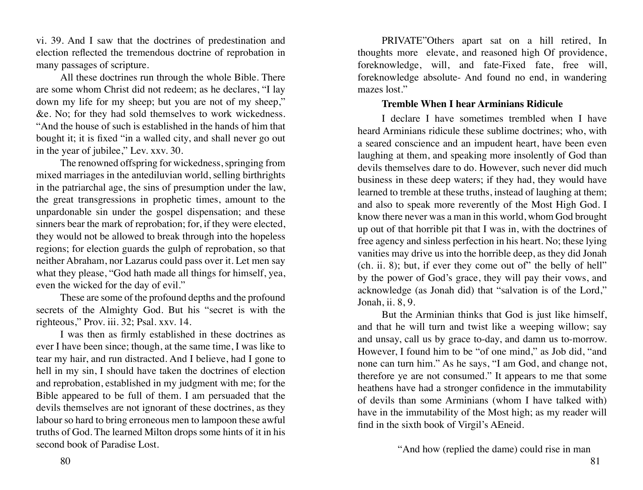vi. 39. And I saw that the doctrines of predestination and election reflected the tremendous doctrine of reprobation in many passages of scripture.

All these doctrines run through the whole Bible. There are some whom Christ did not redeem; as he declares, "I lay down my life for my sheep; but you are not of my sheep," &e. No; for they had sold themselves to work wickedness. "And the house of such is established in the hands of him that bought it; it is fixed "in a walled city, and shall never go out in the year of jubilee," Lev. xxv. 30.

The renowned offspring for wickedness, springing from mixed marriages in the antediluvian world, selling birthrights in the patriarchal age, the sins of presumption under the law, the great transgressions in prophetic times, amount to the unpardonable sin under the gospel dispensation; and these sinners bear the mark of reprobation; for, if they were elected, they would not be allowed to break through into the hopeless regions; for election guards the gulph of reprobation, so that neither Abraham, nor Lazarus could pass over it. Let men say what they please, "God hath made all things for himself, yea, even the wicked for the day of evil."

These are some of the profound depths and the profound secrets of the Almighty God. But his "secret is with the righteous," Prov. iii. 32; Psal. xxv. 14.

I was then as firmly established in these doctrines as ever I have been since; though, at the same time, I was like to tear my hair, and run distracted. And I believe, had I gone to hell in my sin, I should have taken the doctrines of election and reprobation, established in my judgment with me; for the Bible appeared to be full of them. I am persuaded that the devils themselves are not ignorant of these doctrines, as they labour so hard to bring erroneous men to lampoon these awful truths of God. The learned Milton drops some hints of it in his second book of Paradise Lost.

PRIVATE"Others apart sat on a hill retired, In thoughts more elevate, and reasoned high Of providence, foreknowledge, will, and fate-Fixed fate, free will, foreknowledge absolute- And found no end, in wandering mazes lost."

#### **Tremble When I hear Arminians Ridicule**

I declare I have sometimes trembled when I have heard Arminians ridicule these sublime doctrines; who, with a seared conscience and an impudent heart, have been even laughing at them, and speaking more insolently of God than devils themselves dare to do. However, such never did much business in these deep waters; if they had, they would have learned to tremble at these truths, instead of laughing at them; and also to speak more reverently of the Most High God. I know there never was a man in this world, whom God brought up out of that horrible pit that I was in, with the doctrines of free agency and sinless perfection in his heart. No; these lying vanities may drive us into the horrible deep, as they did Jonah (ch. ii. 8); but, if ever they come out of" the belly of hell" by the power of God's grace, they will pay their vows, and acknowledge (as Jonah did) that "salvation is of the Lord," Jonah, ii. 8, 9.

But the Arminian thinks that God is just like himself, and that he will turn and twist like a weeping willow; say and unsay, call us by grace to-day, and damn us to-morrow. However, I found him to be "of one mind," as Job did, "and none can turn him." As he says, "I am God, and change not, therefore ye are not consumed." It appears to me that some heathens have had a stronger confidence in the immutability of devils than some Arminians (whom I have talked with) have in the immutability of the Most high; as my reader will find in the sixth book of Virgil's AEneid.

"And how (replied the dame) could rise in man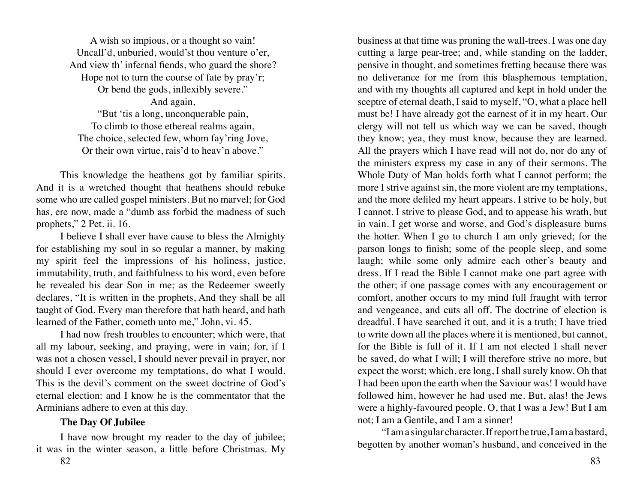A wish so impious, or a thought so vain! Uncall'd, unburied, would'st thou venture o'er, And view th' infernal fiends, who guard the shore? Hope not to turn the course of fate by pray'r; Or bend the gods, inflexibly severe." And again, "But 'tis a long, unconquerable pain, To climb to those ethereal realms again, The choice, selected few, whom fay'ring Jove, Or their own virtue, rais'd to heav'n above."

This knowledge the heathens got by familiar spirits. And it is a wretched thought that heathens should rebuke some who are called gospel ministers. But no marvel; for God has, ere now, made a "dumb ass forbid the madness of such prophets," 2 Pet. ii. 16.

I believe I shall ever have cause to bless the Almighty for establishing my soul in so regular a manner, by making my spirit feel the impressions of his holiness, justice, immutability, truth, and faithfulness to his word, even before he revealed his dear Son in me; as the Redeemer sweetly declares, "It is written in the prophets, And they shall be all taught of God. Every man therefore that hath heard, and hath learned of the Father, cometh unto me," John, vi. 45.

I had now fresh troubles to encounter; which were, that all my labour, seeking, and praying, were in vain; for, if I was not a chosen vessel, I should never prevail in prayer, nor should I ever overcome my temptations, do what I would. This is the devil's comment on the sweet doctrine of God's eternal election: and I know he is the commentator that the Arminians adhere to even at this day.

# **The Day Of Jubilee**

I have now brought my reader to the day of jubilee; it was in the winter season, a little before Christmas. My

business at that time was pruning the wall-trees. I was one day cutting a large pear-tree; and, while standing on the ladder, pensive in thought, and sometimes fretting because there was no deliverance for me from this blasphemous temptation, and with my thoughts all captured and kept in hold under the sceptre of eternal death, I said to myself, "O, what a place hell must be! I have already got the earnest of it in my heart. Our clergy will not tell us which way we can be saved, though they know; yea, they must know, because they are learned. All the prayers which I have read will not do, nor do any of the ministers express my case in any of their sermons. The Whole Duty of Man holds forth what I cannot perform; the more I strive against sin, the more violent are my temptations, and the more defiled my heart appears. I strive to be holy, but I cannot. I strive to please God, and to appease his wrath, but in vain. I get worse and worse, and God's displeasure burns the hotter. When I go to church I am only grieved; for the parson longs to finish; some of the people sleep, and some laugh; while some only admire each other's beauty and dress. If I read the Bible I cannot make one part agree with the other; if one passage comes with any encouragement or comfort, another occurs to my mind full fraught with terror and vengeance, and cuts all off. The doctrine of election is dreadful. I have searched it out, and it is a truth; I have tried to write down all the places where it is mentioned, but cannot, for the Bible is full of it. If I am not elected I shall never be saved, do what I will; I will therefore strive no more, but expect the worst; which, ere long, I shall surely know. Oh that I had been upon the earth when the Saviour was! I would have followed him, however he had used me. But, alas! the Jews were a highly-favoured people. O, that I was a Jew! But I am not; I am a Gentile, and I am a sinner!

"I am a singular character. If report be true, I am a bastard, begotten by another woman's husband, and conceived in the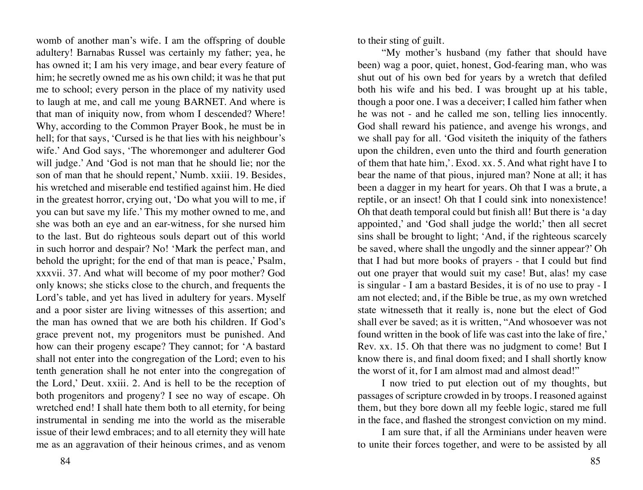womb of another man's wife. I am the offspring of double adultery! Barnabas Russel was certainly my father; yea, he has owned it; I am his very image, and bear every feature of him; he secretly owned me as his own child; it was he that put me to school; every person in the place of my nativity used to laugh at me, and call me young BARNET. And where is that man of iniquity now, from whom I descended? Where! Why, according to the Common Prayer Book, he must be in hell; for that says, 'Cursed is he that lies with his neighbour's wife.' And God says, 'The whoremonger and adulterer God will judge.' And 'God is not man that he should lie; nor the son of man that he should repent,' Numb. xxiii. 19. Besides, his wretched and miserable end testified against him. He died in the greatest horror, crying out, 'Do what you will to me, if you can but save my life.' This my mother owned to me, and she was both an eye and an ear-witness, for she nursed him to the last. But do righteous souls depart out of this world in such horror and despair? No! 'Mark the perfect man, and behold the upright; for the end of that man is peace,' Psalm, xxxvii. 37. And what will become of my poor mother? God only knows; she sticks close to the church, and frequents the Lord's table, and yet has lived in adultery for years. Myself and a poor sister are living witnesses of this assertion; and the man has owned that we are both his children. If God's grace prevent not, my progenitors must be punished. And how can their progeny escape? They cannot; for 'A bastard shall not enter into the congregation of the Lord; even to his tenth generation shall he not enter into the congregation of the Lord,' Deut. xxiii. 2. And is hell to be the reception of both progenitors and progeny? I see no way of escape. Oh wretched end! I shall hate them both to all eternity, for being instrumental in sending me into the world as the miserable issue of their lewd embraces; and to all eternity they will hate me as an aggravation of their heinous crimes, and as venom

to their sting of guilt.

"My mother's husband (my father that should have been) wag a poor, quiet, honest, God-fearing man, who was shut out of his own bed for years by a wretch that defiled both his wife and his bed. I was brought up at his table, though a poor one. I was a deceiver; I called him father when he was not - and he called me son, telling lies innocently. God shall reward his patience, and avenge his wrongs, and we shall pay for all. 'God visiteth the iniquity of the fathers upon the children, even unto the third and fourth generation of them that hate him,'. Exod. xx. 5. And what right have I to bear the name of that pious, injured man? None at all; it has been a dagger in my heart for years. Oh that I was a brute, a reptile, or an insect! Oh that I could sink into nonexistence! Oh that death temporal could but finish all! But there is 'a day appointed,' and 'God shall judge the world;' then all secret sins shall be brought to light; 'And, if the righteous scarcely be saved, where shall the ungodly and the sinner appear?' Oh that I had but more books of prayers - that I could but find out one prayer that would suit my case! But, alas! my case is singular - I am a bastard Besides, it is of no use to pray - I am not elected; and, if the Bible be true, as my own wretched state witnesseth that it really is, none but the elect of God shall ever be saved; as it is written, "And whosoever was not found written in the book of life was cast into the lake of fire,' Rev. xx. 15. Oh that there was no judgment to come! But I know there is, and final doom fixed; and I shall shortly know the worst of it, for I am almost mad and almost dead!"

I now tried to put election out of my thoughts, but passages of scripture crowded in by troops. I reasoned against them, but they bore down all my feeble logic, stared me full in the face, and flashed the strongest conviction on my mind.

I am sure that, if all the Arminians under heaven were to unite their forces together, and were to be assisted by all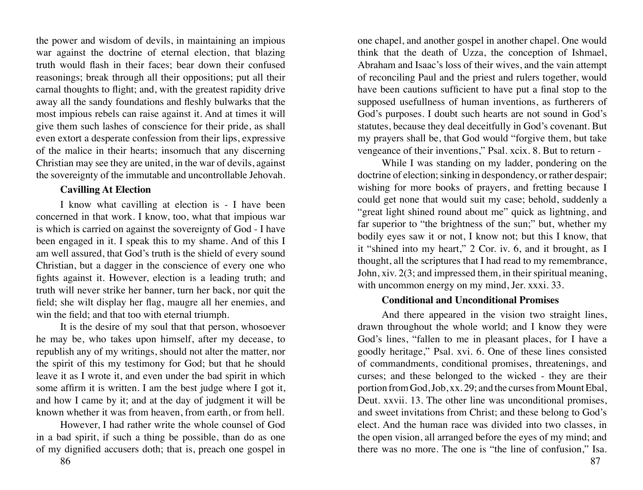the power and wisdom of devils, in maintaining an impious war against the doctrine of eternal election, that blazing truth would flash in their faces; bear down their confused reasonings; break through all their oppositions; put all their carnal thoughts to flight; and, with the greatest rapidity drive away all the sandy foundations and fleshly bulwarks that the most impious rebels can raise against it. And at times it will give them such lashes of conscience for their pride, as shall even extort a desperate confession from their lips, expressive of the malice in their hearts; insomuch that any discerning Christian may see they are united, in the war of devils, against the sovereignty of the immutable and uncontrollable Jehovah.

## **Cavilling At Election**

I know what cavilling at election is - I have been concerned in that work. I know, too, what that impious war is which is carried on against the sovereignty of God - I have been engaged in it. I speak this to my shame. And of this I am well assured, that God's truth is the shield of every sound Christian, but a dagger in the conscience of every one who fights against it. However, election is a leading truth; and truth will never strike her banner, turn her back, nor quit the field; she wilt display her flag, maugre all her enemies, and win the field; and that too with eternal triumph.

It is the desire of my soul that that person, whosoever he may be, who takes upon himself, after my decease, to republish any of my writings, should not alter the matter, nor the spirit of this my testimony for God; but that he should leave it as I wrote it, and even under the bad spirit in which some affirm it is written. I am the best judge where I got it, and how I came by it; and at the day of judgment it will be known whether it was from heaven, from earth, or from hell.

However, I had rather write the whole counsel of God in a bad spirit, if such a thing be possible, than do as one of my dignified accusers doth; that is, preach one gospel in

86 and the set of the set of the set of the set of the set of the set of the set of the set of the set of the set of the set of the set of the set of the set of the set of the set of the set of the set of the set of the se

one chapel, and another gospel in another chapel. One would think that the death of Uzza, the conception of Ishmael, Abraham and Isaac's loss of their wives, and the vain attempt of reconciling Paul and the priest and rulers together, would have been cautions sufficient to have put a final stop to the supposed usefullness of human inventions, as furtherers of God's purposes. I doubt such hearts are not sound in God's statutes, because they deal deceitfully in God's covenant. But my prayers shall be, that God would "forgive them, but take vengeance of their inventions," Psal. xcix. 8. But to return -

While I was standing on my ladder, pondering on the doctrine of election; sinking in despondency, or rather despair; wishing for more books of prayers, and fretting because I could get none that would suit my case; behold, suddenly a "great light shined round about me" quick as lightning, and far superior to "the brightness of the sun;" but, whether my bodily eyes saw it or not, I know not; but this I know, that it "shined into my heart," 2 Cor. iv. 6, and it brought, as I thought, all the scriptures that I had read to my remembrance, John, xiv. 2(3; and impressed them, in their spiritual meaning, with uncommon energy on my mind, Jer. xxxi. 33.

# **Conditional and Unconditional Promises**

And there appeared in the vision two straight lines, drawn throughout the whole world; and I know they were God's lines, "fallen to me in pleasant places, for I have a goodly heritage," Psal. xvi. 6. One of these lines consisted of commandments, conditional promises, threatenings, and curses; and these belonged to the wicked - they are their portion from God, Job, xx. 29; and the curses from Mount Ebal, Deut. xxvii. 13. The other line was unconditional promises, and sweet invitations from Christ; and these belong to God's elect. And the human race was divided into two classes, in the open vision, all arranged before the eyes of my mind; and there was no more. The one is "the line of confusion," Isa.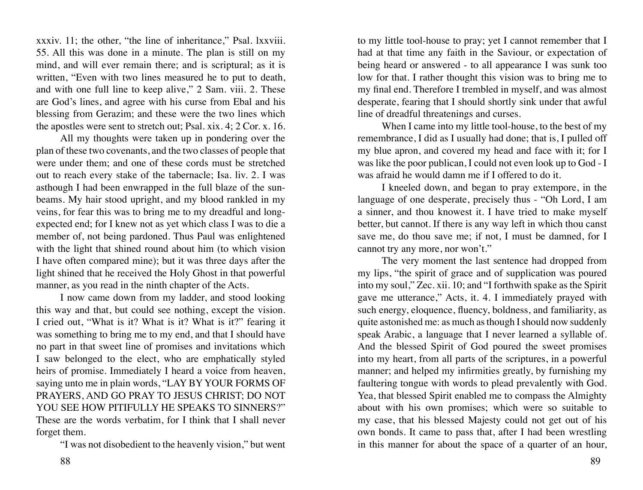xxxiv. 11; the other, "the line of inheritance," Psal. lxxviii. 55. All this was done in a minute. The plan is still on my mind, and will ever remain there; and is scriptural; as it is written, "Even with two lines measured he to put to death, and with one full line to keep alive," 2 Sam. viii. 2. These are God's lines, and agree with his curse from Ebal and his blessing from Gerazim; and these were the two lines which the apostles were sent to stretch out; Psal. xix. 4; 2 Cor. x. 16.

All my thoughts were taken up in pondering over the plan of these two covenants, and the two classes of people that were under them; and one of these cords must be stretched out to reach every stake of the tabernacle; Isa. liv. 2. I was asthough I had been enwrapped in the full blaze of the sunbeams. My hair stood upright, and my blood rankled in my veins, for fear this was to bring me to my dreadful and longexpected end; for I knew not as yet which class I was to die a member of, not being pardoned. Thus Paul was enlightened with the light that shined round about him (to which vision I have often compared mine); but it was three days after the light shined that he received the Holy Ghost in that powerful manner, as you read in the ninth chapter of the Acts.

I now came down from my ladder, and stood looking this way and that, but could see nothing, except the vision. I cried out, "What is it? What is it? What is it?" fearing it was something to bring me to my end, and that I should have no part in that sweet line of promises and invitations which I saw belonged to the elect, who are emphatically styled heirs of promise. Immediately I heard a voice from heaven, saying unto me in plain words, "LAY BY YOUR FORMS OF PRAYERS, AND GO PRAY TO JESUS CHRIST; DO NOT YOU SEE HOW PITIFULLY HE SPEAKS TO SINNERS?" These are the words verbatim, for I think that I shall never forget them.

"I was not disobedient to the heavenly vision," but went

to my little tool-house to pray; yet I cannot remember that I had at that time any faith in the Saviour, or expectation of being heard or answered - to all appearance I was sunk too low for that. I rather thought this vision was to bring me to my final end. Therefore I trembled in myself, and was almost desperate, fearing that I should shortly sink under that awful line of dreadful threatenings and curses.

When I came into my little tool-house, to the best of my remembrance, I did as I usually had done; that is, I pulled off my blue apron, and covered my head and face with it; for I was like the poor publican, I could not even look up to God - I was afraid he would damn me if I offered to do it.

I kneeled down, and began to pray extempore, in the language of one desperate, precisely thus - "Oh Lord, I am a sinner, and thou knowest it. I have tried to make myself better, but cannot. If there is any way left in which thou canst save me, do thou save me; if not, I must be damned, for I cannot try any more, nor won't."

The very moment the last sentence had dropped from my lips, "the spirit of grace and of supplication was poured into my soul," Zec. xii. 10; and "I forthwith spake as the Spirit gave me utterance," Acts, it. 4. I immediately prayed with such energy, eloquence, fluency, boldness, and familiarity, as quite astonished me: as much as though I should now suddenly speak Arabic, a language that I never learned a syllable of. And the blessed Spirit of God poured the sweet promises into my heart, from all parts of the scriptures, in a powerful manner; and helped my infirmities greatly, by furnishing my faultering tongue with words to plead prevalently with God. Yea, that blessed Spirit enabled me to compass the Almighty about with his own promises; which were so suitable to my case, that his blessed Majesty could not get out of his own bonds. It came to pass that, after I had been wrestling in this manner for about the space of a quarter of an hour,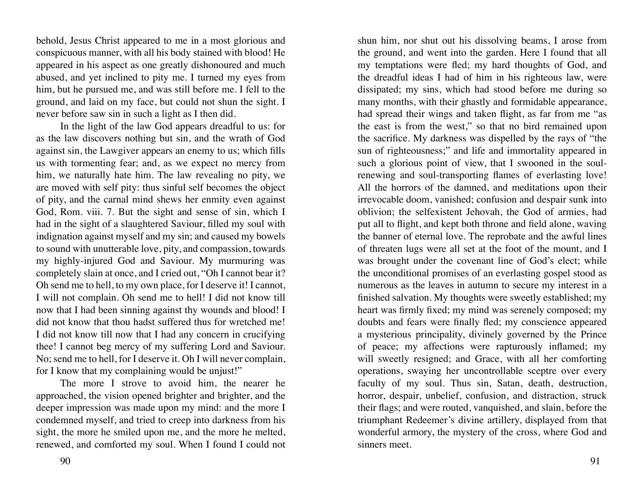behold, Jesus Christ appeared to me in a most glorious and conspicuous manner, with all his body stained with blood! He appeared in his aspect as one greatly dishonoured and much abused, and yet inclined to pity me. I turned my eyes from him, but he pursued me, and was still before me. I fell to the ground, and laid on my face, but could not shun the sight. I never before saw sin in such a light as I then did.

In the light of the law God appears dreadful to us: for as the law discovers nothing but sin, and the wrath of God against sin, the Lawgiver appears an enemy to us; which fills us with tormenting fear; and, as we expect no mercy from him, we naturally hate him. The law revealing no pity, we are moved with self pity: thus sinful self becomes the object of pity, and the carnal mind shews her enmity even against God, Rom. viii. 7. But the sight and sense of sin, which I had in the sight of a slaughtered Saviour, filled my soul with indignation against myself and my sin; and caused my bowels to sound with unutterable love, pity, and compassion, towards my highly-injured God and Saviour. My murmuring was completely slain at once, and I cried out, "Oh I cannot bear it? Oh send me to hell, to my own place, for I deserve it! I cannot, I will not complain. Oh send me to hell! I did not know till now that I had been sinning against thy wounds and blood! I did not know that thou hadst suffered thus for wretched me! I did not know till now that I had any concern in crucifying thee! I cannot beg mercy of my suffering Lord and Saviour. No; send me to hell, for I deserve it. Oh I will never complain, for I know that my complaining would be unjust!"

The more I strove to avoid him, the nearer he approached, the vision opened brighter and brighter, and the deeper impression was made upon my mind: and the more I condemned myself, and tried to creep into darkness from his sight, the more he smiled upon me, and the more he melted, renewed, and comforted my soul. When I found I could not shun him, nor shut out his dissolving beams, I arose from the ground, and went into the garden. Here I found that all my temptations were fled; my hard thoughts of God, and the dreadful ideas I had of him in his righteous law, were dissipated; my sins, which had stood before me during so many months, with their ghastly and formidable appearance, had spread their wings and taken flight, as far from me "as the east is from the west," so that no bird remained upon the sacrifice. My darkness was dispelled by the rays of "the sun of righteousness;" and life and immortality appeared in such a glorious point of view, that I swooned in the soulrenewing and soul-transporting flames of everlasting love! All the horrors of the damned, and meditations upon their irrevocable doom, vanished; confusion and despair sunk into oblivion; the selfexistent Jehovah, the God of armies, had put all to flight, and kept both throne and field alone, waving the banner of eternal love. The reprobate and the awful lines of threaten lugs were all set at the foot of the mount, and I was brought under the covenant line of God's elect; while the unconditional promises of an everlasting gospel stood as numerous as the leaves in autumn to secure my interest in a finished salvation. My thoughts were sweetly established; my heart was firmly fixed; my mind was serenely composed; my doubts and fears were finally fled; my conscience appeared a mysterious principality, divinely governed by the Prince of peace; my affections were rapturously inflamed; my will sweetly resigned; and Grace, with all her comforting operations, swaying her uncontrollable sceptre over every faculty of my soul. Thus sin, Satan, death, destruction, horror, despair, unbelief, confusion, and distraction, struck their flags; and were routed, vanquished, and slain, before the triumphant Redeemer's divine artillery, displayed from that wonderful armory, the mystery of the cross, where God and sinners meet.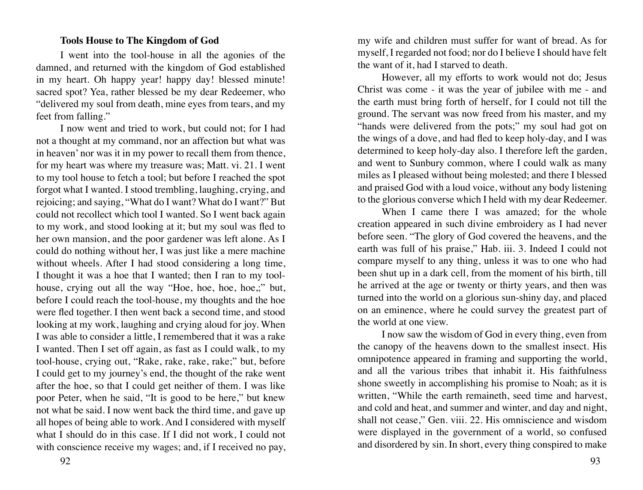#### **Tools House to The Kingdom of God**

I went into the tool-house in all the agonies of the damned, and returned with the kingdom of God established in my heart. Oh happy year! happy day! blessed minute! sacred spot? Yea, rather blessed be my dear Redeemer, who "delivered my soul from death, mine eyes from tears, and my feet from falling."

I now went and tried to work, but could not; for I had not a thought at my command, nor an affection but what was in heaven' nor was it in my power to recall them from thence, for my heart was where my treasure was; Matt. vi. 21. I went to my tool house to fetch a tool; but before I reached the spot forgot what I wanted. I stood trembling, laughing, crying, and rejoicing; and saying, "What do I want? What do I want?" But could not recollect which tool I wanted. So I went back again to my work, and stood looking at it; but my soul was fled to her own mansion, and the poor gardener was left alone. As I could do nothing without her, I was just like a mere machine without wheels. After I had stood considering a long time, I thought it was a hoe that I wanted; then I ran to my toolhouse, crying out all the way "Hoe, hoe, hoe, hoe,;" but, before I could reach the tool-house, my thoughts and the hoe were fled together. I then went back a second time, and stood looking at my work, laughing and crying aloud for joy. When I was able to consider a little, I remembered that it was a rake I wanted. Then I set off again, as fast as I could walk, to my tool-house, crying out, "Rake, rake, rake, rake;" but, before I could get to my journey's end, the thought of the rake went after the hoe, so that I could get neither of them. I was like poor Peter, when he said, "It is good to be here," but knew not what be said. I now went back the third time, and gave up all hopes of being able to work. And I considered with myself what I should do in this case. If I did not work, I could not with conscience receive my wages; and, if I received no pay,

my wife and children must suffer for want of bread. As for myself, I regarded not food; nor do I believe I should have felt the want of it, had I starved to death.

However, all my efforts to work would not do; Jesus Christ was come - it was the year of jubilee with me - and the earth must bring forth of herself, for I could not till the ground. The servant was now freed from his master, and my "hands were delivered from the pots;" my soul had got on the wings of a dove, and had fled to keep holy-day, and I was determined to keep holy-day also. I therefore left the garden, and went to Sunbury common, where I could walk as many miles as I pleased without being molested; and there I blessed and praised God with a loud voice, without any body listening to the glorious converse which I held with my dear Redeemer.

When I came there I was amazed; for the whole creation appeared in such divine embroidery as I had never before seen. "The glory of God covered the heavens, and the earth was full of his praise," Hab. iii. 3. Indeed I could not compare myself to any thing, unless it was to one who had been shut up in a dark cell, from the moment of his birth, till he arrived at the age or twenty or thirty years, and then was turned into the world on a glorious sun-shiny day, and placed on an eminence, where he could survey the greatest part of the world at one view.

I now saw the wisdom of God in every thing, even from the canopy of the heavens down to the smallest insect. His omnipotence appeared in framing and supporting the world, and all the various tribes that inhabit it. His faithfulness shone sweetly in accomplishing his promise to Noah; as it is written, "While the earth remaineth, seed time and harvest, and cold and heat, and summer and winter, and day and night, shall not cease," Gen. viii. 22. His omniscience and wisdom were displayed in the government of a world, so confused and disordered by sin. In short, every thing conspired to make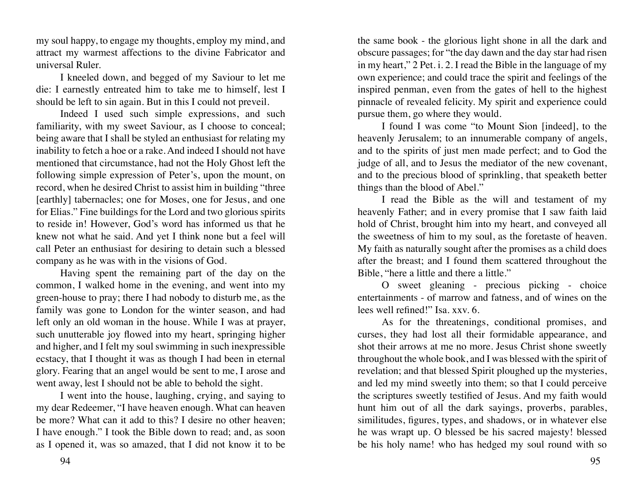my soul happy, to engage my thoughts, employ my mind, and attract my warmest affections to the divine Fabricator and universal Ruler.

I kneeled down, and begged of my Saviour to let me die: I earnestly entreated him to take me to himself, lest I should be left to sin again. But in this I could not preveil.

Indeed I used such simple expressions, and such familiarity, with my sweet Saviour, as I choose to conceal; being aware that I shall be styled an enthusiast for relating my inability to fetch a hoe or a rake. And indeed I should not have mentioned that circumstance, had not the Holy Ghost left the following simple expression of Peter's, upon the mount, on record, when he desired Christ to assist him in building "three [earthly] tabernacles; one for Moses, one for Jesus, and one for Elias." Fine buildings for the Lord and two glorious spirits to reside in! However, God's word has informed us that he knew not what he said. And yet I think none but a feel will call Peter an enthusiast for desiring to detain such a blessed company as he was with in the visions of God.

Having spent the remaining part of the day on the common, I walked home in the evening, and went into my green-house to pray; there I had nobody to disturb me, as the family was gone to London for the winter season, and had left only an old woman in the house. While I was at prayer, such unutterable joy flowed into my heart, springing higher and higher, and I felt my soul swimming in such inexpressible ecstacy, that I thought it was as though I had been in eternal glory. Fearing that an angel would be sent to me, I arose and went away, lest I should not be able to behold the sight.

I went into the house, laughing, crying, and saying to my dear Redeemer, "I have heaven enough. What can heaven be more? What can it add to this? I desire no other heaven; I have enough." I took the Bible down to read; and, as soon as I opened it, was so amazed, that I did not know it to be

the same book - the glorious light shone in all the dark and obscure passages; for "the day dawn and the day star had risen in my heart," 2 Pet. i. 2. I read the Bible in the language of my own experience; and could trace the spirit and feelings of the inspired penman, even from the gates of hell to the highest pinnacle of revealed felicity. My spirit and experience could pursue them, go where they would.

I found I was come "to Mount Sion [indeed], to the heavenly Jerusalem; to an innumerable company of angels, and to the spirits of just men made perfect; and to God the judge of all, and to Jesus the mediator of the new covenant, and to the precious blood of sprinkling, that speaketh better things than the blood of Abel."

I read the Bible as the will and testament of my heavenly Father; and in every promise that I saw faith laid hold of Christ, brought him into my heart, and conveyed all the sweetness of him to my soul, as the foretaste of heaven. My faith as naturally sought after the promises as a child does after the breast; and I found them scattered throughout the Bible, "here a little and there a little."

O sweet gleaning - precious picking - choice entertainments - of marrow and fatness, and of wines on the lees well refined!" Isa. xxv. 6.

As for the threatenings, conditional promises, and curses, they had lost all their formidable appearance, and shot their arrows at me no more. Jesus Christ shone sweetly throughout the whole book, and I was blessed with the spirit of revelation; and that blessed Spirit ploughed up the mysteries, and led my mind sweetly into them; so that I could perceive the scriptures sweetly testified of Jesus. And my faith would hunt him out of all the dark sayings, proverbs, parables, similitudes, figures, types, and shadows, or in whatever else he was wrapt up. O blessed be his sacred majesty! blessed be his holy name! who has hedged my soul round with so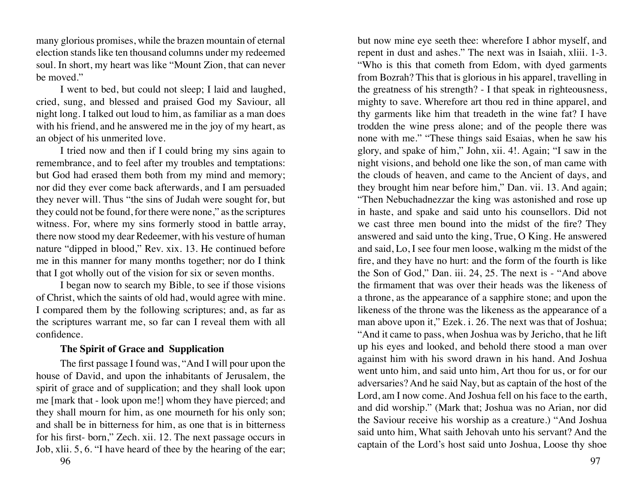many glorious promises, while the brazen mountain of eternal election stands like ten thousand columns under my redeemed soul. In short, my heart was like "Mount Zion, that can never be moved."

I went to bed, but could not sleep; I laid and laughed, cried, sung, and blessed and praised God my Saviour, all night long. I talked out loud to him, as familiar as a man does with his friend, and he answered me in the joy of my heart, as an object of his unmerited love.

I tried now and then if I could bring my sins again to remembrance, and to feel after my troubles and temptations: but God had erased them both from my mind and memory; nor did they ever come back afterwards, and I am persuaded they never will. Thus "the sins of Judah were sought for, but they could not be found, for there were none," as the scriptures witness. For, where my sins formerly stood in battle array, there now stood my dear Redeemer, with his vesture of human nature "dipped in blood," Rev. xix. 13. He continued before me in this manner for many months together; nor do I think that I got wholly out of the vision for six or seven months.

I began now to search my Bible, to see if those visions of Christ, which the saints of old had, would agree with mine. I compared them by the following scriptures; and, as far as the scriptures warrant me, so far can I reveal them with all confidence.

### **The Spirit of Grace and Supplication**

The first passage I found was, "And I will pour upon the house of David, and upon the inhabitants of Jerusalem, the spirit of grace and of supplication; and they shall look upon me [mark that - look upon me!] whom they have pierced; and they shall mourn for him, as one mourneth for his only son; and shall be in bitterness for him, as one that is in bitterness for his first- born," Zech. xii. 12. The next passage occurs in Job, xlii. 5, 6. "I have heard of thee by the hearing of the ear;

but now mine eye seeth thee: wherefore I abhor myself, and repent in dust and ashes." The next was in Isaiah, xliii. 1-3. "Who is this that cometh from Edom, with dyed garments from Bozrah? This that is glorious in his apparel, travelling in the greatness of his strength? - I that speak in righteousness, mighty to save. Wherefore art thou red in thine apparel, and thy garments like him that treadeth in the wine fat? I have trodden the wine press alone; and of the people there was none with me." "These things said Esaias, when he saw his glory, and spake of him," John, xii. 4!. Again; "I saw in the night visions, and behold one like the son, of man came with the clouds of heaven, and came to the Ancient of days, and they brought him near before him," Dan. vii. 13. And again; "Then Nebuchadnezzar the king was astonished and rose up in haste, and spake and said unto his counsellors. Did not we cast three men bound into the midst of the fire? They answered and said unto the king, True, O King. He answered and said, Lo, I see four men loose, walking m the midst of the fire, and they have no hurt: and the form of the fourth is like the Son of God," Dan. iii. 24, 25. The next is - "And above the firmament that was over their heads was the likeness of a throne, as the appearance of a sapphire stone; and upon the likeness of the throne was the likeness as the appearance of a man above upon it," Ezek. i. 26. The next was that of Joshua; "And it came to pass, when Joshua was by Jericho, that he lift up his eyes and looked, and behold there stood a man over against him with his sword drawn in his hand. And Joshua went unto him, and said unto him, Art thou for us, or for our adversaries? And he said Nay, but as captain of the host of the Lord, am I now come. And Joshua fell on his face to the earth, and did worship." (Mark that; Joshua was no Arian, nor did the Saviour receive his worship as a creature.) "And Joshua said unto him, What saith Jehovah unto his servant? And the captain of the Lord's host said unto Joshua, Loose thy shoe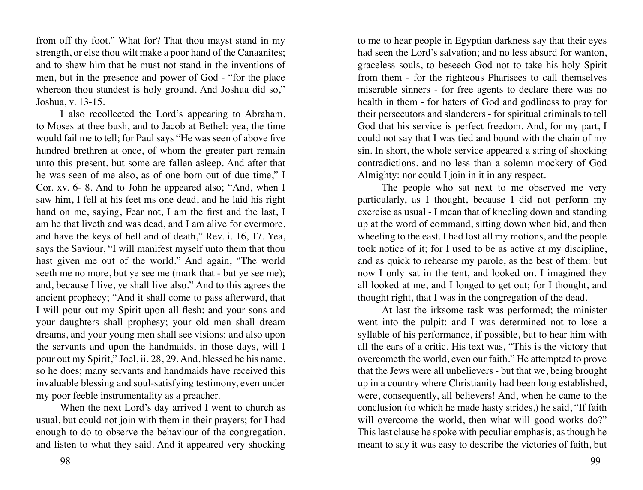from off thy foot." What for? That thou mayst stand in my strength, or else thou wilt make a poor hand of the Canaanites; and to shew him that he must not stand in the inventions of men, but in the presence and power of God - "for the place whereon thou standest is holy ground. And Joshua did so," Joshua, v. 13-15.

I also recollected the Lord's appearing to Abraham, to Moses at thee bush, and to Jacob at Bethel: yea, the time would fail me to tell; for Paul says "He was seen of above five hundred brethren at once, of whom the greater part remain unto this present, but some are fallen asleep. And after that he was seen of me also, as of one born out of due time," I Cor. xv. 6- 8. And to John he appeared also; "And, when I saw him, I fell at his feet ms one dead, and he laid his right hand on me, saying, Fear not, I am the first and the last, I am he that liveth and was dead, and I am alive for evermore, and have the keys of hell and of death," Rev. i. 16, 17. Yea, says the Saviour, "I will manifest myself unto them that thou hast given me out of the world." And again, "The world seeth me no more, but ye see me (mark that - but ye see me); and, because I live, ye shall live also." And to this agrees the ancient prophecy; "And it shall come to pass afterward, that I will pour out my Spirit upon all flesh; and your sons and your daughters shall prophesy; your old men shall dream dreams, and your young men shall see visions: and also upon the servants and upon the handmaids, in those days, will I pour out my Spirit," Joel, ii. 28, 29. And, blessed be his name, so he does; many servants and handmaids have received this invaluable blessing and soul-satisfying testimony, even under my poor feeble instrumentality as a preacher.

When the next Lord's day arrived I went to church as usual, but could not join with them in their prayers; for I had enough to do to observe the behaviour of the congregation, and listen to what they said. And it appeared very shocking

to me to hear people in Egyptian darkness say that their eyes had seen the Lord's salvation; and no less absurd for wanton. graceless souls, to beseech God not to take his holy Spirit from them - for the righteous Pharisees to call themselves miserable sinners - for free agents to declare there was no health in them - for haters of God and godliness to pray for their persecutors and slanderers - for spiritual criminals to tell God that his service is perfect freedom. And, for my part, I could not say that I was tied and bound with the chain of my sin. In short, the whole service appeared a string of shocking contradictions, and no less than a solemn mockery of God Almighty: nor could I join in it in any respect.

The people who sat next to me observed me very particularly, as I thought, because I did not perform my exercise as usual - I mean that of kneeling down and standing up at the word of command, sitting down when bid, and then wheeling to the east. I had lost all my motions, and the people took notice of it; for I used to be as active at my discipline, and as quick to rehearse my parole, as the best of them: but now I only sat in the tent, and looked on. I imagined they all looked at me, and I longed to get out; for I thought, and thought right, that I was in the congregation of the dead.

At last the irksome task was performed; the minister went into the pulpit; and I was determined not to lose a syllable of his performance, if possible, but to hear him with all the ears of a critic. His text was, "This is the victory that overcometh the world, even our faith." He attempted to prove that the Jews were all unbelievers - but that we, being brought up in a country where Christianity had been long established, were, consequently, all believers! And, when he came to the conclusion (to which he made hasty strides,) he said, "If faith will overcome the world, then what will good works do?" This last clause he spoke with peculiar emphasis; as though he meant to say it was easy to describe the victories of faith, but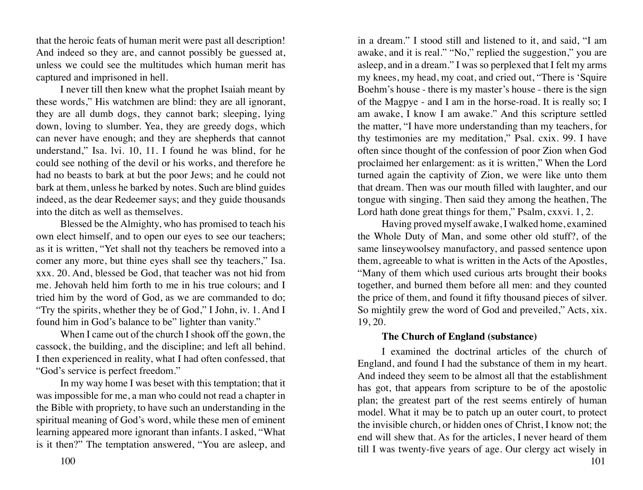that the heroic feats of human merit were past all description! And indeed so they are, and cannot possibly be guessed at, unless we could see the multitudes which human merit has captured and imprisoned in hell.

I never till then knew what the prophet Isaiah meant by these words," His watchmen are blind: they are all ignorant, they are all dumb dogs, they cannot bark; sleeping, lying down, loving to slumber. Yea, they are greedy dogs, which can never have enough; and they are shepherds that cannot understand," Isa. lvi. 10, 11. I found he was blind, for he could see nothing of the devil or his works, and therefore he had no beasts to bark at but the poor Jews; and he could not bark at them, unless he barked by notes. Such are blind guides indeed, as the dear Redeemer says; and they guide thousands into the ditch as well as themselves.

Blessed be the Almighty, who has promised to teach his own elect himself, and to open our eyes to see our teachers; as it is written, "Yet shall not thy teachers be removed into a comer any more, but thine eyes shall see thy teachers," Isa. xxx. 20. And, blessed be God, that teacher was not hid from me. Jehovah held him forth to me in his true colours; and I tried him by the word of God, as we are commanded to do; "Try the spirits, whether they be of God," I John, iv. 1. And I found him in God's balance to be" lighter than vanity."

When I came out of the church I shook off the gown, the cassock, the building, and the discipline; and left all behind. I then experienced in reality, what I had often confessed, that "God's service is perfect freedom."

In my way home I was beset with this temptation; that it was impossible for me, a man who could not read a chapter in the Bible with propriety, to have such an understanding in the spiritual meaning of God's word, while these men of eminent learning appeared more ignorant than infants. I asked, "What is it then?" The temptation answered, "You are asleep, and

in a dream." I stood still and listened to it, and said, "I am awake, and it is real." "No," replied the suggestion," you are asleep, and in a dream." I was so perplexed that I felt my arms my knees, my head, my coat, and cried out, "There is 'Squire Boehm's house - there is my master's house - there is the sign of the Magpye - and I am in the horse-road. It is really so; I am awake, I know I am awake." And this scripture settled the matter, "I have more understanding than my teachers, for thy testimonies are my meditation," Psal. cxix. 99. I have often since thought of the confession of poor Zion when God proclaimed her enlargement: as it is written," When the Lord turned again the captivity of Zion, we were like unto them that dream. Then was our mouth filled with laughter, and our tongue with singing. Then said they among the heathen, The Lord hath done great things for them," Psalm, cxxvi. 1, 2.

Having proved myself awake, I walked home, examined the Whole Duty of Man, and some other old stuff?, of the same linseywoolsey manufactory, and passed sentence upon them, agreeable to what is written in the Acts of the Apostles, "Many of them which used curious arts brought their books together, and burned them before all men: and they counted the price of them, and found it fifty thousand pieces of silver. So mightily grew the word of God and preveiled," Acts, xix. 19, 20.

### **The Church of England (substance)**

I examined the doctrinal articles of the church of England, and found I had the substance of them in my heart. And indeed they seem to be almost all that the establishment has got, that appears from scripture to be of the apostolic plan; the greatest part of the rest seems entirely of human model. What it may be to patch up an outer court, to protect the invisible church, or hidden ones of Christ, I know not; the end will shew that. As for the articles, I never heard of them till I was twenty-five years of age. Our clergy act wisely in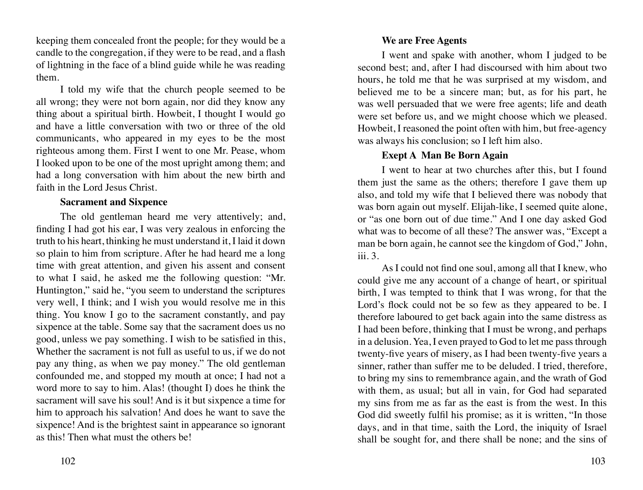keeping them concealed front the people; for they would be a candle to the congregation, if they were to be read, and a flash of lightning in the face of a blind guide while he was reading them.

I told my wife that the church people seemed to be all wrong; they were not born again, nor did they know any thing about a spiritual birth. Howbeit, I thought I would go and have a little conversation with two or three of the old communicants, who appeared in my eyes to be the most righteous among them. First I went to one Mr. Pease, whom I looked upon to be one of the most upright among them; and had a long conversation with him about the new birth and faith in the Lord Jesus Christ.

#### **Sacrament and Sixpence**

The old gentleman heard me very attentively; and, finding I had got his ear, I was very zealous in enforcing the truth to his heart, thinking he must understand it, I laid it down so plain to him from scripture. After he had heard me a long time with great attention, and given his assent and consent to what I said, he asked me the following question: "Mr. Huntington," said he, "you seem to understand the scriptures very well, I think; and I wish you would resolve me in this thing. You know I go to the sacrament constantly, and pay sixpence at the table. Some say that the sacrament does us no good, unless we pay something. I wish to be satisfied in this, Whether the sacrament is not full as useful to us, if we do not pay any thing, as when we pay money." The old gentleman confounded me, and stopped my mouth at once; I had not a word more to say to him. Alas! (thought I) does he think the sacrament will save his soul! And is it but sixpence a time for him to approach his salvation! And does he want to save the sixpence! And is the brightest saint in appearance so ignorant as this! Then what must the others be!

## **We are Free Agents**

I went and spake with another, whom I judged to be second best; and, after I had discoursed with him about two hours, he told me that he was surprised at my wisdom, and believed me to be a sincere man; but, as for his part, he was well persuaded that we were free agents; life and death were set before us, and we might choose which we pleased. Howbeit, I reasoned the point often with him, but free-agency was always his conclusion; so I left him also.

# **Exept A Man Be Born Again**

I went to hear at two churches after this, but I found them just the same as the others; therefore I gave them up also, and told my wife that I believed there was nobody that was born again out myself. Elijah-like, I seemed quite alone, or "as one born out of due time." And I one day asked God what was to become of all these? The answer was, "Except a man be born again, he cannot see the kingdom of God," John, iii. 3.

As I could not find one soul, among all that I knew, who could give me any account of a change of heart, or spiritual birth, I was tempted to think that I was wrong, for that the Lord's flock could not be so few as they appeared to be. I therefore laboured to get back again into the same distress as I had been before, thinking that I must be wrong, and perhaps in a delusion. Yea, I even prayed to God to let me pass through twenty-five years of misery, as I had been twenty-five years a sinner, rather than suffer me to be deluded. I tried, therefore, to bring my sins to remembrance again, and the wrath of God with them, as usual; but all in vain, for God had separated my sins from me as far as the east is from the west. In this God did sweetly fulfil his promise; as it is written, "In those days, and in that time, saith the Lord, the iniquity of Israel shall be sought for, and there shall be none; and the sins of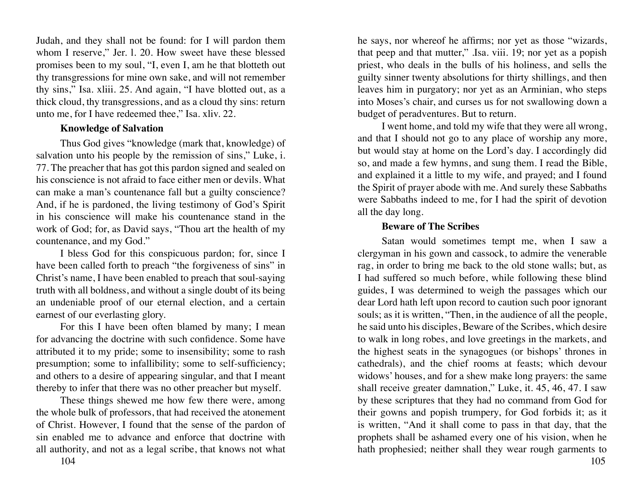Judah, and they shall not be found: for I will pardon them whom I reserve," Jer. l. 20. How sweet have these blessed promises been to my soul, "I, even I, am he that blotteth out thy transgressions for mine own sake, and will not remember thy sins," Isa. xliii. 25. And again, "I have blotted out, as a thick cloud, thy transgressions, and as a cloud thy sins: return unto me, for I have redeemed thee," Isa. xliv. 22.

#### **Knowledge of Salvation**

Thus God gives "knowledge (mark that, knowledge) of salvation unto his people by the remission of sins," Luke, i. 77. The preacher that has got this pardon signed and sealed on his conscience is not afraid to face either men or devils. What can make a man's countenance fall but a guilty conscience? And, if he is pardoned, the living testimony of God's Spirit in his conscience will make his countenance stand in the work of God; for, as David says, "Thou art the health of my countenance, and my God."

I bless God for this conspicuous pardon; for, since I have been called forth to preach "the forgiveness of sins" in Christ's name, I have been enabled to preach that soul-saying truth with all boldness, and without a single doubt of its being an undeniable proof of our eternal election, and a certain earnest of our everlasting glory.

For this I have been often blamed by many; I mean for advancing the doctrine with such confidence. Some have attributed it to my pride; some to insensibility; some to rash presumption; some to infallibility; some to self-sufficiency; and others to a desire of appearing singular, and that I meant thereby to infer that there was no other preacher but myself.

These things shewed me how few there were, among the whole bulk of professors, that had received the atonement of Christ. However, I found that the sense of the pardon of sin enabled me to advance and enforce that doctrine with all authority, and not as a legal scribe, that knows not what he says, nor whereof he affirms; nor yet as those "wizards, that peep and that mutter," .Isa. viii. 19; nor yet as a popish priest, who deals in the bulls of his holiness, and sells the guilty sinner twenty absolutions for thirty shillings, and then leaves him in purgatory; nor yet as an Arminian, who steps into Moses's chair, and curses us for not swallowing down a budget of peradventures. But to return.

I went home, and told my wife that they were all wrong, and that I should not go to any place of worship any more, but would stay at home on the Lord's day. I accordingly did so, and made a few hymns, and sung them. I read the Bible, and explained it a little to my wife, and prayed; and I found the Spirit of prayer abode with me. And surely these Sabbaths were Sabbaths indeed to me, for I had the spirit of devotion all the day long.

#### **Beware of The Scribes**

Satan would sometimes tempt me, when I saw a clergyman in his gown and cassock, to admire the venerable rag, in order to bring me back to the old stone walls; but, as I had suffered so much before, while following these blind guides, I was determined to weigh the passages which our dear Lord hath left upon record to caution such poor ignorant souls; as it is written, "Then, in the audience of all the people, he said unto his disciples, Beware of the Scribes, which desire to walk in long robes, and love greetings in the markets, and the highest seats in the synagogues (or bishops' thrones in cathedrals), and the chief rooms at feasts; which devour widows' houses, and for a shew make long prayers: the same shall receive greater damnation," Luke, it. 45, 46, 47. I saw by these scriptures that they had no command from God for their gowns and popish trumpery, for God forbids it; as it is written, "And it shall come to pass in that day, that the prophets shall be ashamed every one of his vision, when he hath prophesied; neither shall they wear rough garments to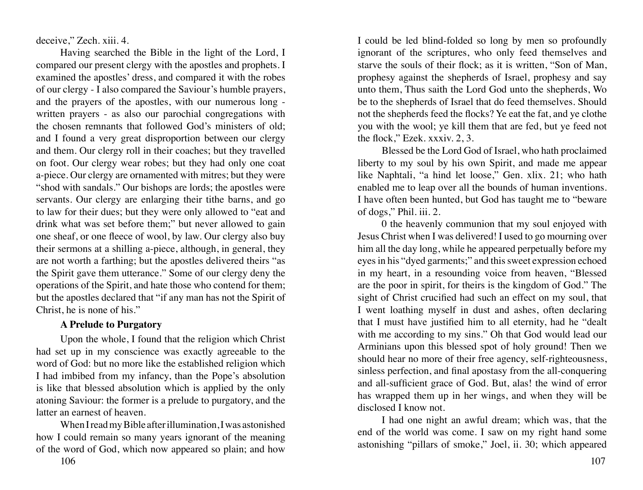deceive," Zech. xiii. 4.

Having searched the Bible in the light of the Lord, I compared our present clergy with the apostles and prophets. I examined the apostles' dress, and compared it with the robes of our clergy - I also compared the Saviour's humble prayers, and the prayers of the apostles, with our numerous long written prayers - as also our parochial congregations with the chosen remnants that followed God's ministers of old; and I found a very great disproportion between our clergy and them. Our clergy roll in their coaches; but they travelled on foot. Our clergy wear robes; but they had only one coat a-piece. Our clergy are ornamented with mitres; but they were "shod with sandals." Our bishops are lords; the apostles were servants. Our clergy are enlarging their tithe barns, and go to law for their dues; but they were only allowed to "eat and drink what was set before them;" but never allowed to gain one sheaf, or one fleece of wool, by law. Our clergy also buy their sermons at a shilling a-piece, although, in general, they are not worth a farthing; but the apostles delivered theirs "as the Spirit gave them utterance." Some of our clergy deny the operations of the Spirit, and hate those who contend for them; but the apostles declared that "if any man has not the Spirit of Christ, he is none of his."

# **A Prelude to Purgatory**

Upon the whole, I found that the religion which Christ had set up in my conscience was exactly agreeable to the word of God: but no more like the established religion which I had imbibed from my infancy, than the Pope's absolution is like that blessed absolution which is applied by the only atoning Saviour: the former is a prelude to purgatory, and the latter an earnest of heaven.

When I read my Bible after illumination, I was astonished how I could remain so many years ignorant of the meaning of the word of God, which now appeared so plain; and how

I could be led blind-folded so long by men so profoundly ignorant of the scriptures, who only feed themselves and starve the souls of their flock; as it is written, "Son of Man, prophesy against the shepherds of Israel, prophesy and say unto them, Thus saith the Lord God unto the shepherds, Wo be to the shepherds of Israel that do feed themselves. Should not the shepherds feed the flocks? Ye eat the fat, and ye clothe you with the wool; ye kill them that are fed, but ye feed not the flock," Ezek. xxxiv. 2, 3.

Blessed be the Lord God of Israel, who hath proclaimed liberty to my soul by his own Spirit, and made me appear like Naphtali, "a hind let loose," Gen. xlix. 21; who hath enabled me to leap over all the bounds of human inventions. I have often been hunted, but God has taught me to "beware of dogs," Phil. iii. 2.

0 the heavenly communion that my soul enjoyed with Jesus Christ when I was delivered! I used to go mourning over him all the day long, while he appeared perpetually before my eyes in his "dyed garments;" and this sweet expression echoed in my heart, in a resounding voice from heaven, "Blessed are the poor in spirit, for theirs is the kingdom of God." The sight of Christ crucified had such an effect on my soul, that I went loathing myself in dust and ashes, often declaring that I must have justified him to all eternity, had he "dealt with me according to my sins." Oh that God would lead our Arminians upon this blessed spot of holy ground! Then we should hear no more of their free agency, self-righteousness, sinless perfection, and final apostasy from the all-conquering and all-sufficient grace of God. But, alas! the wind of error has wrapped them up in her wings, and when they will be disclosed I know not.

I had one night an awful dream; which was, that the end of the world was come. I saw on my right hand some astonishing "pillars of smoke," Joel, ii. 30; which appeared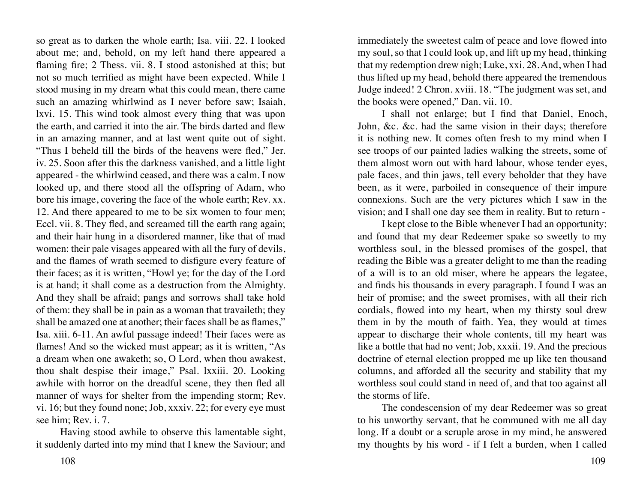so great as to darken the whole earth; Isa. viii. 22. I looked about me; and, behold, on my left hand there appeared a flaming fire; 2 Thess. vii. 8. I stood astonished at this; but not so much terrified as might have been expected. While I stood musing in my dream what this could mean, there came such an amazing whirlwind as I never before saw; Isaiah, lxvi. 15. This wind took almost every thing that was upon the earth, and carried it into the air. The birds darted and flew in an amazing manner, and at last went quite out of sight. "Thus I beheld till the birds of the heavens were fled," Jer. iv. 25. Soon after this the darkness vanished, and a little light appeared - the whirlwind ceased, and there was a calm. I now looked up, and there stood all the offspring of Adam, who bore his image, covering the face of the whole earth; Rev. xx. 12. And there appeared to me to be six women to four men; Eccl. vii. 8. They fled, and screamed till the earth rang again; and their hair hung in a disordered manner, like that of mad women: their pale visages appeared with all the fury of devils, and the flames of wrath seemed to disfigure every feature of their faces; as it is written, "Howl ye; for the day of the Lord is at hand; it shall come as a destruction from the Almighty. And they shall be afraid; pangs and sorrows shall take hold of them: they shall be in pain as a woman that travaileth; they shall be amazed one at another; their faces shall be as flames," Isa. xiii. 6-11. An awful passage indeed! Their faces were as flames! And so the wicked must appear; as it is written, "As a dream when one awaketh; so, O Lord, when thou awakest, thou shalt despise their image," Psal. lxxiii. 20. Looking awhile with horror on the dreadful scene, they then fled all manner of ways for shelter from the impending storm; Rev. vi. 16; but they found none; Job, xxxiv. 22; for every eye must see him; Rev. i. 7.

Having stood awhile to observe this lamentable sight, it suddenly darted into my mind that I knew the Saviour; and

108 109

immediately the sweetest calm of peace and love flowed into my soul, so that I could look up, and lift up my head, thinking that my redemption drew nigh; Luke, xxi. 28. And, when I had thus lifted up my head, behold there appeared the tremendous Judge indeed! 2 Chron. xviii. 18. "The judgment was set, and the books were opened," Dan. vii. 10.

I shall not enlarge; but I find that Daniel, Enoch, John, &c. &c. had the same vision in their days; therefore it is nothing new. It comes often fresh to my mind when I see troops of our painted ladies walking the streets, some of them almost worn out with hard labour, whose tender eyes, pale faces, and thin jaws, tell every beholder that they have been, as it were, parboiled in consequence of their impure connexions. Such are the very pictures which I saw in the vision; and I shall one day see them in reality. But to return -

I kept close to the Bible whenever I had an opportunity; and found that my dear Redeemer spake so sweetly to my worthless soul, in the blessed promises of the gospel, that reading the Bible was a greater delight to me than the reading of a will is to an old miser, where he appears the legatee, and finds his thousands in every paragraph. I found I was an heir of promise; and the sweet promises, with all their rich cordials, flowed into my heart, when my thirsty soul drew them in by the mouth of faith. Yea, they would at times appear to discharge their whole contents, till my heart was like a bottle that had no vent; Job, xxxii. 19. And the precious doctrine of eternal election propped me up like ten thousand columns, and afforded all the security and stability that my worthless soul could stand in need of, and that too against all the storms of life.

The condescension of my dear Redeemer was so great to his unworthy servant, that he communed with me all day long. If a doubt or a scruple arose in my mind, he answered my thoughts by his word - if I felt a burden, when I called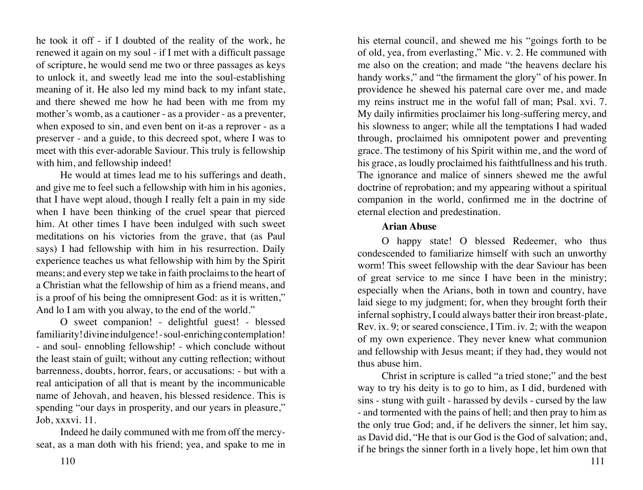he took it off - if I doubted of the reality of the work, he renewed it again on my soul - if I met with a difficult passage of scripture, he would send me two or three passages as keys to unlock it, and sweetly lead me into the soul-establishing meaning of it. He also led my mind back to my infant state, and there shewed me how he had been with me from my mother's womb, as a cautioner - as a provider - as a preventer, when exposed to sin, and even bent on it-as a reprover - as a preserver - and a guide, to this decreed spot, where I was to meet with this ever-adorable Saviour. This truly is fellowship with him, and fellowship indeed!

He would at times lead me to his sufferings and death, and give me to feel such a fellowship with him in his agonies, that I have wept aloud, though I really felt a pain in my side when I have been thinking of the cruel spear that pierced him. At other times I have been indulged with such sweet meditations on his victories from the grave, that (as Paul says) I had fellowship with him in his resurrection. Daily experience teaches us what fellowship with him by the Spirit means; and every step we take in faith proclaims to the heart of a Christian what the fellowship of him as a friend means, and is a proof of his being the omnipresent God: as it is written," And lo I am with you alway, to the end of the world."

O sweet companion! - delightful guest! - blessed familiarity! divine indulgence! - soul-enriching contemplation! - and soul- ennobling fellowship! - which conclude without the least stain of guilt; without any cutting reflection; without barrenness, doubts, horror, fears, or accusations: - but with a real anticipation of all that is meant by the incommunicable name of Jehovah, and heaven, his blessed residence. This is spending "our days in prosperity, and our years in pleasure," Job, xxxvi. 11.

Indeed he daily communed with me from off the mercyseat, as a man doth with his friend; yea, and spake to me in his eternal council, and shewed me his "goings forth to be of old, yea, from everlasting," Mic. v. 2. He communed with me also on the creation; and made "the heavens declare his handy works," and "the firmament the glory" of his power. In providence he shewed his paternal care over me, and made my reins instruct me in the woful fall of man; Psal. xvi. 7. My daily infirmities proclaimer his long-suffering mercy, and his slowness to anger; while all the temptations I had waded through, proclaimed his omnipotent power and preventing grace. The testimony of his Spirit within me, and the word of his grace, as loudly proclaimed his faithtfullness and his truth. The ignorance and malice of sinners shewed me the awful doctrine of reprobation; and my appearing without a spiritual companion in the world, confirmed me in the doctrine of eternal election and predestination.

#### **Arian Abuse**

O happy state! O blessed Redeemer, who thus condescended to familiarize himself with such an unworthy worm! This sweet fellowship with the dear Saviour has been of great service to me since I have been in the ministry; especially when the Arians, both in town and country, have laid siege to my judgment; for, when they brought forth their infernal sophistry, I could always batter their iron breast-plate, Rev. ix. 9; or seared conscience, I Tim. iv. 2; with the weapon of my own experience. They never knew what communion and fellowship with Jesus meant; if they had, they would not thus abuse him.

Christ in scripture is called "a tried stone;" and the best way to try his deity is to go to him, as I did, burdened with sins - stung with guilt - harassed by devils - cursed by the law - and tormented with the pains of hell; and then pray to him as the only true God; and, if he delivers the sinner, let him say, as David did, "He that is our God is the God of salvation; and, if he brings the sinner forth in a lively hope, let him own that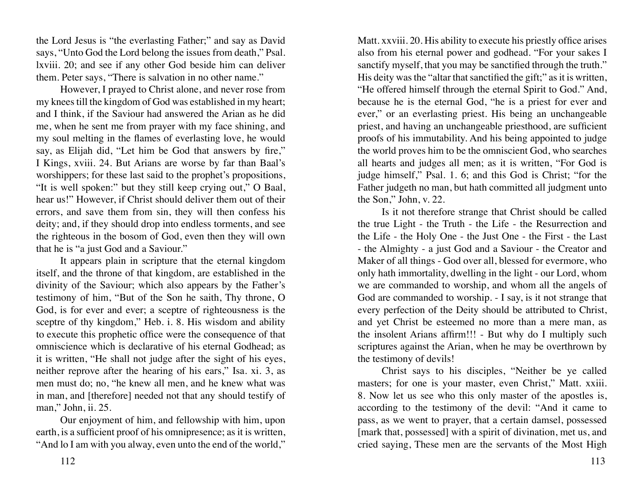the Lord Jesus is "the everlasting Father;" and say as David says, "Unto God the Lord belong the issues from death," Psal. lxviii. 20; and see if any other God beside him can deliver them. Peter says, "There is salvation in no other name."

However, I prayed to Christ alone, and never rose from my knees till the kingdom of God was established in my heart; and I think, if the Saviour had answered the Arian as he did me, when he sent me from prayer with my face shining, and my soul melting in the flames of everlasting love, he would say, as Elijah did, "Let him be God that answers by fire," I Kings, xviii. 24. But Arians are worse by far than Baal's worshippers; for these last said to the prophet's propositions, "It is well spoken:" but they still keep crying out," O Baal, hear us!" However, if Christ should deliver them out of their errors, and save them from sin, they will then confess his deity; and, if they should drop into endless torments, and see the righteous in the bosom of God, even then they will own that he is "a just God and a Saviour."

It appears plain in scripture that the eternal kingdom itself, and the throne of that kingdom, are established in the divinity of the Saviour; which also appears by the Father's testimony of him, "But of the Son he saith, Thy throne, O God, is for ever and ever; a sceptre of righteousness is the sceptre of thy kingdom," Heb. i. 8. His wisdom and ability to execute this prophetic office were the consequence of that omniscience which is declarative of his eternal Godhead; as it is written, "He shall not judge after the sight of his eyes, neither reprove after the hearing of his ears," Isa. xi. 3, as men must do; no, "he knew all men, and he knew what was in man, and [therefore] needed not that any should testify of man," John, ii. 25.

Our enjoyment of him, and fellowship with him, upon earth, is a sufficient proof of his omnipresence; as it is written, "And lo I am with you alway, even unto the end of the world,"

Matt. xxviii. 20. His ability to execute his priestly office arises also from his eternal power and godhead. "For your sakes I sanctify myself, that you may be sanctified through the truth." His deity was the "altar that sanctified the gift;" as it is written, "He offered himself through the eternal Spirit to God." And, because he is the eternal God, "he is a priest for ever and ever," or an everlasting priest. His being an unchangeable priest, and having an unchangeable priesthood, are sufficient proofs of his immutability. And his being appointed to judge the world proves him to be the omniscient God, who searches all hearts and judges all men; as it is written, "For God is judge himself," Psal. 1. 6; and this God is Christ; "for the Father judgeth no man, but hath committed all judgment unto the Son," John, v. 22.

Is it not therefore strange that Christ should be called the true Light - the Truth - the Life - the Resurrection and the Life - the Holy One - the Just One - the First - the Last - the Almighty - a just God and a Saviour - the Creator and Maker of all things - God over all, blessed for evermore, who only hath immortality, dwelling in the light - our Lord, whom we are commanded to worship, and whom all the angels of God are commanded to worship. - I say, is it not strange that every perfection of the Deity should be attributed to Christ, and yet Christ be esteemed no more than a mere man, as the insolent Arians affirm!!! - But why do I multiply such scriptures against the Arian, when he may be overthrown by the testimony of devils!

Christ says to his disciples, "Neither be ye called masters; for one is your master, even Christ," Matt. xxiii. 8. Now let us see who this only master of the apostles is, according to the testimony of the devil: "And it came to pass, as we went to prayer, that a certain damsel, possessed [mark that, possessed] with a spirit of divination, met us, and cried saying, These men are the servants of the Most High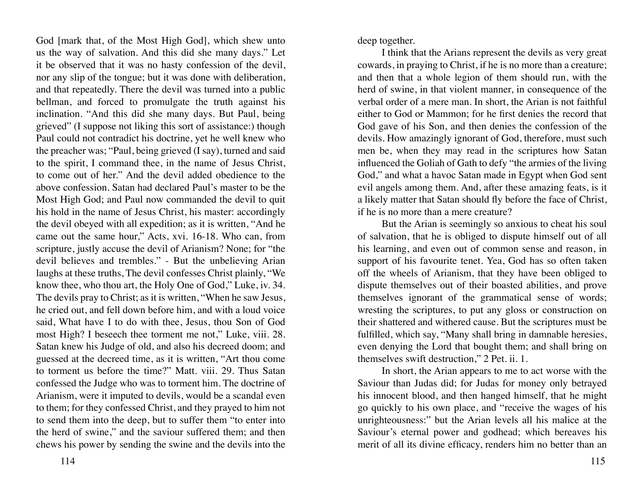God [mark that, of the Most High God], which shew unto us the way of salvation. And this did she many days." Let it be observed that it was no hasty confession of the devil, nor any slip of the tongue; but it was done with deliberation, and that repeatedly. There the devil was turned into a public bellman, and forced to promulgate the truth against his inclination. "And this did she many days. But Paul, being grieved" (I suppose not liking this sort of assistance:) though Paul could not contradict his doctrine, yet he well knew who the preacher was; "Paul, being grieved (I say), turned and said to the spirit, I command thee, in the name of Jesus Christ, to come out of her." And the devil added obedience to the above confession. Satan had declared Paul's master to be the Most High God; and Paul now commanded the devil to quit his hold in the name of Jesus Christ, his master: accordingly the devil obeyed with all expedition; as it is written, "And he came out the same hour," Acts, xvi. 16-18. Who can, from scripture, justly accuse the devil of Arianism? None; for "the devil believes and trembles." - But the unbelieving Arian laughs at these truths, The devil confesses Christ plainly, "We know thee, who thou art, the Holy One of God," Luke, iv. 34. The devils pray to Christ; as it is written, "When he saw Jesus, he cried out, and fell down before him, and with a loud voice said, What have I to do with thee, Jesus, thou Son of God most High? I beseech thee torment me not," Luke, viii. 28. Satan knew his Judge of old, and also his decreed doom; and guessed at the decreed time, as it is written, "Art thou come to torment us before the time?" Matt. viii. 29. Thus Satan confessed the Judge who was to torment him. The doctrine of Arianism, were it imputed to devils, would be a scandal even to them; for they confessed Christ, and they prayed to him not to send them into the deep, but to suffer them "to enter into the herd of swine," and the saviour suffered them; and then chews his power by sending the swine and the devils into the

deep together.

I think that the Arians represent the devils as very great cowards, in praying to Christ, if he is no more than a creature; and then that a whole legion of them should run, with the herd of swine, in that violent manner, in consequence of the verbal order of a mere man. In short, the Arian is not faithful either to God or Mammon; for he first denies the record that God gave of his Son, and then denies the confession of the devils. How amazingly ignorant of God, therefore, must such men be, when they may read in the scriptures how Satan influenced the Goliah of Gath to defy "the armies of the living God," and what a havoc Satan made in Egypt when God sent evil angels among them. And, after these amazing feats, is it a likely matter that Satan should fly before the face of Christ, if he is no more than a mere creature?

But the Arian is seemingly so anxious to cheat his soul of salvation, that he is obliged to dispute himself out of all his learning, and even out of common sense and reason, in support of his favourite tenet. Yea, God has so often taken off the wheels of Arianism, that they have been obliged to dispute themselves out of their boasted abilities, and prove themselves ignorant of the grammatical sense of words; wresting the scriptures, to put any gloss or construction on their shattered and withered cause. But the scriptures must be fulfilled, which say, "Many shall bring in damnable heresies, even denying the Lord that bought them; and shall bring on themselves swift destruction," 2 Pet. ii. 1.

In short, the Arian appears to me to act worse with the Saviour than Judas did; for Judas for money only betrayed his innocent blood, and then hanged himself, that he might go quickly to his own place, and "receive the wages of his unrighteousness:" but the Arian levels all his malice at the Saviour's eternal power and godhead; which bereaves his merit of all its divine efficacy, renders him no better than an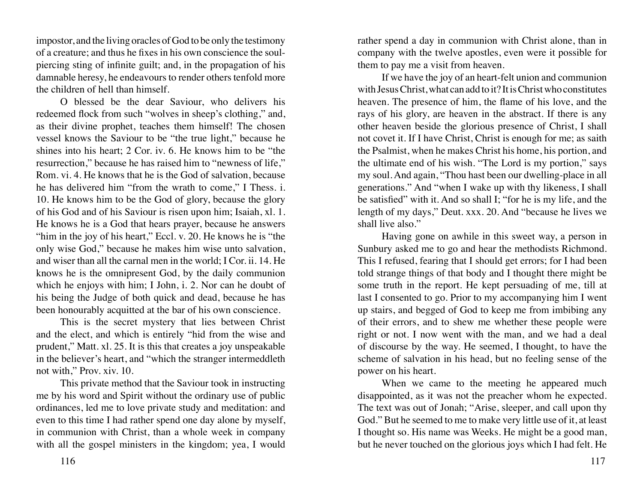impostor, and the living oracles of God to be only the testimony of a creature; and thus he fixes in his own conscience the soulpiercing sting of infinite guilt; and, in the propagation of his damnable heresy, he endeavours to render others tenfold more the children of hell than himself.

O blessed be the dear Saviour, who delivers his redeemed flock from such "wolves in sheep's clothing," and, as their divine prophet, teaches them himself! The chosen vessel knows the Saviour to be "the true light," because he shines into his heart; 2 Cor. iv. 6. He knows him to be "the resurrection," because he has raised him to "newness of life," Rom. vi. 4. He knows that he is the God of salvation, because he has delivered him "from the wrath to come," I Thess. i. 10. He knows him to be the God of glory, because the glory of his God and of his Saviour is risen upon him; Isaiah, xl. 1. He knows he is a God that hears prayer, because he answers "him in the joy of his heart," Eccl. v. 20. He knows he is "the only wise God," because he makes him wise unto salvation, and wiser than all the carnal men in the world; I Cor. ii. 14. He knows he is the omnipresent God, by the daily communion which he enjoys with him; I John, i. 2. Nor can he doubt of his being the Judge of both quick and dead, because he has been honourably acquitted at the bar of his own conscience.

This is the secret mystery that lies between Christ and the elect, and which is entirely "hid from the wise and prudent," Matt. xl. 25. It is this that creates a joy unspeakable in the believer's heart, and "which the stranger intermeddleth not with," Prov. xiv. 10.

This private method that the Saviour took in instructing me by his word and Spirit without the ordinary use of public ordinances, led me to love private study and meditation: and even to this time I had rather spend one day alone by myself, in communion with Christ, than a whole week in company with all the gospel ministers in the kingdom; yea, I would rather spend a day in communion with Christ alone, than in company with the twelve apostles, even were it possible for them to pay me a visit from heaven.

If we have the joy of an heart-felt union and communion with Jesus Christ, what can add to it? It is Christ who constitutes heaven. The presence of him, the flame of his love, and the rays of his glory, are heaven in the abstract. If there is any other heaven beside the glorious presence of Christ, I shall not covet it. If I have Christ, Christ is enough for me; as saith the Psalmist, when he makes Christ his home, his portion, and the ultimate end of his wish. "The Lord is my portion," says my soul. And again, "Thou hast been our dwelling-place in all generations." And "when I wake up with thy likeness, I shall be satisfied" with it. And so shall I; "for he is my life, and the length of my days," Deut. xxx. 20. And "because he lives we shall live also."

Having gone on awhile in this sweet way, a person in Sunbury asked me to go and hear the methodists Richmond. This I refused, fearing that I should get errors; for I had been told strange things of that body and I thought there might be some truth in the report. He kept persuading of me, till at last I consented to go. Prior to my accompanying him I went up stairs, and begged of God to keep me from imbibing any of their errors, and to shew me whether these people were right or not. I now went with the man, and we had a deal of discourse by the way. He seemed, I thought, to have the scheme of salvation in his head, but no feeling sense of the power on his heart.

When we came to the meeting he appeared much disappointed, as it was not the preacher whom he expected. The text was out of Jonah; "Arise, sleeper, and call upon thy God." But he seemed to me to make very little use of it, at least I thought so. His name was Weeks. He might be a good man, but he never touched on the glorious joys which I had felt. He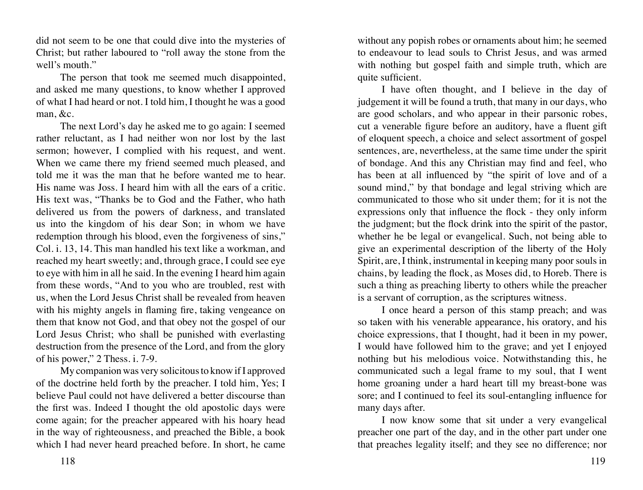did not seem to be one that could dive into the mysteries of Christ; but rather laboured to "roll away the stone from the well's mouth."

The person that took me seemed much disappointed, and asked me many questions, to know whether I approved of what I had heard or not. I told him, I thought he was a good man, &c.

The next Lord's day he asked me to go again: I seemed rather reluctant, as I had neither won nor lost by the last sermon; however, I complied with his request, and went. When we came there my friend seemed much pleased, and told me it was the man that he before wanted me to hear. His name was Joss. I heard him with all the ears of a critic. His text was, "Thanks be to God and the Father, who hath delivered us from the powers of darkness, and translated us into the kingdom of his dear Son; in whom we have redemption through his blood, even the forgiveness of sins," Col. i. 13, 14. This man handled his text like a workman, and reached my heart sweetly; and, through grace, I could see eye to eye with him in all he said. In the evening I heard him again from these words, "And to you who are troubled, rest with us, when the Lord Jesus Christ shall be revealed from heaven with his mighty angels in flaming fire, taking vengeance on them that know not God, and that obey not the gospel of our Lord Jesus Christ; who shall be punished with everlasting destruction from the presence of the Lord, and from the glory of his power," 2 Thess. i. 7-9.

My companion was very solicitous to know if I approved of the doctrine held forth by the preacher. I told him, Yes; I believe Paul could not have delivered a better discourse than the first was. Indeed I thought the old apostolic days were come again; for the preacher appeared with his hoary head in the way of righteousness, and preached the Bible, a book which I had never heard preached before. In short, he came

without any popish robes or ornaments about him; he seemed to endeavour to lead souls to Christ Jesus, and was armed with nothing but gospel faith and simple truth, which are quite sufficient.

I have often thought, and I believe in the day of judgement it will be found a truth, that many in our days, who are good scholars, and who appear in their parsonic robes, cut a venerable figure before an auditory, have a fluent gift of eloquent speech, a choice and select assortment of gospel sentences, are, nevertheless, at the same time under the spirit of bondage. And this any Christian may find and feel, who has been at all influenced by "the spirit of love and of a sound mind," by that bondage and legal striving which are communicated to those who sit under them; for it is not the expressions only that influence the flock - they only inform the judgment; but the flock drink into the spirit of the pastor, whether he be legal or evangelical. Such, not being able to give an experimental description of the liberty of the Holy Spirit, are, I think, instrumental in keeping many poor souls in chains, by leading the flock, as Moses did, to Horeb. There is such a thing as preaching liberty to others while the preacher is a servant of corruption, as the scriptures witness.

I once heard a person of this stamp preach; and was so taken with his venerable appearance, his oratory, and his choice expressions, that I thought, had it been in my power, I would have followed him to the grave; and yet I enjoyed nothing but his melodious voice. Notwithstanding this, he communicated such a legal frame to my soul, that I went home groaning under a hard heart till my breast-bone was sore; and I continued to feel its soul-entangling influence for many days after.

I now know some that sit under a very evangelical preacher one part of the day, and in the other part under one that preaches legality itself; and they see no difference; nor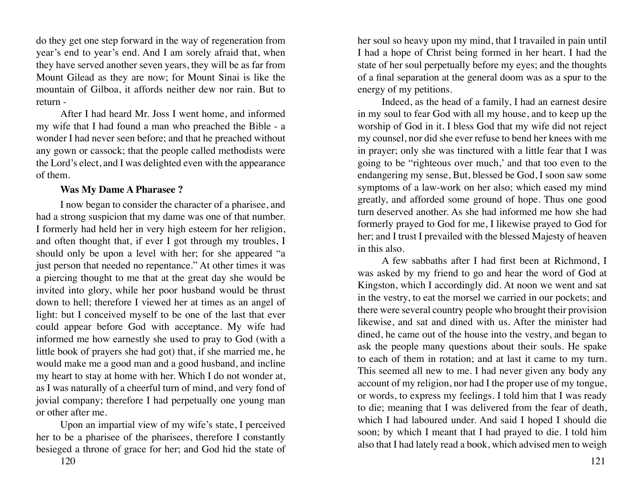do they get one step forward in the way of regeneration from year's end to year's end. And I am sorely afraid that, when they have served another seven years, they will be as far from Mount Gilead as they are now; for Mount Sinai is like the mountain of Gilboa, it affords neither dew nor rain. But to return -

After I had heard Mr. Joss I went home, and informed my wife that I had found a man who preached the Bible - a wonder I had never seen before; and that he preached without any gown or cassock; that the people called methodists were the Lord's elect, and I was delighted even with the appearance of them.

### **Was My Dame A Pharasee ?**

I now began to consider the character of a pharisee, and had a strong suspicion that my dame was one of that number. I formerly had held her in very high esteem for her religion, and often thought that, if ever I got through my troubles, I should only be upon a level with her; for she appeared "a just person that needed no repentance." At other times it was a piercing thought to me that at the great day she would be invited into glory, while her poor husband would be thrust down to hell; therefore I viewed her at times as an angel of light: but I conceived myself to be one of the last that ever could appear before God with acceptance. My wife had informed me how earnestly she used to pray to God (with a little book of prayers she had got) that, if she married me, he would make me a good man and a good husband, and incline my heart to stay at home with her. Which I do not wonder at, as I was naturally of a cheerful turn of mind, and very fond of jovial company; therefore I had perpetually one young man or other after me.

Upon an impartial view of my wife's state, I perceived her to be a pharisee of the pharisees, therefore I constantly besieged a throne of grace for her; and God hid the state of

120 121

her soul so heavy upon my mind, that I travailed in pain until I had a hope of Christ being formed in her heart. I had the state of her soul perpetually before my eyes; and the thoughts of a final separation at the general doom was as a spur to the energy of my petitions.

Indeed, as the head of a family, I had an earnest desire in my soul to fear God with all my house, and to keep up the worship of God in it. I bless God that my wife did not reject my counsel, nor did she ever refuse to bend her knees with me in prayer; only she was tinctured with a little fear that I was going to be "righteous over much,' and that too even to the endangering my sense, But, blessed be God, I soon saw some symptoms of a law-work on her also; which eased my mind greatly, and afforded some ground of hope. Thus one good turn deserved another. As she had informed me how she had formerly prayed to God for me, I likewise prayed to God for her; and I trust I prevailed with the blessed Majesty of heaven in this also.

A few sabbaths after I had first been at Richmond, I was asked by my friend to go and hear the word of God at Kingston, which I accordingly did. At noon we went and sat in the vestry, to eat the morsel we carried in our pockets; and there were several country people who brought their provision likewise, and sat and dined with us. After the minister had dined, he came out of the house into the vestry, and began to ask the people many questions about their souls. He spake to each of them in rotation; and at last it came to my turn. This seemed all new to me. I had never given any body any account of my religion, nor had I the proper use of my tongue, or words, to express my feelings. I told him that I was ready to die; meaning that I was delivered from the fear of death, which I had laboured under. And said I hoped I should die soon; by which I meant that I had prayed to die. I told him also that I had lately read a book, which advised men to weigh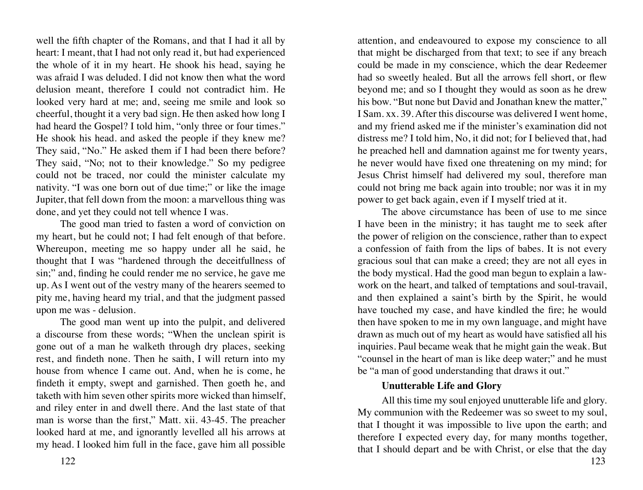well the fifth chapter of the Romans, and that I had it all by heart: I meant, that I had not only read it, but had experienced the whole of it in my heart. He shook his head, saying he was afraid I was deluded. I did not know then what the word delusion meant, therefore I could not contradict him. He looked very hard at me; and, seeing me smile and look so cheerful, thought it a very bad sign. He then asked how long I had heard the Gospel? I told him, "only three or four times." He shook his head. and asked the people if they knew me? They said, "No." He asked them if I had been there before? They said, "No; not to their knowledge." So my pedigree could not be traced, nor could the minister calculate my nativity. "I was one born out of due time;" or like the image Jupiter, that fell down from the moon: a marvellous thing was done, and yet they could not tell whence I was.

The good man tried to fasten a word of conviction on my heart, but he could not; I had felt enough of that before. Whereupon, meeting me so happy under all he said, he thought that I was "hardened through the deceitfullness of sin;" and, finding he could render me no service, he gave me up. As I went out of the vestry many of the hearers seemed to pity me, having heard my trial, and that the judgment passed upon me was - delusion.

The good man went up into the pulpit, and delivered a discourse from these words; "When the unclean spirit is gone out of a man he walketh through dry places, seeking rest, and findeth none. Then he saith, I will return into my house from whence I came out. And, when he is come, he findeth it empty, swept and garnished. Then goeth he, and taketh with him seven other spirits more wicked than himself, and riley enter in and dwell there. And the last state of that man is worse than the first," Matt. xii. 43-45. The preacher looked hard at me, and ignorantly levelled all his arrows at my head. I looked him full in the face, gave him all possible

attention, and endeavoured to expose my conscience to all that might be discharged from that text; to see if any breach could be made in my conscience, which the dear Redeemer had so sweetly healed. But all the arrows fell short, or flew beyond me; and so I thought they would as soon as he drew his bow. "But none but David and Jonathan knew the matter," I Sam. xx. 39. After this discourse was delivered I went home, and my friend asked me if the minister's examination did not distress me? I told him, No, it did not; for I believed that, had he preached hell and damnation against me for twenty years, he never would have fixed one threatening on my mind; for Jesus Christ himself had delivered my soul, therefore man could not bring me back again into trouble; nor was it in my power to get back again, even if I myself tried at it.

The above circumstance has been of use to me since I have been in the ministry; it has taught me to seek after the power of religion on the conscience, rather than to expect a confession of faith from the lips of babes. It is not every gracious soul that can make a creed; they are not all eyes in the body mystical. Had the good man begun to explain a lawwork on the heart, and talked of temptations and soul-travail, and then explained a saint's birth by the Spirit, he would have touched my case, and have kindled the fire; he would then have spoken to me in my own language, and might have drawn as much out of my heart as would have satisfied all his inquiries. Paul became weak that he might gain the weak. But "counsel in the heart of man is like deep water;" and he must be "a man of good understanding that draws it out."

# **Unutterable Life and Glory**

All this time my soul enjoyed unutterable life and glory. My communion with the Redeemer was so sweet to my soul, that I thought it was impossible to live upon the earth; and therefore I expected every day, for many months together, that I should depart and be with Christ, or else that the day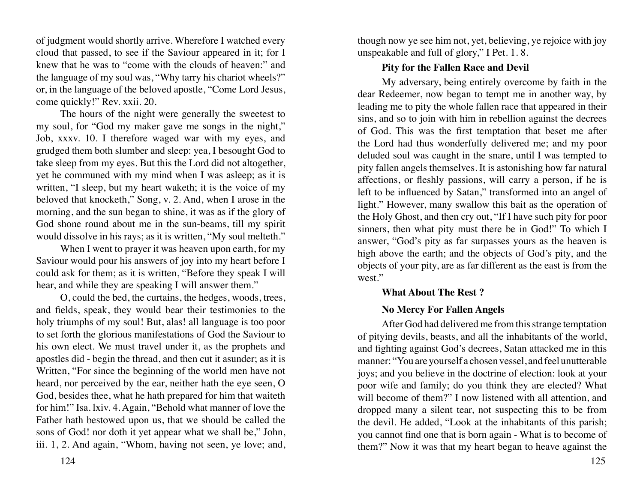of judgment would shortly arrive. Wherefore I watched every cloud that passed, to see if the Saviour appeared in it; for I knew that he was to "come with the clouds of heaven:" and the language of my soul was, "Why tarry his chariot wheels?" or, in the language of the beloved apostle, "Come Lord Jesus, come quickly!" Rev. xxii. 20.

The hours of the night were generally the sweetest to my soul, for "God my maker gave me songs in the night," Job, xxxv. 10. I therefore waged war with my eyes, and grudged them both slumber and sleep: yea, I besought God to take sleep from my eyes. But this the Lord did not altogether, yet he communed with my mind when I was asleep; as it is written, "I sleep, but my heart waketh; it is the voice of my beloved that knocketh," Song, v. 2. And, when I arose in the morning, and the sun began to shine, it was as if the glory of God shone round about me in the sun-beams, till my spirit would dissolve in his rays; as it is written, "My soul melteth."

When I went to prayer it was heaven upon earth, for my Saviour would pour his answers of joy into my heart before I could ask for them; as it is written, "Before they speak I will hear, and while they are speaking I will answer them."

O, could the bed, the curtains, the hedges, woods, trees, and fields, speak, they would bear their testimonies to the holy triumphs of my soul! But, alas! all language is too poor to set forth the glorious manifestations of God the Saviour to his own elect. We must travel under it, as the prophets and apostles did - begin the thread, and then cut it asunder; as it is Written, "For since the beginning of the world men have not heard, nor perceived by the ear, neither hath the eye seen, O God, besides thee, what he hath prepared for him that waiteth for him!" Isa. lxiv. 4. Again, "Behold what manner of love the Father hath bestowed upon us, that we should be called the sons of God! nor doth it yet appear what we shall be," John, iii. 1, 2. And again, "Whom, having not seen, ye love; and,

though now ye see him not, yet, believing, ye rejoice with joy unspeakable and full of glory," I Pet. 1. 8.

# **Pity for the Fallen Race and Devil**

My adversary, being entirely overcome by faith in the dear Redeemer, now began to tempt me in another way, by leading me to pity the whole fallen race that appeared in their sins, and so to join with him in rebellion against the decrees of God. This was the first temptation that beset me after the Lord had thus wonderfully delivered me; and my poor deluded soul was caught in the snare, until I was tempted to pity fallen angels themselves. It is astonishing how far natural affections, or fleshly passions, will carry a person, if he is left to be influenced by Satan," transformed into an angel of light." However, many swallow this bait as the operation of the Holy Ghost, and then cry out, "If I have such pity for poor sinners, then what pity must there be in God!" To which I answer, "God's pity as far surpasses yours as the heaven is high above the earth; and the objects of God's pity, and the objects of your pity, are as far different as the east is from the west."

# **What About The Rest ?**

# **No Mercy For Fallen Angels**

After God had delivered me from this strange temptation of pitying devils, beasts, and all the inhabitants of the world, and fighting against God's decrees, Satan attacked me in this manner: "You are yourself a chosen vessel, and feel unutterable joys; and you believe in the doctrine of election: look at your poor wife and family; do you think they are elected? What will become of them?" I now listened with all attention, and dropped many a silent tear, not suspecting this to be from the devil. He added, "Look at the inhabitants of this parish; you cannot find one that is born again - What is to become of them?" Now it was that my heart began to heave against the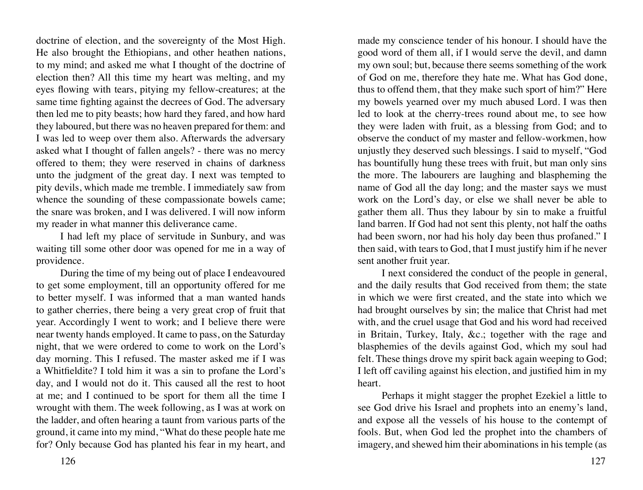doctrine of election, and the sovereignty of the Most High. He also brought the Ethiopians, and other heathen nations, to my mind; and asked me what I thought of the doctrine of election then? All this time my heart was melting, and my eyes flowing with tears, pitying my fellow-creatures; at the same time fighting against the decrees of God. The adversary then led me to pity beasts; how hard they fared, and how hard they laboured, but there was no heaven prepared for them: and I was led to weep over them also. Afterwards the adversary asked what I thought of fallen angels? - there was no mercy offered to them; they were reserved in chains of darkness unto the judgment of the great day. I next was tempted to pity devils, which made me tremble. I immediately saw from whence the sounding of these compassionate bowels came; the snare was broken, and I was delivered. I will now inform my reader in what manner this deliverance came.

I had left my place of servitude in Sunbury, and was waiting till some other door was opened for me in a way of providence.

During the time of my being out of place I endeavoured to get some employment, till an opportunity offered for me to better myself. I was informed that a man wanted hands to gather cherries, there being a very great crop of fruit that year. Accordingly I went to work; and I believe there were near twenty hands employed. It came to pass, on the Saturday night, that we were ordered to come to work on the Lord's day morning. This I refused. The master asked me if I was a Whitfieldite? I told him it was a sin to profane the Lord's day, and I would not do it. This caused all the rest to hoot at me; and I continued to be sport for them all the time I wrought with them. The week following, as I was at work on the ladder, and often hearing a taunt from various parts of the ground, it came into my mind, "What do these people hate me for? Only because God has planted his fear in my heart, and

made my conscience tender of his honour. I should have the good word of them all, if I would serve the devil, and damn my own soul; but, because there seems something of the work of God on me, therefore they hate me. What has God done, thus to offend them, that they make such sport of him?" Here my bowels yearned over my much abused Lord. I was then led to look at the cherry-trees round about me, to see how they were laden with fruit, as a blessing from God; and to observe the conduct of my master and fellow-workmen, how unjustly they deserved such blessings. I said to myself, "God has bountifully hung these trees with fruit, but man only sins the more. The labourers are laughing and blaspheming the name of God all the day long; and the master says we must work on the Lord's day, or else we shall never be able to gather them all. Thus they labour by sin to make a fruitful land barren. If God had not sent this plenty, not half the oaths had been sworn, nor had his holy day been thus profaned." I then said, with tears to God, that I must justify him if he never sent another fruit year.

I next considered the conduct of the people in general, and the daily results that God received from them; the state in which we were first created, and the state into which we had brought ourselves by sin; the malice that Christ had met with, and the cruel usage that God and his word had received in Britain, Turkey, Italy, &c.; together with the rage and blasphemies of the devils against God, which my soul had felt. These things drove my spirit back again weeping to God; I left off caviling against his election, and justified him in my heart.

Perhaps it might stagger the prophet Ezekiel a little to see God drive his Israel and prophets into an enemy's land, and expose all the vessels of his house to the contempt of fools. But, when God led the prophet into the chambers of imagery, and shewed him their abominations in his temple (as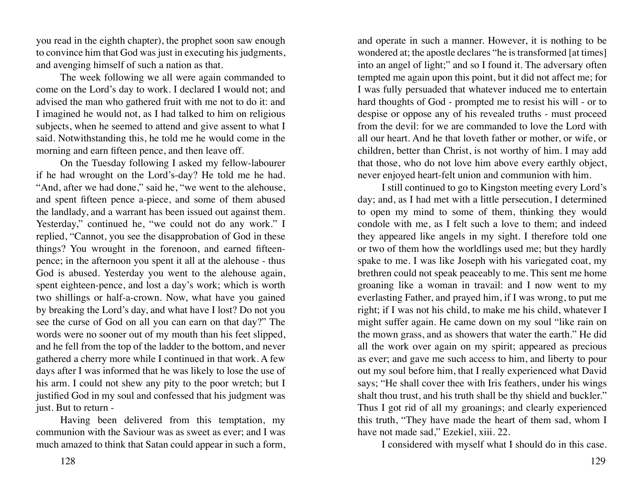you read in the eighth chapter), the prophet soon saw enough to convince him that God was just in executing his judgments, and avenging himself of such a nation as that.

The week following we all were again commanded to come on the Lord's day to work. I declared I would not; and advised the man who gathered fruit with me not to do it: and I imagined he would not, as I had talked to him on religious subjects, when he seemed to attend and give assent to what I said. Notwithstanding this, he told me he would come in the morning and earn fifteen pence, and then leave off.

On the Tuesday following I asked my fellow-labourer if he had wrought on the Lord's-day? He told me he had. "And, after we had done," said he, "we went to the alehouse, and spent fifteen pence a-piece, and some of them abused the landlady, and a warrant has been issued out against them. Yesterday," continued he, "we could not do any work." I replied, "Cannot, you see the disapprobation of God in these things? You wrought in the forenoon, and earned fifteenpence; in the afternoon you spent it all at the alehouse - thus God is abused. Yesterday you went to the alehouse again, spent eighteen-pence, and lost a day's work; which is worth two shillings or half-a-crown. Now, what have you gained by breaking the Lord's day, and what have I lost? Do not you see the curse of God on all you can earn on that day?" The words were no sooner out of my mouth than his feet slipped, and he fell from the top of the ladder to the bottom, and never gathered a cherry more while I continued in that work. A few days after I was informed that he was likely to lose the use of his arm. I could not shew any pity to the poor wretch; but I justified God in my soul and confessed that his judgment was just. But to return -

Having been delivered from this temptation, my communion with the Saviour was as sweet as ever; and I was much amazed to think that Satan could appear in such a form,

and operate in such a manner. However, it is nothing to be wondered at; the apostle declares "he is transformed [at times] into an angel of light;" and so I found it. The adversary often tempted me again upon this point, but it did not affect me; for I was fully persuaded that whatever induced me to entertain hard thoughts of God - prompted me to resist his will - or to despise or oppose any of his revealed truths - must proceed from the devil: for we are commanded to love the Lord with all our heart. And he that loveth father or mother, or wife, or children, better than Christ, is not worthy of him. I may add that those, who do not love him above every earthly object, never enjoyed heart-felt union and communion with him.

I still continued to go to Kingston meeting every Lord's day; and, as I had met with a little persecution, I determined to open my mind to some of them, thinking they would condole with me, as I felt such a love to them; and indeed they appeared like angels in my sight. I therefore told one or two of them how the worldlings used me; but they hardly spake to me. I was like Joseph with his variegated coat, my brethren could not speak peaceably to me. This sent me home groaning like a woman in travail: and I now went to my everlasting Father, and prayed him, if I was wrong, to put me right; if I was not his child, to make me his child, whatever I might suffer again. He came down on my soul "like rain on the mown grass, and as showers that water the earth." He did all the work over again on my spirit; appeared as precious as ever; and gave me such access to him, and liberty to pour out my soul before him, that I really experienced what David says; "He shall cover thee with Iris feathers, under his wings shalt thou trust, and his truth shall be thy shield and buckler." Thus I got rid of all my groanings; and clearly experienced this truth, "They have made the heart of them sad, whom I have not made sad," Ezekiel, xiii. 22.

I considered with myself what I should do in this case.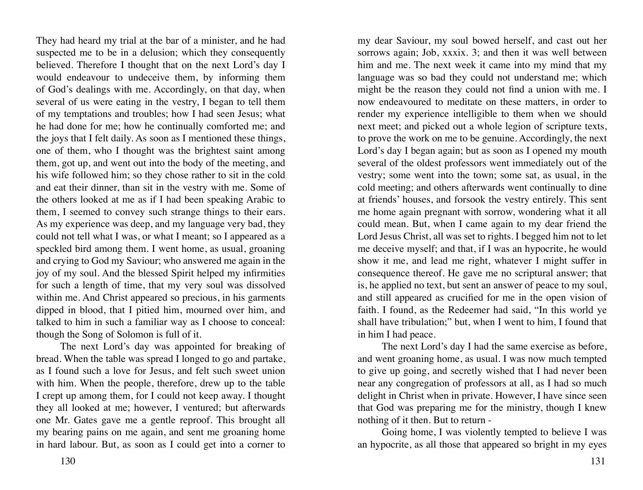They had heard my trial at the bar of a minister, and he had suspected me to be in a delusion; which they consequently believed. Therefore I thought that on the next Lord's day I would endeavour to undeceive them, by informing them of God's dealings with me. Accordingly, on that day, when several of us were eating in the vestry, I began to tell them of my temptations and troubles; how I had seen Jesus; what he had done for me; how he continually comforted me; and the joys that I felt daily. As soon as I mentioned these things, one of them, who I thought was the brightest saint among them, got up, and went out into the body of the meeting, and his wife followed him; so they chose rather to sit in the cold and eat their dinner, than sit in the vestry with me. Some of the others looked at me as if I had been speaking Arabic to them, I seemed to convey such strange things to their ears. As my experience was deep, and my language very bad, they could not tell what I was, or what I meant; so I appeared as a speckled bird among them. I went home, as usual, groaning and crying to God my Saviour; who answered me again in the joy of my soul. And the blessed Spirit helped my infirmities for such a length of time, that my very soul was dissolved within me. And Christ appeared so precious, in his garments dipped in blood, that I pitied him, mourned over him, and talked to him in such a familiar way as I choose to conceal: though the Song of Solomon is full of it.

The next Lord's day was appointed for breaking of bread. When the table was spread I longed to go and partake, as I found such a love for Jesus, and felt such sweet union with him. When the people, therefore, drew up to the table I crept up among them, for I could not keep away. I thought they all looked at me; however, I ventured; but afterwards one Mr. Gates gave me a gentle reproof. This brought all my bearing pains on me again, and sent me groaning home in hard labour. But, as soon as I could get into a corner to

130 131

my dear Saviour, my soul bowed herself, and cast out her sorrows again; Job, xxxix. 3; and then it was well between him and me. The next week it came into my mind that my language was so bad they could not understand me; which might be the reason they could not find a union with me. I now endeavoured to meditate on these matters, in order to render my experience intelligible to them when we should next meet; and picked out a whole legion of scripture texts, to prove the work on me to be genuine. Accordingly, the next Lord's day I began again; but as soon as I opened my mouth several of the oldest professors went immediately out of the vestry; some went into the town; some sat, as usual, in the cold meeting; and others afterwards went continually to dine at friends' houses, and forsook the vestry entirely. This sent me home again pregnant with sorrow, wondering what it all could mean. But, when I came again to my dear friend the Lord Jesus Christ, all was set to rights. I begged him not to let me deceive myself; and that, if I was an hypocrite, he would show it me, and lead me right, whatever I might suffer in consequence thereof. He gave me no scriptural answer; that is, he applied no text, but sent an answer of peace to my soul, and still appeared as crucified for me in the open vision of faith. I found, as the Redeemer had said, "In this world ye shall have tribulation;" but, when I went to him, I found that in him I had peace.

The next Lord's day I had the same exercise as before, and went groaning home, as usual. I was now much tempted to give up going, and secretly wished that I had never been near any congregation of professors at all, as I had so much delight in Christ when in private. However, I have since seen that God was preparing me for the ministry, though I knew nothing of it then. But to return -

Going home, I was violently tempted to believe I was an hypocrite, as all those that appeared so bright in my eyes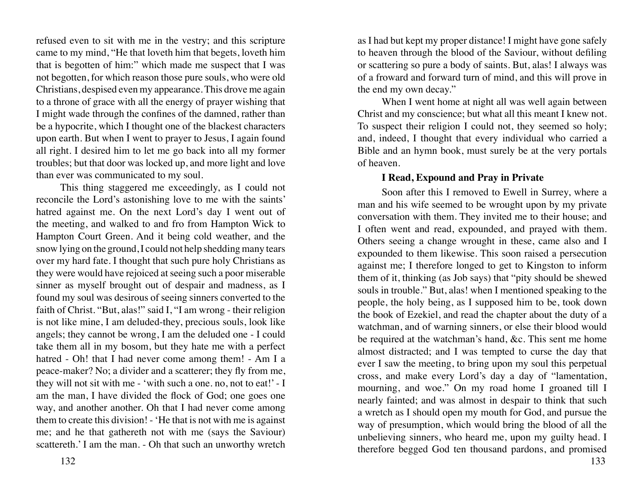refused even to sit with me in the vestry; and this scripture came to my mind, "He that loveth him that begets, loveth him that is begotten of him:" which made me suspect that I was not begotten, for which reason those pure souls, who were old Christians, despised even my appearance. This drove me again to a throne of grace with all the energy of prayer wishing that I might wade through the confines of the damned, rather than be a hypocrite, which I thought one of the blackest characters upon earth. But when I went to prayer to Jesus, I again found all right. I desired him to let me go back into all my former troubles; but that door was locked up, and more light and love than ever was communicated to my soul.

This thing staggered me exceedingly, as I could not reconcile the Lord's astonishing love to me with the saints' hatred against me. On the next Lord's day I went out of the meeting, and walked to and fro from Hampton Wick to Hampton Court Green. And it being cold weather, and the snow lying on the ground, I could not help shedding many tears over my hard fate. I thought that such pure holy Christians as they were would have rejoiced at seeing such a poor miserable sinner as myself brought out of despair and madness, as I found my soul was desirous of seeing sinners converted to the faith of Christ. "But, alas!" said I, "I am wrong - their religion is not like mine, I am deluded-they, precious souls, look like angels; they cannot be wrong, I am the deluded one - I could take them all in my bosom, but they hate me with a perfect hatred - Oh! that I had never come among them! - Am I a peace-maker? No; a divider and a scatterer; they fly from me, they will not sit with me - 'with such a one. no, not to eat!' - I am the man, I have divided the flock of God; one goes one way, and another another. Oh that I had never come among them to create this division! - 'He that is not with me is against me; and he that gathereth not with me (says the Saviour) scattereth.' I am the man. - Oh that such an unworthy wretch

as I had but kept my proper distance! I might have gone safely to heaven through the blood of the Saviour, without defiling or scattering so pure a body of saints. But, alas! I always was of a froward and forward turn of mind, and this will prove in the end my own decay."

When I went home at night all was well again between Christ and my conscience; but what all this meant I knew not. To suspect their religion I could not, they seemed so holy; and, indeed, I thought that every individual who carried a Bible and an hymn book, must surely be at the very portals of heaven.

# **I Read, Expound and Pray in Private**

Soon after this I removed to Ewell in Surrey, where a man and his wife seemed to be wrought upon by my private conversation with them. They invited me to their house; and I often went and read, expounded, and prayed with them. Others seeing a change wrought in these, came also and I expounded to them likewise. This soon raised a persecution against me; I therefore longed to get to Kingston to inform them of it, thinking (as Job says) that "pity should be shewed souls in trouble." But, alas! when I mentioned speaking to the people, the holy being, as I supposed him to be, took down the book of Ezekiel, and read the chapter about the duty of a watchman, and of warning sinners, or else their blood would be required at the watchman's hand, &c. This sent me home almost distracted; and I was tempted to curse the day that ever I saw the meeting, to bring upon my soul this perpetual cross, and make every Lord's day a day of "lamentation, mourning, and woe." On my road home I groaned till I nearly fainted; and was almost in despair to think that such a wretch as I should open my mouth for God, and pursue the way of presumption, which would bring the blood of all the unbelieving sinners, who heard me, upon my guilty head. I therefore begged God ten thousand pardons, and promised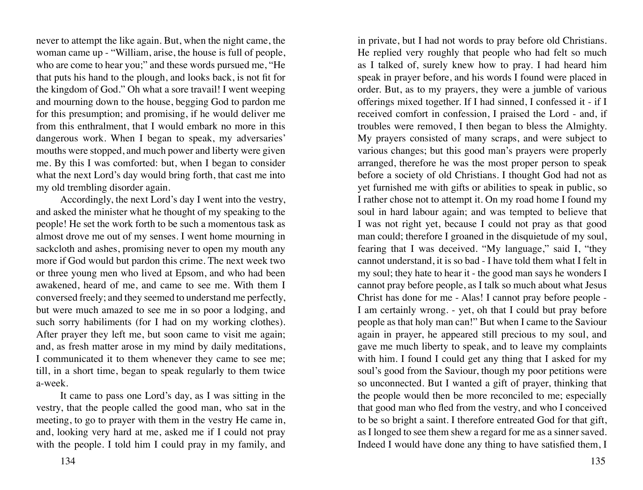never to attempt the like again. But, when the night came, the woman came up - "William, arise, the house is full of people, who are come to hear you;" and these words pursued me, "He that puts his hand to the plough, and looks back, is not fit for the kingdom of God." Oh what a sore travail! I went weeping and mourning down to the house, begging God to pardon me for this presumption; and promising, if he would deliver me from this enthralment, that I would embark no more in this dangerous work. When I began to speak, my adversaries' mouths were stopped, and much power and liberty were given me. By this I was comforted: but, when I began to consider what the next Lord's day would bring forth, that cast me into my old trembling disorder again.

Accordingly, the next Lord's day I went into the vestry, and asked the minister what he thought of my speaking to the people! He set the work forth to be such a momentous task as almost drove me out of my senses. I went home mourning in sackcloth and ashes, promising never to open my mouth any more if God would but pardon this crime. The next week two or three young men who lived at Epsom, and who had been awakened, heard of me, and came to see me. With them I conversed freely; and they seemed to understand me perfectly, but were much amazed to see me in so poor a lodging, and such sorry habiliments (for I had on my working clothes). After prayer they left me, but soon came to visit me again; and, as fresh matter arose in my mind by daily meditations, I communicated it to them whenever they came to see me; till, in a short time, began to speak regularly to them twice a-week.

It came to pass one Lord's day, as I was sitting in the vestry, that the people called the good man, who sat in the meeting, to go to prayer with them in the vestry He came in, and, looking very hard at me, asked me if I could not pray with the people. I told him I could pray in my family, and

in private, but I had not words to pray before old Christians. He replied very roughly that people who had felt so much as I talked of, surely knew how to pray. I had heard him speak in prayer before, and his words I found were placed in order. But, as to my prayers, they were a jumble of various offerings mixed together. If I had sinned, I confessed it - if I received comfort in confession, I praised the Lord - and, if troubles were removed, I then began to bless the Almighty. My prayers consisted of many scraps, and were subject to various changes; but this good man's prayers were properly arranged, therefore he was the most proper person to speak before a society of old Christians. I thought God had not as yet furnished me with gifts or abilities to speak in public, so I rather chose not to attempt it. On my road home I found my soul in hard labour again; and was tempted to believe that I was not right yet, because I could not pray as that good man could; therefore I groaned in the disquietude of my soul, fearing that I was deceived. "My language," said I, "they cannot understand, it is so bad - I have told them what I felt in my soul; they hate to hear it - the good man says he wonders I cannot pray before people, as I talk so much about what Jesus Christ has done for me - Alas! I cannot pray before people - I am certainly wrong. - yet, oh that I could but pray before people as that holy man can!" But when I came to the Saviour again in prayer, he appeared still precious to my soul, and gave me much liberty to speak, and to leave my complaints with him. I found I could get any thing that I asked for my soul's good from the Saviour, though my poor petitions were so unconnected. But I wanted a gift of prayer, thinking that the people would then be more reconciled to me; especially that good man who fled from the vestry, and who I conceived to be so bright a saint. I therefore entreated God for that gift, as I longed to see them shew a regard for me as a sinner saved. Indeed I would have done any thing to have satisfied them, I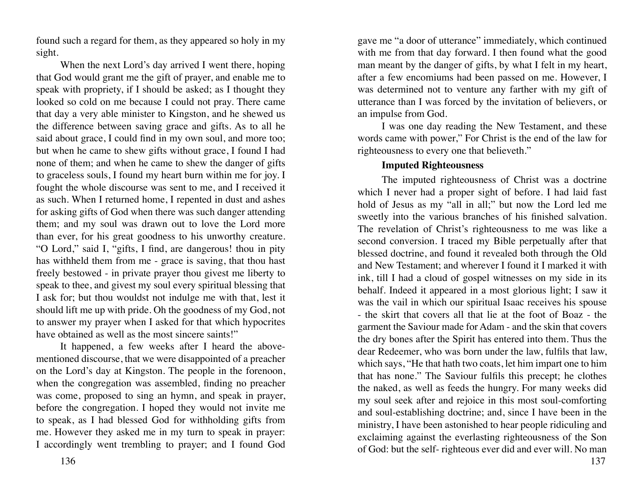found such a regard for them, as they appeared so holy in my sight.

When the next Lord's day arrived I went there, hoping that God would grant me the gift of prayer, and enable me to speak with propriety, if I should be asked; as I thought they looked so cold on me because I could not pray. There came that day a very able minister to Kingston, and he shewed us the difference between saving grace and gifts. As to all he said about grace, I could find in my own soul, and more too; but when he came to shew gifts without grace, I found I had none of them; and when he came to shew the danger of gifts to graceless souls, I found my heart burn within me for joy. I fought the whole discourse was sent to me, and I received it as such. When I returned home, I repented in dust and ashes for asking gifts of God when there was such danger attending them; and my soul was drawn out to love the Lord more than ever, for his great goodness to his unworthy creature. "O Lord," said I, "gifts, I find, are dangerous! thou in pity has withheld them from me - grace is saving, that thou hast freely bestowed - in private prayer thou givest me liberty to speak to thee, and givest my soul every spiritual blessing that I ask for; but thou wouldst not indulge me with that, lest it should lift me up with pride. Oh the goodness of my God, not to answer my prayer when I asked for that which hypocrites have obtained as well as the most sincere saints!"

It happened, a few weeks after I heard the abovementioned discourse, that we were disappointed of a preacher on the Lord's day at Kingston. The people in the forenoon, when the congregation was assembled, finding no preacher was come, proposed to sing an hymn, and speak in prayer, before the congregation. I hoped they would not invite me to speak, as I had blessed God for withholding gifts from me. However they asked me in my turn to speak in prayer: I accordingly went trembling to prayer; and I found God

136 137

gave me "a door of utterance" immediately, which continued with me from that day forward. I then found what the good man meant by the danger of gifts, by what I felt in my heart, after a few encomiums had been passed on me. However, I was determined not to venture any farther with my gift of utterance than I was forced by the invitation of believers, or an impulse from God.

I was one day reading the New Testament, and these words came with power," For Christ is the end of the law for righteousness to every one that believeth."

# **Imputed Righteousness**

The imputed righteousness of Christ was a doctrine which I never had a proper sight of before. I had laid fast hold of Jesus as my "all in all;" but now the Lord led me sweetly into the various branches of his finished salvation. The revelation of Christ's righteousness to me was like a second conversion. I traced my Bible perpetually after that blessed doctrine, and found it revealed both through the Old and New Testament; and wherever I found it I marked it with ink, till I had a cloud of gospel witnesses on my side in its behalf. Indeed it appeared in a most glorious light; I saw it was the vail in which our spiritual Isaac receives his spouse - the skirt that covers all that lie at the foot of Boaz - the garment the Saviour made for Adam - and the skin that covers the dry bones after the Spirit has entered into them. Thus the dear Redeemer, who was born under the law, fulfils that law, which says, "He that hath two coats, let him impart one to him that has none." The Saviour fulfils this precept; he clothes the naked, as well as feeds the hungry. For many weeks did my soul seek after and rejoice in this most soul-comforting and soul-establishing doctrine; and, since I have been in the ministry, I have been astonished to hear people ridiculing and exclaiming against the everlasting righteousness of the Son of God: but the self- righteous ever did and ever will. No man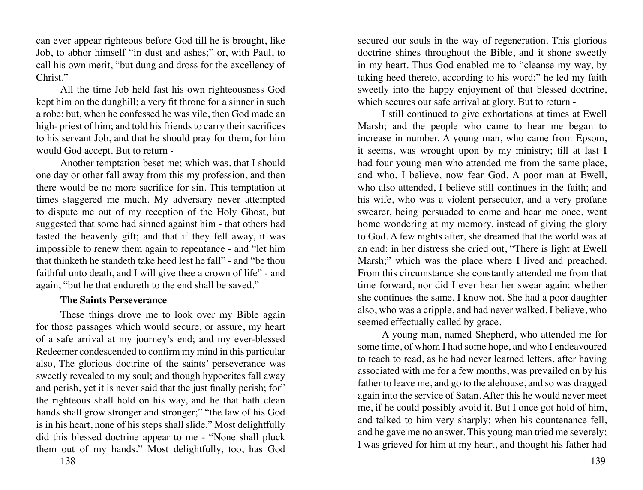can ever appear righteous before God till he is brought, like Job, to abhor himself "in dust and ashes;" or, with Paul, to call his own merit, "but dung and dross for the excellency of Christ."

All the time Job held fast his own righteousness God kept him on the dunghill; a very fit throne for a sinner in such a robe: but, when he confessed he was vile, then God made an high- priest of him; and told his friends to carry their sacrifices to his servant Job, and that he should pray for them, for him would God accept. But to return -

Another temptation beset me; which was, that I should one day or other fall away from this my profession, and then there would be no more sacrifice for sin. This temptation at times staggered me much. My adversary never attempted to dispute me out of my reception of the Holy Ghost, but suggested that some had sinned against him - that others had tasted the heavenly gift; and that if they fell away, it was impossible to renew them again to repentance - and "let him that thinketh he standeth take heed lest he fall" - and "be thou faithful unto death, and I will give thee a crown of life" - and again, "but he that endureth to the end shall be saved."

#### **The Saints Perseverance**

These things drove me to look over my Bible again for those passages which would secure, or assure, my heart of a safe arrival at my journey's end; and my ever-blessed Redeemer condescended to confirm my mind in this particular also, The glorious doctrine of the saints' perseverance was sweetly revealed to my soul; and though hypocrites fall away and perish, yet it is never said that the just finally perish; for" the righteous shall hold on his way, and he that hath clean hands shall grow stronger and stronger;" "the law of his God is in his heart, none of his steps shall slide." Most delightfully did this blessed doctrine appear to me - "None shall pluck them out of my hands." Most delightfully, too, has God

secured our souls in the way of regeneration. This glorious doctrine shines throughout the Bible, and it shone sweetly in my heart. Thus God enabled me to "cleanse my way, by taking heed thereto, according to his word:" he led my faith sweetly into the happy enjoyment of that blessed doctrine, which secures our safe arrival at glory. But to return -

I still continued to give exhortations at times at Ewell Marsh; and the people who came to hear me began to increase in number. A young man, who came from Epsom, it seems, was wrought upon by my ministry; till at last I had four young men who attended me from the same place, and who, I believe, now fear God. A poor man at Ewell, who also attended, I believe still continues in the faith; and his wife, who was a violent persecutor, and a very profane swearer, being persuaded to come and hear me once, went home wondering at my memory, instead of giving the glory to God. A few nights after, she dreamed that the world was at an end: in her distress she cried out, "There is light at Ewell Marsh;" which was the place where I lived and preached. From this circumstance she constantly attended me from that time forward, nor did I ever hear her swear again: whether she continues the same, I know not. She had a poor daughter also, who was a cripple, and had never walked, I believe, who seemed effectually called by grace.

A young man, named Shepherd, who attended me for some time, of whom I had some hope, and who I endeavoured to teach to read, as he had never learned letters, after having associated with me for a few months, was prevailed on by his father to leave me, and go to the alehouse, and so was dragged again into the service of Satan. After this he would never meet me, if he could possibly avoid it. But I once got hold of him, and talked to him very sharply; when his countenance fell, and he gave me no answer. This young man tried me severely; I was grieved for him at my heart, and thought his father had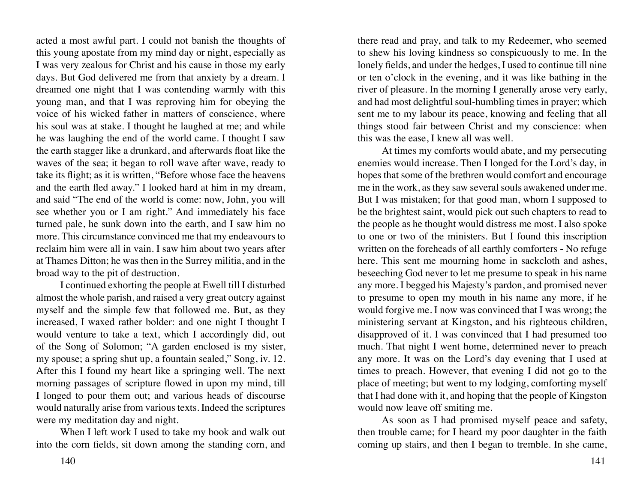acted a most awful part. I could not banish the thoughts of this young apostate from my mind day or night, especially as I was very zealous for Christ and his cause in those my early days. But God delivered me from that anxiety by a dream. I dreamed one night that I was contending warmly with this young man, and that I was reproving him for obeying the voice of his wicked father in matters of conscience, where his soul was at stake. I thought he laughed at me; and while he was laughing the end of the world came. I thought I saw the earth stagger like a drunkard, and afterwards float like the waves of the sea; it began to roll wave after wave, ready to take its flight; as it is written, "Before whose face the heavens and the earth fled away." I looked hard at him in my dream, and said "The end of the world is come: now, John, you will see whether you or I am right." And immediately his face turned pale, he sunk down into the earth, and I saw him no more. This circumstance convinced me that my endeavours to reclaim him were all in vain. I saw him about two years after at Thames Ditton; he was then in the Surrey militia, and in the broad way to the pit of destruction.

I continued exhorting the people at Ewell till I disturbed almost the whole parish, and raised a very great outcry against myself and the simple few that followed me. But, as they increased, I waxed rather bolder: and one night I thought I would venture to take a text, which I accordingly did, out of the Song of Solomon; "A garden enclosed is my sister, my spouse; a spring shut up, a fountain sealed," Song, iv. 12. After this I found my heart like a springing well. The next morning passages of scripture flowed in upon my mind, till I longed to pour them out; and various heads of discourse would naturally arise from various texts. Indeed the scriptures were my meditation day and night.

When I left work I used to take my book and walk out into the corn fields, sit down among the standing corn, and

there read and pray, and talk to my Redeemer, who seemed to shew his loving kindness so conspicuously to me. In the lonely fields, and under the hedges, I used to continue till nine or ten o'clock in the evening, and it was like bathing in the river of pleasure. In the morning I generally arose very early, and had most delightful soul-humbling times in prayer; which sent me to my labour its peace, knowing and feeling that all things stood fair between Christ and my conscience: when this was the ease, I knew all was well.

At times my comforts would abate, and my persecuting enemies would increase. Then I longed for the Lord's day, in hopes that some of the brethren would comfort and encourage me in the work, as they saw several souls awakened under me. But I was mistaken; for that good man, whom I supposed to be the brightest saint, would pick out such chapters to read to the people as he thought would distress me most. I also spoke to one or two of the ministers. But I found this inscription written on the foreheads of all earthly comforters - No refuge here. This sent me mourning home in sackcloth and ashes, beseeching God never to let me presume to speak in his name any more. I begged his Majesty's pardon, and promised never to presume to open my mouth in his name any more, if he would forgive me. I now was convinced that I was wrong; the ministering servant at Kingston, and his righteous children, disapproved of it. I was convinced that I had presumed too much. That night I went home, determined never to preach any more. It was on the Lord's day evening that I used at times to preach. However, that evening I did not go to the place of meeting; but went to my lodging, comforting myself that I had done with it, and hoping that the people of Kingston would now leave off smiting me.

As soon as I had promised myself peace and safety, then trouble came; for I heard my poor daughter in the faith coming up stairs, and then I began to tremble. In she came,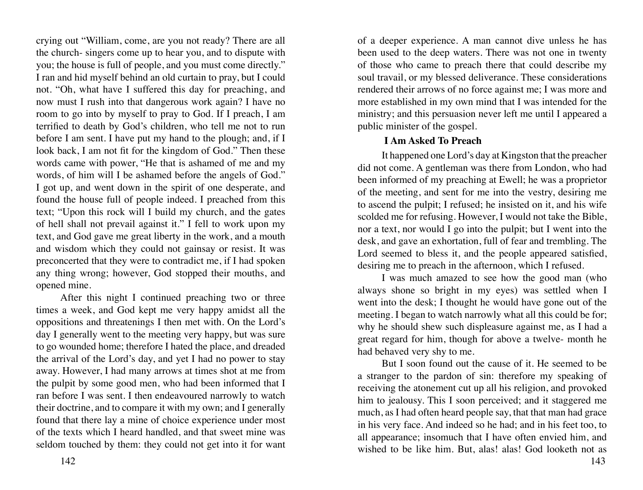crying out "William, come, are you not ready? There are all the church- singers come up to hear you, and to dispute with you; the house is full of people, and you must come directly." I ran and hid myself behind an old curtain to pray, but I could not. "Oh, what have I suffered this day for preaching, and now must I rush into that dangerous work again? I have no room to go into by myself to pray to God. If I preach, I am terrified to death by God's children, who tell me not to run before I am sent. I have put my hand to the plough; and, if I look back, I am not fit for the kingdom of God." Then these words came with power, "He that is ashamed of me and my words, of him will I be ashamed before the angels of God." I got up, and went down in the spirit of one desperate, and found the house full of people indeed. I preached from this text; "Upon this rock will I build my church, and the gates of hell shall not prevail against it." I fell to work upon my text, and God gave me great liberty in the work, and a mouth and wisdom which they could not gainsay or resist. It was preconcerted that they were to contradict me, if I had spoken any thing wrong; however, God stopped their mouths, and opened mine.

After this night I continued preaching two or three times a week, and God kept me very happy amidst all the oppositions and threatenings I then met with. On the Lord's day I generally went to the meeting very happy, but was sure to go wounded home; therefore I hated the place, and dreaded the arrival of the Lord's day, and yet I had no power to stay away. However, I had many arrows at times shot at me from the pulpit by some good men, who had been informed that I ran before I was sent. I then endeavoured narrowly to watch their doctrine, and to compare it with my own; and I generally found that there lay a mine of choice experience under most of the texts which I heard handled, and that sweet mine was seldom touched by them: they could not get into it for want of a deeper experience. A man cannot dive unless he has been used to the deep waters. There was not one in twenty of those who came to preach there that could describe my soul travail, or my blessed deliverance. These considerations rendered their arrows of no force against me; I was more and more established in my own mind that I was intended for the ministry; and this persuasion never left me until I appeared a public minister of the gospel.

# **I Am Asked To Preach**

It happened one Lord's day at Kingston that the preacher did not come. A gentleman was there from London, who had been informed of my preaching at Ewell; he was a proprietor of the meeting, and sent for me into the vestry, desiring me to ascend the pulpit; I refused; he insisted on it, and his wife scolded me for refusing. However, I would not take the Bible, nor a text, nor would I go into the pulpit; but I went into the desk, and gave an exhortation, full of fear and trembling. The Lord seemed to bless it, and the people appeared satisfied, desiring me to preach in the afternoon, which I refused.

I was much amazed to see how the good man (who always shone so bright in my eyes) was settled when I went into the desk; I thought he would have gone out of the meeting. I began to watch narrowly what all this could be for; why he should shew such displeasure against me, as I had a great regard for him, though for above a twelve- month he had behaved very shy to me.

But I soon found out the cause of it. He seemed to be a stranger to the pardon of sin: therefore my speaking of receiving the atonement cut up all his religion, and provoked him to jealousy. This I soon perceived; and it staggered me much, as I had often heard people say, that that man had grace in his very face. And indeed so he had; and in his feet too, to all appearance; insomuch that I have often envied him, and wished to be like him. But, alas! alas! God looketh not as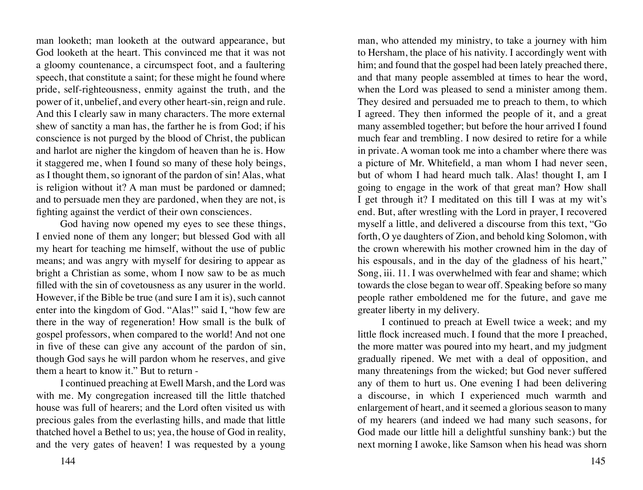man looketh; man looketh at the outward appearance, but God looketh at the heart. This convinced me that it was not a gloomy countenance, a circumspect foot, and a faultering speech, that constitute a saint; for these might he found where pride, self-righteousness, enmity against the truth, and the power of it, unbelief, and every other heart-sin, reign and rule. And this I clearly saw in many characters. The more external shew of sanctity a man has, the farther he is from God; if his conscience is not purged by the blood of Christ, the publican and harlot are nigher the kingdom of heaven than he is. How it staggered me, when I found so many of these holy beings, as I thought them, so ignorant of the pardon of sin! Alas, what is religion without it? A man must be pardoned or damned; and to persuade men they are pardoned, when they are not, is fighting against the verdict of their own consciences.

God having now opened my eyes to see these things, I envied none of them any longer; but blessed God with all my heart for teaching me himself, without the use of public means; and was angry with myself for desiring to appear as bright a Christian as some, whom I now saw to be as much filled with the sin of covetousness as any usurer in the world. However, if the Bible be true (and sure I am it is), such cannot enter into the kingdom of God. "Alas!" said I, "how few are there in the way of regeneration! How small is the bulk of gospel professors, when compared to the world! And not one in five of these can give any account of the pardon of sin, though God says he will pardon whom he reserves, and give them a heart to know it." But to return -

I continued preaching at Ewell Marsh, and the Lord was with me. My congregation increased till the little thatched house was full of hearers; and the Lord often visited us with precious gales from the everlasting hills, and made that little thatched hovel a Bethel to us; yea, the house of God in reality, and the very gates of heaven! I was requested by a young

man, who attended my ministry, to take a journey with him to Hersham, the place of his nativity. I accordingly went with him; and found that the gospel had been lately preached there, and that many people assembled at times to hear the word, when the Lord was pleased to send a minister among them. They desired and persuaded me to preach to them, to which I agreed. They then informed the people of it, and a great many assembled together; but before the hour arrived I found much fear and trembling. I now desired to retire for a while in private. A woman took me into a chamber where there was a picture of Mr. Whitefield, a man whom I had never seen, but of whom I had heard much talk. Alas! thought I, am I going to engage in the work of that great man? How shall I get through it? I meditated on this till I was at my wit's end. But, after wrestling with the Lord in prayer, I recovered myself a little, and delivered a discourse from this text, "Go forth, O ye daughters of Zion, and behold king Solomon, with the crown wherewith his mother crowned him in the day of his espousals, and in the day of the gladness of his heart," Song, iii. 11. I was overwhelmed with fear and shame; which towards the close began to wear off. Speaking before so many people rather emboldened me for the future, and gave me greater liberty in my delivery.

I continued to preach at Ewell twice a week; and my little flock increased much. I found that the more I preached, the more matter was poured into my heart, and my judgment gradually ripened. We met with a deal of opposition, and many threatenings from the wicked; but God never suffered any of them to hurt us. One evening I had been delivering a discourse, in which I experienced much warmth and enlargement of heart, and it seemed a glorious season to many of my hearers (and indeed we had many such seasons, for God made our little hill a delightful sunshiny bank:) but the next morning I awoke, like Samson when his head was shorn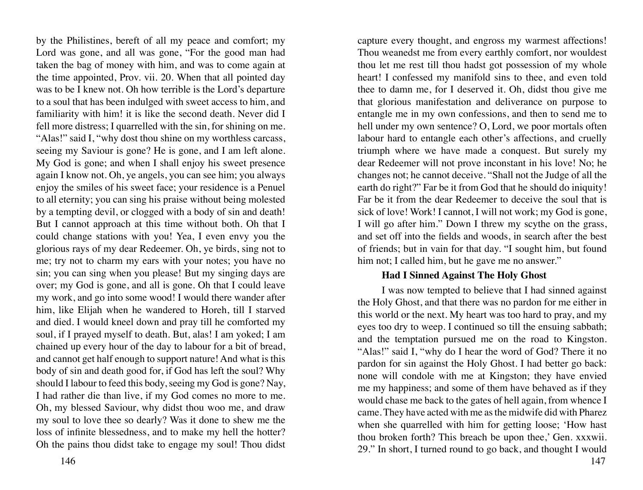by the Philistines, bereft of all my peace and comfort; my Lord was gone, and all was gone, "For the good man had taken the bag of money with him, and was to come again at the time appointed, Prov. vii. 20. When that all pointed day was to be I knew not. Oh how terrible is the Lord's departure to a soul that has been indulged with sweet access to him, and familiarity with him! it is like the second death. Never did I fell more distress; I quarrelled with the sin, for shining on me. "Alas!" said I, "why dost thou shine on my worthless carcass, seeing my Saviour is gone? He is gone, and I am left alone. My God is gone; and when I shall enjoy his sweet presence again I know not. Oh, ye angels, you can see him; you always enjoy the smiles of his sweet face; your residence is a Penuel to all eternity; you can sing his praise without being molested by a tempting devil, or clogged with a body of sin and death! But I cannot approach at this time without both. Oh that I could change stations with you! Yea, I even envy you the glorious rays of my dear Redeemer. Oh, ye birds, sing not to me; try not to charm my ears with your notes; you have no sin; you can sing when you please! But my singing days are over; my God is gone, and all is gone. Oh that I could leave my work, and go into some wood! I would there wander after him, like Elijah when he wandered to Horeh, till I starved and died. I would kneel down and pray till he comforted my soul, if I prayed myself to death. But, alas! I am yoked; I am chained up every hour of the day to labour for a bit of bread, and cannot get half enough to support nature! And what is this body of sin and death good for, if God has left the soul? Why should I labour to feed this body, seeing my God is gone? Nay, I had rather die than live, if my God comes no more to me. Oh, my blessed Saviour, why didst thou woo me, and draw my soul to love thee so dearly? Was it done to shew me the loss of infinite blessedness, and to make my hell the hotter? Oh the pains thou didst take to engage my soul! Thou didst

146 147

capture every thought, and engross my warmest affections! Thou weanedst me from every earthly comfort, nor wouldest thou let me rest till thou hadst got possession of my whole heart! I confessed my manifold sins to thee, and even told thee to damn me, for I deserved it. Oh, didst thou give me that glorious manifestation and deliverance on purpose to entangle me in my own confessions, and then to send me to hell under my own sentence? O, Lord, we poor mortals often labour hard to entangle each other's affections, and cruelly triumph where we have made a conquest. But surely my dear Redeemer will not prove inconstant in his love! No; he changes not; he cannot deceive. "Shall not the Judge of all the earth do right?" Far be it from God that he should do iniquity! Far be it from the dear Redeemer to deceive the soul that is sick of love! Work! I cannot, I will not work; my God is gone, I will go after him." Down I threw my scythe on the grass, and set off into the fields and woods, in search after the best of friends; but in vain for that day. "I sought him, but found him not; I called him, but he gave me no answer."

#### **Had I Sinned Against The Holy Ghost**

I was now tempted to believe that I had sinned against the Holy Ghost, and that there was no pardon for me either in this world or the next. My heart was too hard to pray, and my eyes too dry to weep. I continued so till the ensuing sabbath; and the temptation pursued me on the road to Kingston. "Alas!" said I, "why do I hear the word of God? There it no pardon for sin against the Holy Ghost. I had better go back: none will condole with me at Kingston; they have envied me my happiness; and some of them have behaved as if they would chase me back to the gates of hell again, from whence I came. They have acted with me as the midwife did with Pharez when she quarrelled with him for getting loose; 'How hast thou broken forth? This breach be upon thee,' Gen. xxxwii. 29." In short, I turned round to go back, and thought I would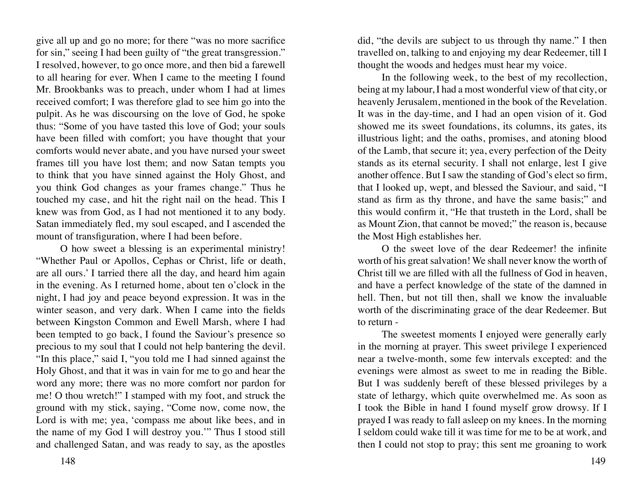give all up and go no more; for there "was no more sacrifice for sin," seeing I had been guilty of "the great transgression." I resolved, however, to go once more, and then bid a farewell to all hearing for ever. When I came to the meeting I found Mr. Brookbanks was to preach, under whom I had at limes received comfort; I was therefore glad to see him go into the pulpit. As he was discoursing on the love of God, he spoke thus: "Some of you have tasted this love of God; your souls have been filled with comfort; you have thought that your comforts would never abate, and you have nursed your sweet frames till you have lost them; and now Satan tempts you to think that you have sinned against the Holy Ghost, and you think God changes as your frames change." Thus he touched my case, and hit the right nail on the head. This I knew was from God, as I had not mentioned it to any body. Satan immediately fled, my soul escaped, and I ascended the mount of transfiguration, where I had been before.

O how sweet a blessing is an experimental ministry! "Whether Paul or Apollos, Cephas or Christ, life or death, are all ours.' I tarried there all the day, and heard him again in the evening. As I returned home, about ten o'clock in the night, I had joy and peace beyond expression. It was in the winter season, and very dark. When I came into the fields between Kingston Common and Ewell Marsh, where I had been tempted to go back, I found the Saviour's presence so precious to my soul that I could not help bantering the devil. "In this place," said I, "you told me I had sinned against the Holy Ghost, and that it was in vain for me to go and hear the word any more; there was no more comfort nor pardon for me! O thou wretch!" I stamped with my foot, and struck the ground with my stick, saying, "Come now, come now, the Lord is with me; yea, 'compass me about like bees, and in the name of my God I will destroy you.'" Thus I stood still and challenged Satan, and was ready to say, as the apostles

did, "the devils are subject to us through thy name." I then travelled on, talking to and enjoying my dear Redeemer, till I thought the woods and hedges must hear my voice.

In the following week, to the best of my recollection, being at my labour, I had a most wonderful view of that city, or heavenly Jerusalem, mentioned in the book of the Revelation. It was in the day-time, and I had an open vision of it. God showed me its sweet foundations, its columns, its gates, its illustrious light; and the oaths, promises, and atoning blood of the Lamb, that secure it; yea, every perfection of the Deity stands as its eternal security. I shall not enlarge, lest I give another offence. But I saw the standing of God's elect so firm, that I looked up, wept, and blessed the Saviour, and said, "I stand as firm as thy throne, and have the same basis;" and this would confirm it, "He that trusteth in the Lord, shall be as Mount Zion, that cannot be moved;" the reason is, because the Most High establishes her.

O the sweet love of the dear Redeemer! the infinite worth of his great salvation! We shall never know the worth of Christ till we are filled with all the fullness of God in heaven, and have a perfect knowledge of the state of the damned in hell. Then, but not till then, shall we know the invaluable worth of the discriminating grace of the dear Redeemer. But to return -

The sweetest moments I enjoyed were generally early in the morning at prayer. This sweet privilege I experienced near a twelve-month, some few intervals excepted: and the evenings were almost as sweet to me in reading the Bible. But I was suddenly bereft of these blessed privileges by a state of lethargy, which quite overwhelmed me. As soon as I took the Bible in hand I found myself grow drowsy. If I prayed I was ready to fall asleep on my knees. In the morning I seldom could wake till it was time for me to be at work, and then I could not stop to pray; this sent me groaning to work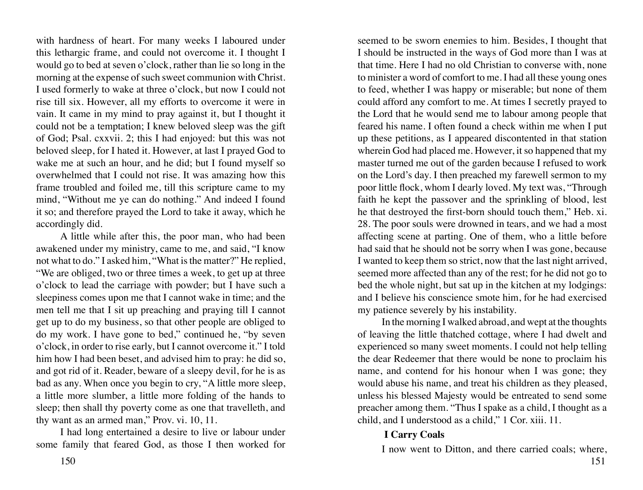with hardness of heart. For many weeks I laboured under this lethargic frame, and could not overcome it. I thought I would go to bed at seven o'clock, rather than lie so long in the morning at the expense of such sweet communion with Christ. I used formerly to wake at three o'clock, but now I could not rise till six. However, all my efforts to overcome it were in vain. It came in my mind to pray against it, but I thought it could not be a temptation; I knew beloved sleep was the gift of God; Psal. cxxvii. 2; this I had enjoyed: but this was not beloved sleep, for I hated it. However, at last I prayed God to wake me at such an hour, and he did; but I found myself so overwhelmed that I could not rise. It was amazing how this frame troubled and foiled me, till this scripture came to my mind, "Without me ye can do nothing." And indeed I found it so; and therefore prayed the Lord to take it away, which he accordingly did.

A little while after this, the poor man, who had been awakened under my ministry, came to me, and said, "I know not what to do." I asked him, "What is the matter?" He replied, "We are obliged, two or three times a week, to get up at three o'clock to lead the carriage with powder; but I have such a sleepiness comes upon me that I cannot wake in time; and the men tell me that I sit up preaching and praying till I cannot get up to do my business, so that other people are obliged to do my work. I have gone to bed," continued he, "by seven o'clock, in order to rise early, but I cannot overcome it." I told him how I had been beset, and advised him to pray: he did so, and got rid of it. Reader, beware of a sleepy devil, for he is as bad as any. When once you begin to cry, "A little more sleep, a little more slumber, a little more folding of the hands to sleep; then shall thy poverty come as one that travelleth, and thy want as an armed man," Prov. vi. 10, 11.

I had long entertained a desire to live or labour under some family that feared God, as those I then worked for

seemed to be sworn enemies to him. Besides, I thought that I should be instructed in the ways of God more than I was at that time. Here I had no old Christian to converse with, none to minister a word of comfort to me. I had all these young ones to feed, whether I was happy or miserable; but none of them could afford any comfort to me. At times I secretly prayed to the Lord that he would send me to labour among people that feared his name. I often found a check within me when I put up these petitions, as I appeared discontented in that station wherein God had placed me. However, it so happened that my master turned me out of the garden because I refused to work on the Lord's day. I then preached my farewell sermon to my poor little flock, whom I dearly loved. My text was, "Through faith he kept the passover and the sprinkling of blood, lest he that destroyed the first-born should touch them," Heb. xi. 28. The poor souls were drowned in tears, and we had a most affecting scene at parting. One of them, who a little before had said that he should not be sorry when I was gone, because I wanted to keep them so strict, now that the last night arrived, seemed more affected than any of the rest; for he did not go to bed the whole night, but sat up in the kitchen at my lodgings: and I believe his conscience smote him, for he had exercised my patience severely by his instability.

In the morning I walked abroad, and wept at the thoughts of leaving the little thatched cottage, where I had dwelt and experienced so many sweet moments. I could not help telling the dear Redeemer that there would be none to proclaim his name, and contend for his honour when I was gone; they would abuse his name, and treat his children as they pleased, unless his blessed Majesty would be entreated to send some preacher among them. "Thus I spake as a child, I thought as a child, and I understood as a child," 1 Cor. xiii. 11.

# **I Carry Coals**

I now went to Ditton, and there carried coals; where,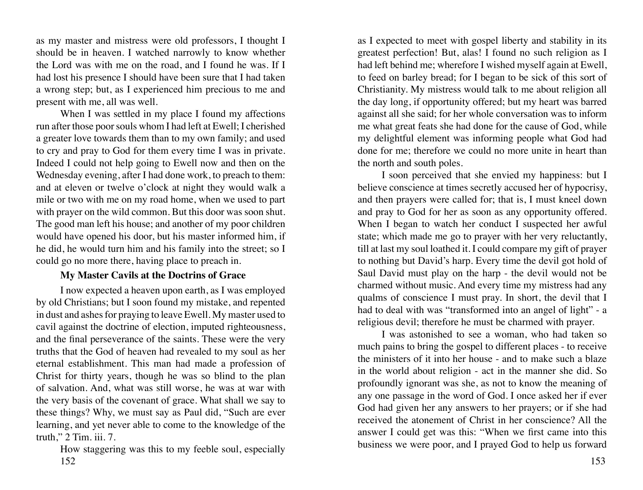as my master and mistress were old professors, I thought I should be in heaven. I watched narrowly to know whether the Lord was with me on the road, and I found he was. If I had lost his presence I should have been sure that I had taken a wrong step; but, as I experienced him precious to me and present with me, all was well.

When I was settled in my place I found my affections run after those poor souls whom I had left at Ewell; I cherished a greater love towards them than to my own family; and used to cry and pray to God for them every time I was in private. Indeed I could not help going to Ewell now and then on the Wednesday evening, after I had done work, to preach to them: and at eleven or twelve o'clock at night they would walk a mile or two with me on my road home, when we used to part with prayer on the wild common. But this door was soon shut. The good man left his house; and another of my poor children would have opened his door, but his master informed him, if he did, he would turn him and his family into the street; so I could go no more there, having place to preach in.

# **My Master Cavils at the Doctrins of Grace**

I now expected a heaven upon earth, as I was employed by old Christians; but I soon found my mistake, and repented in dust and ashes for praying to leave Ewell. My master used to cavil against the doctrine of election, imputed righteousness, and the final perseverance of the saints. These were the very truths that the God of heaven had revealed to my soul as her eternal establishment. This man had made a profession of Christ for thirty years, though he was so blind to the plan of salvation. And, what was still worse, he was at war with the very basis of the covenant of grace. What shall we say to these things? Why, we must say as Paul did, "Such are ever learning, and yet never able to come to the knowledge of the truth," 2 Tim. iii. 7.

152 153 How staggering was this to my feeble soul, especially

as I expected to meet with gospel liberty and stability in its greatest perfection! But, alas! I found no such religion as I had left behind me; wherefore I wished myself again at Ewell, to feed on barley bread; for I began to be sick of this sort of Christianity. My mistress would talk to me about religion all the day long, if opportunity offered; but my heart was barred against all she said; for her whole conversation was to inform me what great feats she had done for the cause of God, while my delightful element was informing people what God had done for me; therefore we could no more unite in heart than the north and south poles.

I soon perceived that she envied my happiness: but I believe conscience at times secretly accused her of hypocrisy, and then prayers were called for; that is, I must kneel down and pray to God for her as soon as any opportunity offered. When I began to watch her conduct I suspected her awful state; which made me go to prayer with her very reluctantly, till at last my soul loathed it. I could compare my gift of prayer to nothing but David's harp. Every time the devil got hold of Saul David must play on the harp - the devil would not be charmed without music. And every time my mistress had any qualms of conscience I must pray. In short, the devil that I had to deal with was "transformed into an angel of light" - a religious devil; therefore he must be charmed with prayer.

I was astonished to see a woman, who had taken so much pains to bring the gospel to different places - to receive the ministers of it into her house - and to make such a blaze in the world about religion - act in the manner she did. So profoundly ignorant was she, as not to know the meaning of any one passage in the word of God. I once asked her if ever God had given her any answers to her prayers; or if she had received the atonement of Christ in her conscience? All the answer I could get was this: "When we first came into this business we were poor, and I prayed God to help us forward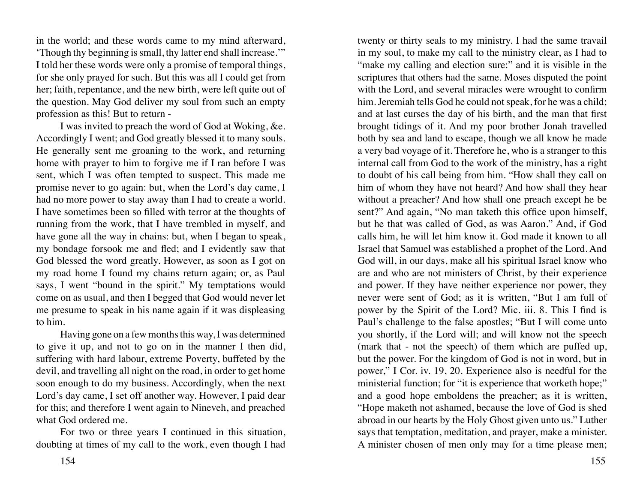in the world; and these words came to my mind afterward, 'Though thy beginning is small, thy latter end shall increase.'" I told her these words were only a promise of temporal things, for she only prayed for such. But this was all I could get from her; faith, repentance, and the new birth, were left quite out of the question. May God deliver my soul from such an empty profession as this! But to return -

I was invited to preach the word of God at Woking, &e. Accordingly I went; and God greatly blessed it to many souls. He generally sent me groaning to the work, and returning home with prayer to him to forgive me if I ran before I was sent, which I was often tempted to suspect. This made me promise never to go again: but, when the Lord's day came, I had no more power to stay away than I had to create a world. I have sometimes been so filled with terror at the thoughts of running from the work, that I have trembled in myself, and have gone all the way in chains: but, when I began to speak, my bondage forsook me and fled; and I evidently saw that God blessed the word greatly. However, as soon as I got on my road home I found my chains return again; or, as Paul says, I went "bound in the spirit." My temptations would come on as usual, and then I begged that God would never let me presume to speak in his name again if it was displeasing to him.

Having gone on a few months this way, I was determined to give it up, and not to go on in the manner I then did, suffering with hard labour, extreme Poverty, buffeted by the devil, and travelling all night on the road, in order to get home soon enough to do my business. Accordingly, when the next Lord's day came, I set off another way. However, I paid dear for this; and therefore I went again to Nineveh, and preached what God ordered me.

For two or three years I continued in this situation, doubting at times of my call to the work, even though I had

154 155

twenty or thirty seals to my ministry. I had the same travail in my soul, to make my call to the ministry clear, as I had to "make my calling and election sure:" and it is visible in the scriptures that others had the same. Moses disputed the point with the Lord, and several miracles were wrought to confirm him. Jeremiah tells God he could not speak, for he was a child; and at last curses the day of his birth, and the man that first brought tidings of it. And my poor brother Jonah travelled both by sea and land to escape, though we all know he made a very bad voyage of it. Therefore he, who is a stranger to this internal call from God to the work of the ministry, has a right to doubt of his call being from him. "How shall they call on him of whom they have not heard? And how shall they hear without a preacher? And how shall one preach except he be sent?" And again, "No man taketh this office upon himself, but he that was called of God, as was Aaron." And, if God calls him, he will let him know it. God made it known to all Israel that Samuel was established a prophet of the Lord. And God will, in our days, make all his spiritual Israel know who are and who are not ministers of Christ, by their experience and power. If they have neither experience nor power, they never were sent of God; as it is written, "But I am full of power by the Spirit of the Lord? Mic. iii. 8. This I find is Paul's challenge to the false apostles; "But I will come unto you shortly, if the Lord will; and will know not the speech (mark that - not the speech) of them which are puffed up, but the power. For the kingdom of God is not in word, but in power," I Cor. iv. 19, 20. Experience also is needful for the ministerial function; for "it is experience that worketh hope;" and a good hope emboldens the preacher; as it is written, "Hope maketh not ashamed, because the love of God is shed abroad in our hearts by the Holy Ghost given unto us." Luther says that temptation, meditation, and prayer, make a minister. A minister chosen of men only may for a time please men;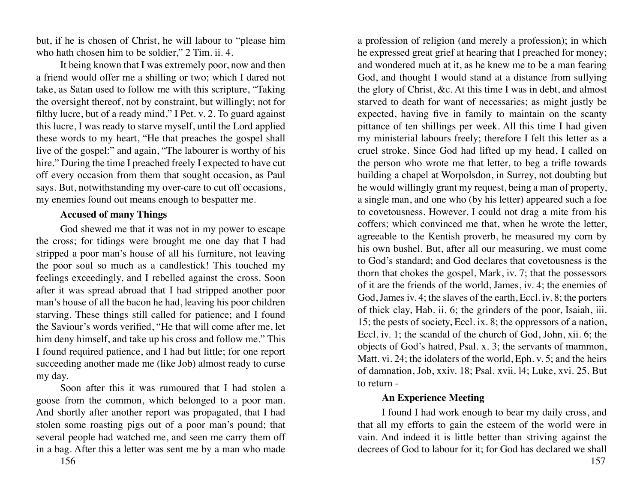but, if he is chosen of Christ, he will labour to "please him who hath chosen him to be soldier," 2 Tim. ii. 4.

It being known that I was extremely poor, now and then a friend would offer me a shilling or two; which I dared not take, as Satan used to follow me with this scripture, "Taking the oversight thereof, not by constraint, but willingly; not for filthy lucre, but of a ready mind," I Pet. v. 2. To guard against this lucre, I was ready to starve myself, until the Lord applied these words to my heart, "He that preaches the gospel shall live of the gospel:" and again, "The labourer is worthy of his hire." During the time I preached freely I expected to have cut off every occasion from them that sought occasion, as Paul says. But, notwithstanding my over-care to cut off occasions, my enemies found out means enough to bespatter me.

### **Accused of many Things**

God shewed me that it was not in my power to escape the cross; for tidings were brought me one day that I had stripped a poor man's house of all his furniture, not leaving the poor soul so much as a candlestick! This touched my feelings exceedingly, and I rebelled against the cross. Soon after it was spread abroad that I had stripped another poor man's house of all the bacon he had, leaving his poor children starving. These things still called for patience; and I found the Saviour's words verified, "He that will come after me, let him deny himself, and take up his cross and follow me." This I found required patience, and I had but little; for one report succeeding another made me (like Job) almost ready to curse my day.

Soon after this it was rumoured that I had stolen a goose from the common, which belonged to a poor man. And shortly after another report was propagated, that I had stolen some roasting pigs out of a poor man's pound; that several people had watched me, and seen me carry them off in a bag. After this a letter was sent me by a man who made

a profession of religion (and merely a profession); in which he expressed great grief at hearing that I preached for money; and wondered much at it, as he knew me to be a man fearing God, and thought I would stand at a distance from sullying the glory of Christ, &c. At this time I was in debt, and almost starved to death for want of necessaries; as might justly be expected, having five in family to maintain on the scanty pittance of ten shillings per week. All this time I had given my ministerial labours freely; therefore I felt this letter as a cruel stroke. Since God had lifted up my head, I called on the person who wrote me that letter, to beg a trifle towards building a chapel at Worpolsdon, in Surrey, not doubting but he would willingly grant my request, being a man of property, a single man, and one who (by his letter) appeared such a foe to covetousness. However, I could not drag a mite from his coffers; which convinced me that, when he wrote the letter, agreeable to the Kentish proverb, he measured my corn by his own bushel. But, after all our measuring, we must come to God's standard; and God declares that covetousness is the thorn that chokes the gospel, Mark, iv. 7; that the possessors of it are the friends of the world, James, iv. 4; the enemies of God, James iv. 4; the slaves of the earth, Eccl. iv. 8; the porters of thick clay, Hab. ii. 6; the grinders of the poor, Isaiah, iii. 15; the pests of society, Eccl. ix. 8; the oppressors of a nation, Eccl. iv. 1; the scandal of the church of God, John, xii. 6; the objects of God's hatred, Psal. x. 3; the servants of mammon, Matt. vi. 24; the idolaters of the world, Eph. v. 5; and the heirs of damnation, Job, xxiv. 18; Psal. xvii. l4; Luke, xvi. 25. But to return -

# **An Experience Meeting**

I found I had work enough to bear my daily cross, and that all my efforts to gain the esteem of the world were in vain. And indeed it is little better than striving against the decrees of God to labour for it; for God has declared we shall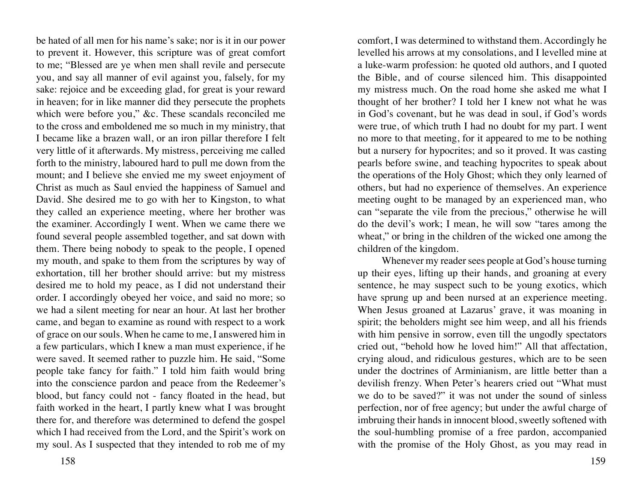be hated of all men for his name's sake; nor is it in our power to prevent it. However, this scripture was of great comfort to me; "Blessed are ye when men shall revile and persecute you, and say all manner of evil against you, falsely, for my sake: rejoice and be exceeding glad, for great is your reward in heaven; for in like manner did they persecute the prophets which were before you," &c. These scandals reconciled me to the cross and emboldened me so much in my ministry, that I became like a brazen wall, or an iron pillar therefore I felt very little of it afterwards. My mistress, perceiving me called forth to the ministry, laboured hard to pull me down from the mount; and I believe she envied me my sweet enjoyment of Christ as much as Saul envied the happiness of Samuel and David. She desired me to go with her to Kingston, to what they called an experience meeting, where her brother was the examiner. Accordingly I went. When we came there we found several people assembled together, and sat down with them. There being nobody to speak to the people, I opened my mouth, and spake to them from the scriptures by way of exhortation, till her brother should arrive: but my mistress desired me to hold my peace, as I did not understand their order. I accordingly obeyed her voice, and said no more; so we had a silent meeting for near an hour. At last her brother came, and began to examine as round with respect to a work of grace on our souls. When he came to me, I answered him in a few particulars, which I knew a man must experience, if he were saved. It seemed rather to puzzle him. He said, "Some people take fancy for faith." I told him faith would bring into the conscience pardon and peace from the Redeemer's blood, but fancy could not - fancy floated in the head, but faith worked in the heart, I partly knew what I was brought there for, and therefore was determined to defend the gospel which I had received from the Lord, and the Spirit's work on my soul. As I suspected that they intended to rob me of my

158 159

comfort, I was determined to withstand them. Accordingly he levelled his arrows at my consolations, and I levelled mine at a luke-warm profession: he quoted old authors, and I quoted the Bible, and of course silenced him. This disappointed my mistress much. On the road home she asked me what I thought of her brother? I told her I knew not what he was in God's covenant, but he was dead in soul, if God's words were true, of which truth I had no doubt for my part. I went no more to that meeting, for it appeared to me to be nothing but a nursery for hypocrites; and so it proved. It was casting pearls before swine, and teaching hypocrites to speak about the operations of the Holy Ghost; which they only learned of others, but had no experience of themselves. An experience meeting ought to be managed by an experienced man, who can "separate the vile from the precious," otherwise he will do the devil's work; I mean, he will sow "tares among the wheat," or bring in the children of the wicked one among the children of the kingdom.

Whenever my reader sees people at God's house turning up their eyes, lifting up their hands, and groaning at every sentence, he may suspect such to be young exotics, which have sprung up and been nursed at an experience meeting. When Jesus groaned at Lazarus' grave, it was moaning in spirit; the beholders might see him weep, and all his friends with him pensive in sorrow, even till the ungodly spectators cried out, "behold how he loved him!" All that affectation, crying aloud, and ridiculous gestures, which are to be seen under the doctrines of Arminianism, are little better than a devilish frenzy. When Peter's hearers cried out "What must we do to be saved?" it was not under the sound of sinless perfection, nor of free agency; but under the awful charge of imbruing their hands in innocent blood, sweetly softened with the soul-humbling promise of a free pardon, accompanied with the promise of the Holy Ghost, as you may read in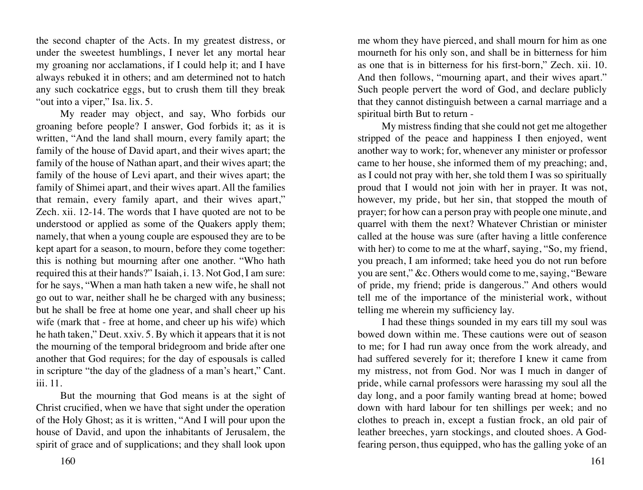the second chapter of the Acts. In my greatest distress, or under the sweetest humblings, I never let any mortal hear my groaning nor acclamations, if I could help it; and I have always rebuked it in others; and am determined not to hatch any such cockatrice eggs, but to crush them till they break "out into a viper," Isa. lix. 5.

My reader may object, and say, Who forbids our groaning before people? I answer, God forbids it; as it is written, "And the land shall mourn, every family apart; the family of the house of David apart, and their wives apart; the family of the house of Nathan apart, and their wives apart; the family of the house of Levi apart, and their wives apart; the family of Shimei apart, and their wives apart. All the families that remain, every family apart, and their wives apart," Zech. xii. 12-14. The words that I have quoted are not to be understood or applied as some of the Quakers apply them; namely, that when a young couple are espoused they are to be kept apart for a season, to mourn, before they come together: this is nothing but mourning after one another. "Who hath required this at their hands?" Isaiah, i. 13. Not God, I am sure: for he says, "When a man hath taken a new wife, he shall not go out to war, neither shall he be charged with any business; but he shall be free at home one year, and shall cheer up his wife (mark that - free at home, and cheer up his wife) which he hath taken," Deut. xxiv. 5. By which it appears that it is not the mourning of the temporal bridegroom and bride after one another that God requires; for the day of espousals is called in scripture "the day of the gladness of a man's heart," Cant. iii. 11.

But the mourning that God means is at the sight of Christ crucified, when we have that sight under the operation of the Holy Ghost; as it is written, "And I will pour upon the house of David, and upon the inhabitants of Jerusalem, the spirit of grace and of supplications; and they shall look upon

me whom they have pierced, and shall mourn for him as one mourneth for his only son, and shall be in bitterness for him as one that is in bitterness for his first-born," Zech. xii. 10. And then follows, "mourning apart, and their wives apart." Such people pervert the word of God, and declare publicly that they cannot distinguish between a carnal marriage and a spiritual birth But to return -

My mistress finding that she could not get me altogether stripped of the peace and happiness I then enjoyed, went another way to work; for, whenever any minister or professor came to her house, she informed them of my preaching; and, as I could not pray with her, she told them I was so spiritually proud that I would not join with her in prayer. It was not, however, my pride, but her sin, that stopped the mouth of prayer; for how can a person pray with people one minute, and quarrel with them the next? Whatever Christian or minister called at the house was sure (after having a little conference with her) to come to me at the wharf, saying, "So, my friend, you preach, I am informed; take heed you do not run before you are sent," &c. Others would come to me, saying, "Beware of pride, my friend; pride is dangerous." And others would tell me of the importance of the ministerial work, without telling me wherein my sufficiency lay.

I had these things sounded in my ears till my soul was bowed down within me. These cautions were out of season to me; for I had run away once from the work already, and had suffered severely for it; therefore I knew it came from my mistress, not from God. Nor was I much in danger of pride, while carnal professors were harassing my soul all the day long, and a poor family wanting bread at home; bowed down with hard labour for ten shillings per week; and no clothes to preach in, except a fustian frock, an old pair of leather breeches, yarn stockings, and clouted shoes. A Godfearing person, thus equipped, who has the galling yoke of an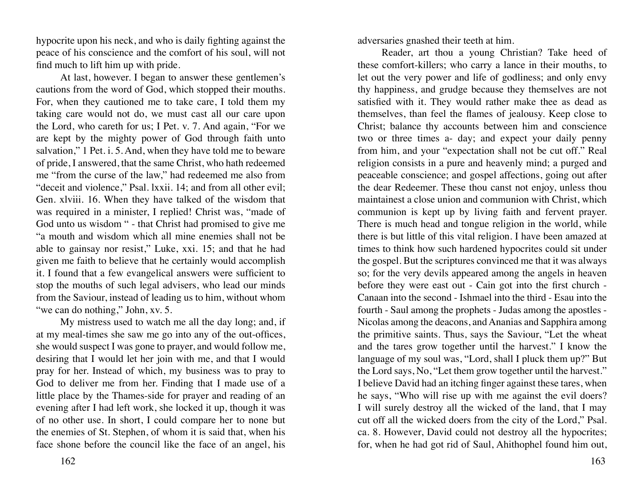hypocrite upon his neck, and who is daily fighting against the peace of his conscience and the comfort of his soul, will not find much to lift him up with pride.

At last, however. I began to answer these gentlemen's cautions from the word of God, which stopped their mouths. For, when they cautioned me to take care, I told them my taking care would not do, we must cast all our care upon the Lord, who careth for us; I Pet. v. 7. And again, "For we are kept by the mighty power of God through faith unto salvation," 1 Pet. i. 5. And, when they have told me to beware of pride, I answered, that the same Christ, who hath redeemed me "from the curse of the law," had redeemed me also from "deceit and violence," Psal. lxxii. 14; and from all other evil; Gen. xlviii. 16. When they have talked of the wisdom that was required in a minister, I replied! Christ was, "made of God unto us wisdom " - that Christ had promised to give me "a mouth and wisdom which all mine enemies shall not be able to gainsay nor resist," Luke, xxi. 15; and that he had given me faith to believe that he certainly would accomplish it. I found that a few evangelical answers were sufficient to stop the mouths of such legal advisers, who lead our minds from the Saviour, instead of leading us to him, without whom "we can do nothing," John, xv. 5.

My mistress used to watch me all the day long; and, if at my meal-times she saw me go into any of the out-offices, she would suspect I was gone to prayer, and would follow me, desiring that I would let her join with me, and that I would pray for her. Instead of which, my business was to pray to God to deliver me from her. Finding that I made use of a little place by the Thames-side for prayer and reading of an evening after I had left work, she locked it up, though it was of no other use. In short, I could compare her to none but the enemies of St. Stephen, of whom it is said that, when his face shone before the council like the face of an angel, his adversaries gnashed their teeth at him.

Reader, art thou a young Christian? Take heed of these comfort-killers; who carry a lance in their mouths, to let out the very power and life of godliness; and only envy thy happiness, and grudge because they themselves are not satisfied with it. They would rather make thee as dead as themselves, than feel the flames of jealousy. Keep close to Christ; balance thy accounts between him and conscience two or three times a- day; and expect your daily penny from him, and your "expectation shall not be cut off." Real religion consists in a pure and heavenly mind; a purged and peaceable conscience; and gospel affections, going out after the dear Redeemer. These thou canst not enjoy, unless thou maintainest a close union and communion with Christ, which communion is kept up by living faith and fervent prayer. There is much head and tongue religion in the world, while there is but little of this vital religion. I have been amazed at times to think how such hardened hypocrites could sit under the gospel. But the scriptures convinced me that it was always so; for the very devils appeared among the angels in heaven before they were east out - Cain got into the first church - Canaan into the second - Ishmael into the third - Esau into the fourth - Saul among the prophets - Judas among the apostles - Nicolas among the deacons, and Ananias and Sapphira among the primitive saints. Thus, says the Saviour, "Let the wheat and the tares grow together until the harvest." I know the language of my soul was, "Lord, shall I pluck them up?" But the Lord says, No, "Let them grow together until the harvest." I believe David had an itching finger against these tares, when he says, "Who will rise up with me against the evil doers? I will surely destroy all the wicked of the land, that I may cut off all the wicked doers from the city of the Lord," Psal. ca. 8. However, David could not destroy all the hypocrites; for, when he had got rid of Saul, Ahithophel found him out,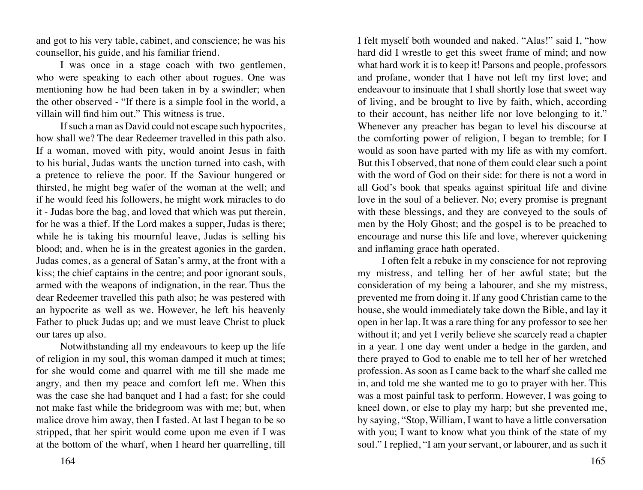and got to his very table, cabinet, and conscience; he was his counsellor, his guide, and his familiar friend.

I was once in a stage coach with two gentlemen, who were speaking to each other about rogues. One was mentioning how he had been taken in by a swindler; when the other observed - "If there is a simple fool in the world, a villain will find him out." This witness is true.

If such a man as David could not escape such hypocrites, how shall we? The dear Redeemer travelled in this path also. If a woman, moved with pity, would anoint Jesus in faith to his burial, Judas wants the unction turned into cash, with a pretence to relieve the poor. If the Saviour hungered or thirsted, he might beg wafer of the woman at the well; and if he would feed his followers, he might work miracles to do it - Judas bore the bag, and loved that which was put therein, for he was a thief. If the Lord makes a supper, Judas is there; while he is taking his mournful leave, Judas is selling his blood; and, when he is in the greatest agonies in the garden, Judas comes, as a general of Satan's army, at the front with a kiss; the chief captains in the centre; and poor ignorant souls, armed with the weapons of indignation, in the rear. Thus the dear Redeemer travelled this path also; he was pestered with an hypocrite as well as we. However, he left his heavenly Father to pluck Judas up; and we must leave Christ to pluck our tares up also.

Notwithstanding all my endeavours to keep up the life of religion in my soul, this woman damped it much at times; for she would come and quarrel with me till she made me angry, and then my peace and comfort left me. When this was the case she had banquet and I had a fast; for she could not make fast while the bridegroom was with me; but, when malice drove him away, then I fasted. At last I began to be so stripped, that her spirit would come upon me even if I was at the bottom of the wharf, when I heard her quarrelling, till

I felt myself both wounded and naked. "Alas!" said I, "how hard did I wrestle to get this sweet frame of mind; and now what hard work it is to keep it! Parsons and people, professors and profane, wonder that I have not left my first love; and endeavour to insinuate that I shall shortly lose that sweet way of living, and be brought to live by faith, which, according to their account, has neither life nor love belonging to it." Whenever any preacher has began to level his discourse at the comforting power of religion, I began to tremble; for I would as soon have parted with my life as with my comfort. But this I observed, that none of them could clear such a point with the word of God on their side: for there is not a word in all God's book that speaks against spiritual life and divine love in the soul of a believer. No; every promise is pregnant with these blessings, and they are conveyed to the souls of men by the Holy Ghost; and the gospel is to be preached to encourage and nurse this life and love, wherever quickening and inflaming grace hath operated.

I often felt a rebuke in my conscience for not reproving my mistress, and telling her of her awful state; but the consideration of my being a labourer, and she my mistress, prevented me from doing it. If any good Christian came to the house, she would immediately take down the Bible, and lay it open in her lap. It was a rare thing for any professor to see her without it; and yet I verily believe she scarcely read a chapter in a year. I one day went under a hedge in the garden, and there prayed to God to enable me to tell her of her wretched profession. As soon as I came back to the wharf she called me in, and told me she wanted me to go to prayer with her. This was a most painful task to perform. However, I was going to kneel down, or else to play my harp; but she prevented me, by saying, "Stop, William, I want to have a little conversation with you; I want to know what you think of the state of my soul." I replied, "I am your servant, or labourer, and as such it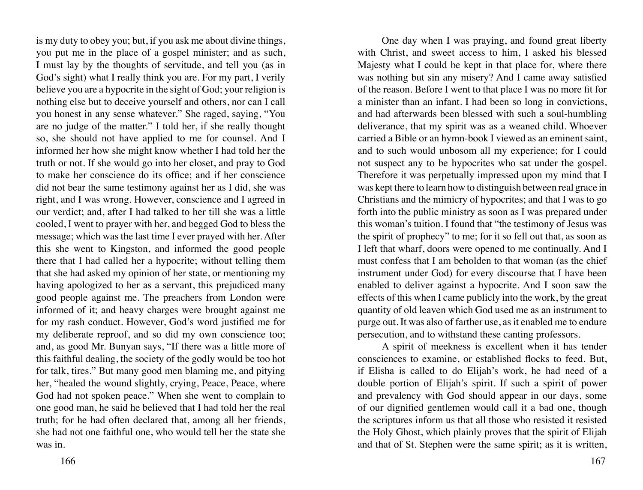is my duty to obey you; but, if you ask me about divine things, you put me in the place of a gospel minister; and as such, I must lay by the thoughts of servitude, and tell you (as in God's sight) what I really think you are. For my part, I verily believe you are a hypocrite in the sight of God; your religion is nothing else but to deceive yourself and others, nor can I call you honest in any sense whatever." She raged, saying, "You are no judge of the matter." I told her, if she really thought so, she should not have applied to me for counsel. And I informed her how she might know whether I had told her the truth or not. If she would go into her closet, and pray to God to make her conscience do its office; and if her conscience did not bear the same testimony against her as I did, she was right, and I was wrong. However, conscience and I agreed in our verdict; and, after I had talked to her till she was a little cooled, I went to prayer with her, and begged God to bless the message; which was the last time I ever prayed with her. After this she went to Kingston, and informed the good people there that I had called her a hypocrite; without telling them that she had asked my opinion of her state, or mentioning my having apologized to her as a servant, this prejudiced many good people against me. The preachers from London were informed of it; and heavy charges were brought against me for my rash conduct. However, God's word justified me for my deliberate reproof, and so did my own conscience too; and, as good Mr. Bunyan says, "If there was a little more of this faithful dealing, the society of the godly would be too hot for talk, tires." But many good men blaming me, and pitying her, "healed the wound slightly, crying, Peace, Peace, where God had not spoken peace." When she went to complain to one good man, he said he believed that I had told her the real truth; for he had often declared that, among all her friends, she had not one faithful one, who would tell her the state she was in.

One day when I was praying, and found great liberty with Christ, and sweet access to him, I asked his blessed Majesty what I could be kept in that place for, where there was nothing but sin any misery? And I came away satisfied of the reason. Before I went to that place I was no more fit for a minister than an infant. I had been so long in convictions, and had afterwards been blessed with such a soul-humbling deliverance, that my spirit was as a weaned child. Whoever carried a Bible or an hymn-book I viewed as an eminent saint, and to such would unbosom all my experience; for I could not suspect any to be hypocrites who sat under the gospel. Therefore it was perpetually impressed upon my mind that I was kept there to learn how to distinguish between real grace in Christians and the mimicry of hypocrites; and that I was to go forth into the public ministry as soon as I was prepared under this woman's tuition. I found that "the testimony of Jesus was the spirit of prophecy" to me; for it so fell out that, as soon as I left that wharf, doors were opened to me continually. And I must confess that I am beholden to that woman (as the chief instrument under God) for every discourse that I have been enabled to deliver against a hypocrite. And I soon saw the effects of this when I came publicly into the work, by the great quantity of old leaven which God used me as an instrument to purge out. It was also of farther use, as it enabled me to endure persecution, and to withstand these canting professors.

A spirit of meekness is excellent when it has tender consciences to examine, or established flocks to feed. But, if Elisha is called to do Elijah's work, he had need of a double portion of Elijah's spirit. If such a spirit of power and prevalency with God should appear in our days, some of our dignified gentlemen would call it a bad one, though the scriptures inform us that all those who resisted it resisted the Holy Ghost, which plainly proves that the spirit of Elijah and that of St. Stephen were the same spirit; as it is written,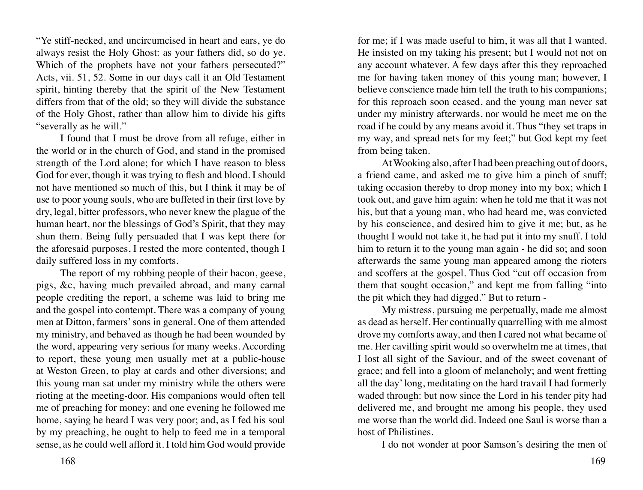"Ye stiff-necked, and uncircumcised in heart and ears, ye do always resist the Holy Ghost: as your fathers did, so do ye. Which of the prophets have not your fathers persecuted?" Acts, vii. 51, 52. Some in our days call it an Old Testament spirit, hinting thereby that the spirit of the New Testament differs from that of the old; so they will divide the substance of the Holy Ghost, rather than allow him to divide his gifts "severally as he will."

I found that I must be drove from all refuge, either in the world or in the church of God, and stand in the promised strength of the Lord alone; for which I have reason to bless God for ever, though it was trying to flesh and blood. I should not have mentioned so much of this, but I think it may be of use to poor young souls, who are buffeted in their first love by dry, legal, bitter professors, who never knew the plague of the human heart, nor the blessings of God's Spirit, that they may shun them. Being fully persuaded that I was kept there for the aforesaid purposes, I rested the more contented, though I daily suffered loss in my comforts.

The report of my robbing people of their bacon, geese, pigs, &c, having much prevailed abroad, and many carnal people crediting the report, a scheme was laid to bring me and the gospel into contempt. There was a company of young men at Ditton, farmers' sons in general. One of them attended my ministry, and behaved as though he had been wounded by the word, appearing very serious for many weeks. According to report, these young men usually met at a public-house at Weston Green, to play at cards and other diversions; and this young man sat under my ministry while the others were rioting at the meeting-door. His companions would often tell me of preaching for money: and one evening he followed me home, saying he heard I was very poor; and, as I fed his soul by my preaching, he ought to help to feed me in a temporal sense, as he could well afford it. I told him God would provide

for me; if I was made useful to him, it was all that I wanted. He insisted on my taking his present; but I would not not on any account whatever. A few days after this they reproached me for having taken money of this young man; however, I believe conscience made him tell the truth to his companions; for this reproach soon ceased, and the young man never sat under my ministry afterwards, nor would he meet me on the road if he could by any means avoid it. Thus "they set traps in my way, and spread nets for my feet;" but God kept my feet from being taken.

At Wooking also, after I had been preaching out of doors, a friend came, and asked me to give him a pinch of snuff; taking occasion thereby to drop money into my box; which I took out, and gave him again: when he told me that it was not his, but that a young man, who had heard me, was convicted by his conscience, and desired him to give it me; but, as he thought I would not take it, he had put it into my snuff. I told him to return it to the young man again - he did so; and soon afterwards the same young man appeared among the rioters and scoffers at the gospel. Thus God "cut off occasion from them that sought occasion," and kept me from falling "into the pit which they had digged." But to return -

My mistress, pursuing me perpetually, made me almost as dead as herself. Her continually quarrelling with me almost drove my comforts away, and then I cared not what became of me. Her cavilling spirit would so overwhelm me at times, that I lost all sight of the Saviour, and of the sweet covenant of grace; and fell into a gloom of melancholy; and went fretting all the day' long, meditating on the hard travail I had formerly waded through: but now since the Lord in his tender pity had delivered me, and brought me among his people, they used me worse than the world did. Indeed one Saul is worse than a host of Philistines.

I do not wonder at poor Samson's desiring the men of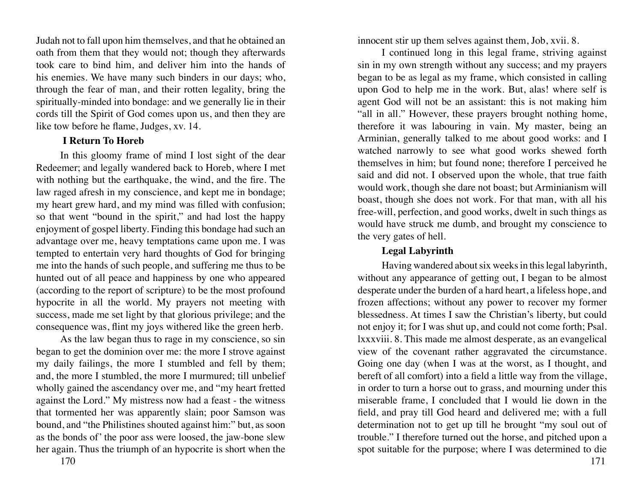Judah not to fall upon him themselves, and that he obtained an oath from them that they would not; though they afterwards took care to bind him, and deliver him into the hands of his enemies. We have many such binders in our days; who, through the fear of man, and their rotten legality, bring the spiritually-minded into bondage: and we generally lie in their cords till the Spirit of God comes upon us, and then they are like tow before he flame, Judges, xv. 14.

### **I Return To Horeb**

In this gloomy frame of mind I lost sight of the dear Redeemer; and legally wandered back to Horeb, where I met with nothing but the earthquake, the wind, and the fire. The law raged afresh in my conscience, and kept me in bondage; my heart grew hard, and my mind was filled with confusion; so that went "bound in the spirit," and had lost the happy enjoyment of gospel liberty. Finding this bondage had such an advantage over me, heavy temptations came upon me. I was tempted to entertain very hard thoughts of God for bringing me into the hands of such people, and suffering me thus to be hunted out of all peace and happiness by one who appeared (according to the report of scripture) to be the most profound hypocrite in all the world. My prayers not meeting with success, made me set light by that glorious privilege; and the consequence was, flint my joys withered like the green herb.

As the law began thus to rage in my conscience, so sin began to get the dominion over me: the more I strove against my daily failings, the more I stumbled and fell by them; and, the more I stumbled, the more I murmured; till unbelief wholly gained the ascendancy over me, and "my heart fretted against the Lord." My mistress now had a feast - the witness that tormented her was apparently slain; poor Samson was bound, and "the Philistines shouted against him:" but, as soon as the bonds of' the poor ass were loosed, the jaw-bone slew her again. Thus the triumph of an hypocrite is short when the

innocent stir up them selves against them, Job, xvii. 8.

I continued long in this legal frame, striving against sin in my own strength without any success; and my prayers began to be as legal as my frame, which consisted in calling upon God to help me in the work. But, alas! where self is agent God will not be an assistant: this is not making him "all in all." However, these prayers brought nothing home, therefore it was labouring in vain. My master, being an Arminian, generally talked to me about good works: and I watched narrowly to see what good works shewed forth themselves in him; but found none; therefore I perceived he said and did not. I observed upon the whole, that true faith would work, though she dare not boast; but Arminianism will boast, though she does not work. For that man, with all his free-will, perfection, and good works, dwelt in such things as would have struck me dumb, and brought my conscience to the very gates of hell.

# **Legal Labyrinth**

Having wandered about six weeks in this legal labyrinth, without any appearance of getting out, I began to be almost desperate under the burden of a hard heart, a lifeless hope, and frozen affections; without any power to recover my former blessedness. At times I saw the Christian's liberty, but could not enjoy it; for I was shut up, and could not come forth; Psal. lxxxviii. 8. This made me almost desperate, as an evangelical view of the covenant rather aggravated the circumstance. Going one day (when I was at the worst, as I thought, and bereft of all comfort) into a field a little way from the village, in order to turn a horse out to grass, and mourning under this miserable frame, I concluded that I would lie down in the field, and pray till God heard and delivered me; with a full determination not to get up till he brought "my soul out of trouble." I therefore turned out the horse, and pitched upon a spot suitable for the purpose; where I was determined to die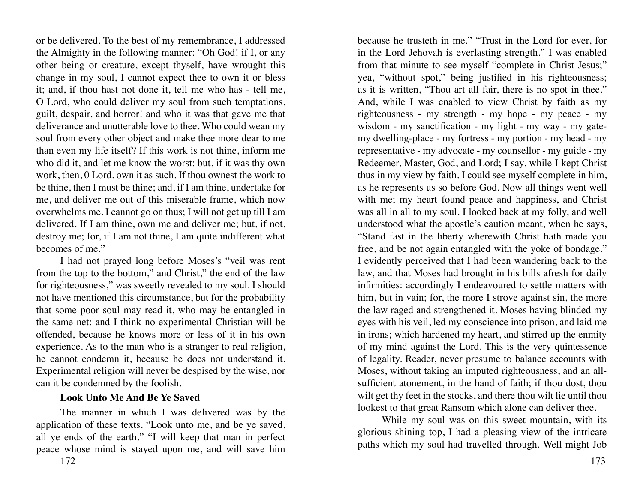or be delivered. To the best of my remembrance, I addressed the Almighty in the following manner: "Oh God! if I, or any other being or creature, except thyself, have wrought this change in my soul, I cannot expect thee to own it or bless it; and, if thou hast not done it, tell me who has - tell me, O Lord, who could deliver my soul from such temptations, guilt, despair, and horror! and who it was that gave me that deliverance and unutterable love to thee. Who could wean my soul from every other object and make thee more dear to me than even my life itself? If this work is not thine, inform me who did it, and let me know the worst: but, if it was thy own work, then, 0 Lord, own it as such. If thou ownest the work to be thine, then I must be thine; and, if I am thine, undertake for me, and deliver me out of this miserable frame, which now overwhelms me. I cannot go on thus; I will not get up till I am delivered. If I am thine, own me and deliver me; but, if not, destroy me; for, if I am not thine, I am quite indifferent what becomes of me."

I had not prayed long before Moses's "veil was rent from the top to the bottom," and Christ," the end of the law for righteousness," was sweetly revealed to my soul. I should not have mentioned this circumstance, but for the probability that some poor soul may read it, who may be entangled in the same net; and I think no experimental Christian will be offended, because he knows more or less of it in his own experience. As to the man who is a stranger to real religion, he cannot condemn it, because he does not understand it. Experimental religion will never be despised by the wise, nor can it be condemned by the foolish.

#### **Look Unto Me And Be Ye Saved**

172 173 The manner in which I was delivered was by the application of these texts. "Look unto me, and be ye saved, all ye ends of the earth." "I will keep that man in perfect peace whose mind is stayed upon me, and will save him

because he trusteth in me." "Trust in the Lord for ever, for in the Lord Jehovah is everlasting strength." I was enabled from that minute to see myself "complete in Christ Jesus;" yea, "without spot," being justified in his righteousness; as it is written, "Thou art all fair, there is no spot in thee." And, while I was enabled to view Christ by faith as my righteousness - my strength - my hope - my peace - my wisdom - my sanctification - my light - my way - my gatemy dwelling-place - my fortress - my portion - my head - my representative - my advocate - my counsellor - my guide - my Redeemer, Master, God, and Lord; I say, while I kept Christ thus in my view by faith, I could see myself complete in him, as he represents us so before God. Now all things went well with me; my heart found peace and happiness, and Christ was all in all to my soul. I looked back at my folly, and well understood what the apostle's caution meant, when he says, "Stand fast in the liberty wherewith Christ hath made you free, and be not again entangled with the yoke of bondage." I evidently perceived that I had been wandering back to the law, and that Moses had brought in his bills afresh for daily infirmities: accordingly I endeavoured to settle matters with him, but in vain; for, the more I strove against sin, the more the law raged and strengthened it. Moses having blinded my eyes with his veil, led my conscience into prison, and laid me in irons; which hardened my heart, and stirred up the enmity of my mind against the Lord. This is the very quintessence of legality. Reader, never presume to balance accounts with Moses, without taking an imputed righteousness, and an allsufficient atonement, in the hand of faith; if thou dost, thou wilt get thy feet in the stocks, and there thou wilt lie until thou lookest to that great Ransom which alone can deliver thee.

While my soul was on this sweet mountain, with its glorious shining top, I had a pleasing view of the intricate paths which my soul had travelled through. Well might Job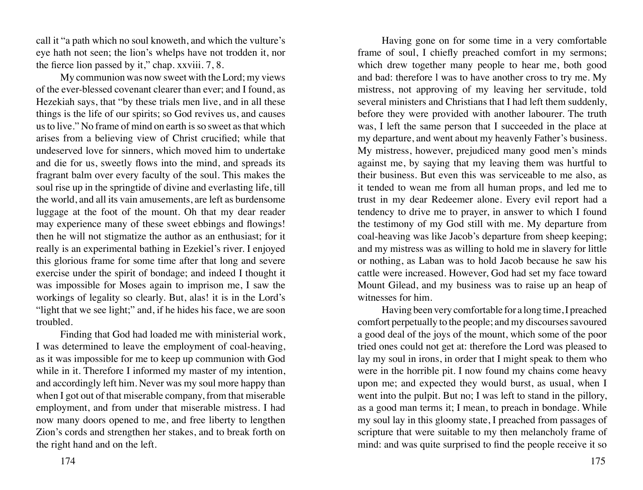call it "a path which no soul knoweth, and which the vulture's eye hath not seen; the lion's whelps have not trodden it, nor the fierce lion passed by it," chap. xxviii. 7, 8.

My communion was now sweet with the Lord; my views of the ever-blessed covenant clearer than ever; and I found, as Hezekiah says, that "by these trials men live, and in all these things is the life of our spirits; so God revives us, and causes us to live." No frame of mind on earth is so sweet as that which arises from a believing view of Christ crucified; while that undeserved love for sinners, which moved him to undertake and die for us, sweetly flows into the mind, and spreads its fragrant balm over every faculty of the soul. This makes the soul rise up in the springtide of divine and everlasting life, till the world, and all its vain amusements, are left as burdensome luggage at the foot of the mount. Oh that my dear reader may experience many of these sweet ebbings and flowings! then he will not stigmatize the author as an enthusiast; for it really is an experimental bathing in Ezekiel's river. I enjoyed this glorious frame for some time after that long and severe exercise under the spirit of bondage; and indeed I thought it was impossible for Moses again to imprison me, I saw the workings of legality so clearly. But, alas! it is in the Lord's "light that we see light;" and, if he hides his face, we are soon troubled.

Finding that God had loaded me with ministerial work, I was determined to leave the employment of coal-heaving, as it was impossible for me to keep up communion with God while in it. Therefore I informed my master of my intention, and accordingly left him. Never was my soul more happy than when I got out of that miserable company, from that miserable employment, and from under that miserable mistress. I had now many doors opened to me, and free liberty to lengthen Zion's cords and strengthen her stakes, and to break forth on the right hand and on the left.

Having gone on for some time in a very comfortable frame of soul, I chiefly preached comfort in my sermons; which drew together many people to hear me, both good and bad: therefore l was to have another cross to try me. My mistress, not approving of my leaving her servitude, told several ministers and Christians that I had left them suddenly, before they were provided with another labourer. The truth was, I left the same person that I succeeded in the place at my departure, and went about my heavenly Father's business. My mistress, however, prejudiced many good men's minds against me, by saying that my leaving them was hurtful to their business. But even this was serviceable to me also, as it tended to wean me from all human props, and led me to trust in my dear Redeemer alone. Every evil report had a tendency to drive me to prayer, in answer to which I found the testimony of my God still with me. My departure from coal-heaving was like Jacob's departure from sheep keeping; and my mistress was as willing to hold me in slavery for little or nothing, as Laban was to hold Jacob because he saw his cattle were increased. However, God had set my face toward Mount Gilead, and my business was to raise up an heap of witnesses for him.

Having been very comfortable for a long time, I preached comfort perpetually to the people; and my discourses savoured a good deal of the joys of the mount, which some of the poor tried ones could not get at: therefore the Lord was pleased to lay my soul in irons, in order that I might speak to them who were in the horrible pit. I now found my chains come heavy upon me; and expected they would burst, as usual, when I went into the pulpit. But no; I was left to stand in the pillory, as a good man terms it; I mean, to preach in bondage. While my soul lay in this gloomy state, I preached from passages of scripture that were suitable to my then melancholy frame of mind: and was quite surprised to find the people receive it so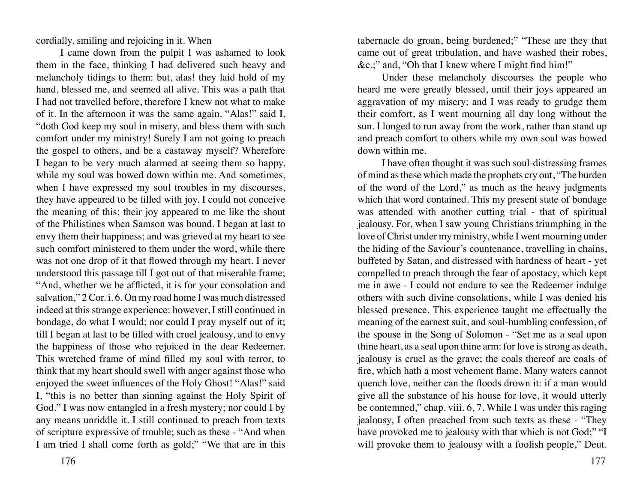cordially, smiling and rejoicing in it. When

I came down from the pulpit I was ashamed to look them in the face, thinking I had delivered such heavy and melancholy tidings to them: but, alas! they laid hold of my hand, blessed me, and seemed all alive. This was a path that I had not travelled before, therefore I knew not what to make of it. In the afternoon it was the same again. "Alas!" said I, "doth God keep my soul in misery, and bless them with such comfort under my ministry! Surely I am not going to preach the gospel to others, and be a castaway myself? Wherefore I began to be very much alarmed at seeing them so happy, while my soul was bowed down within me. And sometimes, when I have expressed my soul troubles in my discourses, they have appeared to be filled with joy. I could not conceive the meaning of this; their joy appeared to me like the shout of the Philistines when Samson was bound. I began at last to envy them their happiness; and was grieved at my heart to see such comfort ministered to them under the word, while there was not one drop of it that flowed through my heart. I never understood this passage till I got out of that miserable frame; "And, whether we be afflicted, it is for your consolation and salvation," 2 Cor. i. 6. On my road home I was much distressed indeed at this strange experience: however, I still continued in bondage, do what I would; nor could I pray myself out of it; till I began at last to be filled with cruel jealousy, and to envy the happiness of those who rejoiced in the dear Redeemer. This wretched frame of mind filled my soul with terror, to think that my heart should swell with anger against those who enjoyed the sweet influences of the Holy Ghost! "Alas!" said I, "this is no better than sinning against the Holy Spirit of God." I was now entangled in a fresh mystery; nor could I by any means unriddle it. I still continued to preach from texts of scripture expressive of trouble; such as these - "And when I am tried I shall come forth as gold;" "We that are in this

tabernacle do groan, being burdened;" "These are they that came out of great tribulation, and have washed their robes, &c.;" and, "Oh that I knew where I might find him!"

Under these melancholy discourses the people who heard me were greatly blessed, until their joys appeared an aggravation of my misery; and I was ready to grudge them their comfort, as I went mourning all day long without the sun. I longed to run away from the work, rather than stand up and preach comfort to others while my own soul was bowed down within me.

I have often thought it was such soul-distressing frames of mind as these which made the prophets cry out, "The burden of the word of the Lord," as much as the heavy judgments which that word contained. This my present state of bondage was attended with another cutting trial - that of spiritual jealousy. For, when I saw young Christians triumphing in the love of Christ under my ministry, while I went mourning under the hiding of the Saviour's countenance, travelling in chains, buffeted by Satan, and distressed with hardness of heart - yet compelled to preach through the fear of apostacy, which kept me in awe - I could not endure to see the Redeemer indulge others with such divine consolations, while I was denied his blessed presence. This experience taught me effectually the meaning of the earnest suit, and soul-humbling confession, of the spouse in the Song of Solomon - "Set me as a seal upon thine heart, as a seal upon thine arm: for love is strong as death, jealousy is cruel as the grave; the coals thereof are coals of fire, which hath a most vehement flame. Many waters cannot quench love, neither can the floods drown it: if a man would give all the substance of his house for love, it would utterly be contemned," chap. viii. 6, 7. While I was under this raging jealousy, I often preached from such texts as these - "They have provoked me to jealousy with that which is not God;" "I will provoke them to jealousy with a foolish people," Deut.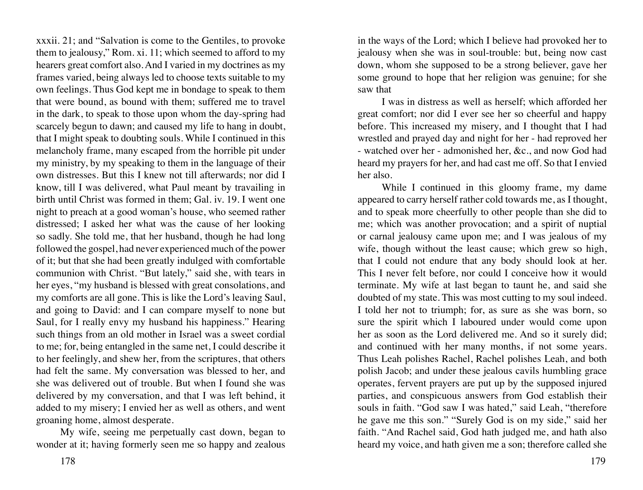xxxii. 21; and "Salvation is come to the Gentiles, to provoke them to jealousy," Rom. xi. 11; which seemed to afford to my hearers great comfort also. And I varied in my doctrines as my frames varied, being always led to choose texts suitable to my own feelings. Thus God kept me in bondage to speak to them that were bound, as bound with them; suffered me to travel in the dark, to speak to those upon whom the day-spring had scarcely begun to dawn; and caused my life to hang in doubt, that I might speak to doubting souls. While I continued in this melancholy frame, many escaped from the horrible pit under my ministry, by my speaking to them in the language of their own distresses. But this I knew not till afterwards; nor did I know, till I was delivered, what Paul meant by travailing in birth until Christ was formed in them; Gal. iv. 19. I went one night to preach at a good woman's house, who seemed rather distressed; I asked her what was the cause of her looking so sadly. She told me, that her husband, though he had long followed the gospel, had never experienced much of the power of it; but that she had been greatly indulged with comfortable communion with Christ. "But lately," said she, with tears in her eyes, "my husband is blessed with great consolations, and my comforts are all gone. This is like the Lord's leaving Saul, and going to David: and I can compare myself to none but Saul, for I really envy my husband his happiness." Hearing such things from an old mother in Israel was a sweet cordial to me; for, being entangled in the same net, I could describe it to her feelingly, and shew her, from the scriptures, that others had felt the same. My conversation was blessed to her, and she was delivered out of trouble. But when I found she was delivered by my conversation, and that I was left behind, it added to my misery; I envied her as well as others, and went groaning home, almost desperate.

My wife, seeing me perpetually cast down, began to wonder at it; having formerly seen me so happy and zealous

in the ways of the Lord; which I believe had provoked her to jealousy when she was in soul-trouble: but, being now cast down, whom she supposed to be a strong believer, gave her some ground to hope that her religion was genuine; for she saw that

I was in distress as well as herself; which afforded her great comfort; nor did I ever see her so cheerful and happy before. This increased my misery, and I thought that I had wrestled and prayed day and night for her - had reproved her - watched over her - admonished her, &c., and now God had heard my prayers for her, and had cast me off. So that I envied her also.

While I continued in this gloomy frame, my dame appeared to carry herself rather cold towards me, as I thought, and to speak more cheerfully to other people than she did to me; which was another provocation; and a spirit of nuptial or carnal jealousy came upon me; and I was jealous of my wife, though without the least cause; which grew so high, that I could not endure that any body should look at her. This I never felt before, nor could I conceive how it would terminate. My wife at last began to taunt he, and said she doubted of my state. This was most cutting to my soul indeed. I told her not to triumph; for, as sure as she was born, so sure the spirit which I laboured under would come upon her as soon as the Lord delivered me. And so it surely did; and continued with her many months, if not some years. Thus Leah polishes Rachel, Rachel polishes Leah, and both polish Jacob; and under these jealous cavils humbling grace operates, fervent prayers are put up by the supposed injured parties, and conspicuous answers from God establish their souls in faith. "God saw I was hated," said Leah, "therefore he gave me this son." "Surely God is on my side," said her faith. "And Rachel said, God hath judged me, and hath also heard my voice, and hath given me a son; therefore called she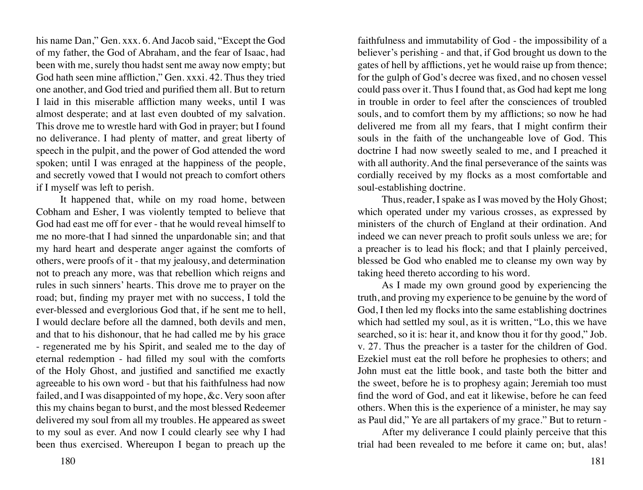his name Dan," Gen. xxx. 6. And Jacob said, "Except the God of my father, the God of Abraham, and the fear of Isaac, had been with me, surely thou hadst sent me away now empty; but God hath seen mine affliction," Gen. xxxi. 42. Thus they tried one another, and God tried and purified them all. But to return I laid in this miserable affliction many weeks, until I was almost desperate; and at last even doubted of my salvation. This drove me to wrestle hard with God in prayer; but I found no deliverance. I had plenty of matter, and great liberty of speech in the pulpit, and the power of God attended the word spoken; until I was enraged at the happiness of the people, and secretly vowed that I would not preach to comfort others if I myself was left to perish.

It happened that, while on my road home, between Cobham and Esher, I was violently tempted to believe that God had east me off for ever - that he would reveal himself to me no more-that I had sinned the unpardonable sin; and that my hard heart and desperate anger against the comforts of others, were proofs of it - that my jealousy, and determination not to preach any more, was that rebellion which reigns and rules in such sinners' hearts. This drove me to prayer on the road; but, finding my prayer met with no success, I told the ever-blessed and everglorious God that, if he sent me to hell, I would declare before all the damned, both devils and men, and that to his dishonour, that he had called me by his grace - regenerated me by his Spirit, and sealed me to the day of eternal redemption - had filled my soul with the comforts of the Holy Ghost, and justified and sanctified me exactly agreeable to his own word - but that his faithfulness had now failed, and I was disappointed of my hope, &c. Very soon after this my chains began to burst, and the most blessed Redeemer delivered my soul from all my troubles. He appeared as sweet to my soul as ever. And now I could clearly see why I had been thus exercised. Whereupon I began to preach up the

faithfulness and immutability of God - the impossibility of a believer's perishing - and that, if God brought us down to the gates of hell by afflictions, yet he would raise up from thence; for the gulph of God's decree was fixed, and no chosen vessel could pass over it. Thus I found that, as God had kept me long in trouble in order to feel after the consciences of troubled souls, and to comfort them by my afflictions; so now he had delivered me from all my fears, that I might confirm their souls in the faith of the unchangeable love of God. This doctrine I had now sweetly sealed to me, and I preached it with all authority. And the final perseverance of the saints was cordially received by my flocks as a most comfortable and soul-establishing doctrine.

Thus, reader, I spake as I was moved by the Holy Ghost; which operated under my various crosses, as expressed by ministers of the church of England at their ordination. And indeed we can never preach to profit souls unless we are; for a preacher is to lead his flock; and that I plainly perceived, blessed be God who enabled me to cleanse my own way by taking heed thereto according to his word.

As I made my own ground good by experiencing the truth, and proving my experience to be genuine by the word of God, I then led my flocks into the same establishing doctrines which had settled my soul, as it is written, "Lo, this we have searched, so it is: hear it, and know thou it for thy good," Job. v. 27. Thus the preacher is a taster for the children of God. Ezekiel must eat the roll before he prophesies to others; and John must eat the little book, and taste both the bitter and the sweet, before he is to prophesy again; Jeremiah too must find the word of God, and eat it likewise, before he can feed others. When this is the experience of a minister, he may say as Paul did," Ye are all partakers of my grace." But to return -

After my deliverance I could plainly perceive that this trial had been revealed to me before it came on; but, alas!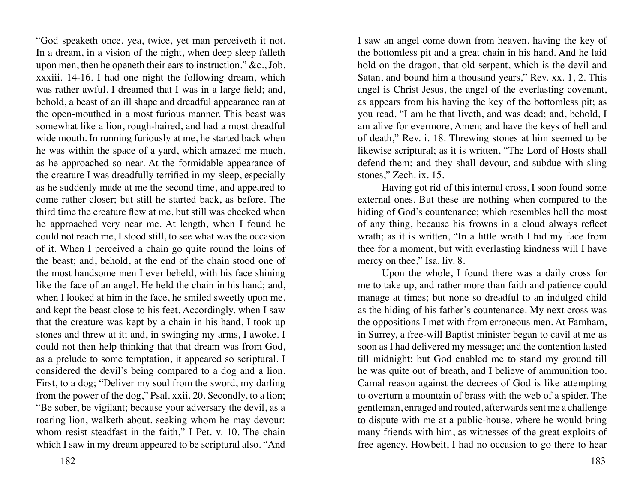"God speaketh once, yea, twice, yet man perceiveth it not. In a dream, in a vision of the night, when deep sleep falleth upon men, then he openeth their ears to instruction," &c., Job, xxxiii. 14-16. I had one night the following dream, which was rather awful. I dreamed that I was in a large field; and, behold, a beast of an ill shape and dreadful appearance ran at the open-mouthed in a most furious manner. This beast was somewhat like a lion, rough-haired, and had a most dreadful wide mouth. In running furiously at me, he started back when he was within the space of a yard, which amazed me much, as he approached so near. At the formidable appearance of the creature I was dreadfully terrified in my sleep, especially as he suddenly made at me the second time, and appeared to come rather closer; but still he started back, as before. The third time the creature flew at me, but still was checked when he approached very near me. At length, when I found he could not reach me, I stood still, to see what was the occasion of it. When I perceived a chain go quite round the loins of the beast; and, behold, at the end of the chain stood one of the most handsome men I ever beheld, with his face shining like the face of an angel. He held the chain in his hand; and, when I looked at him in the face, he smiled sweetly upon me, and kept the beast close to his feet. Accordingly, when I saw that the creature was kept by a chain in his hand, I took up stones and threw at it; and, in swinging my arms, I awoke. I could not then help thinking that that dream was from God, as a prelude to some temptation, it appeared so scriptural. I considered the devil's being compared to a dog and a lion. First, to a dog; "Deliver my soul from the sword, my darling from the power of the dog," Psal. xxii. 20. Secondly, to a lion; "Be sober, be vigilant; because your adversary the devil, as a roaring lion, walketh about, seeking whom he may devour: whom resist steadfast in the faith," I Pet. v. 10. The chain which I saw in my dream appeared to be scriptural also. "And

I saw an angel come down from heaven, having the key of the bottomless pit and a great chain in his hand. And he laid hold on the dragon, that old serpent, which is the devil and Satan, and bound him a thousand years," Rev. xx. 1, 2. This angel is Christ Jesus, the angel of the everlasting covenant, as appears from his having the key of the bottomless pit; as you read, "I am he that liveth, and was dead; and, behold, I am alive for evermore, Amen; and have the keys of hell and of death," Rev. i. 18. Threwing stones at him seemed to be likewise scriptural; as it is written, "The Lord of Hosts shall defend them; and they shall devour, and subdue with sling stones," Zech. ix. 15.

Having got rid of this internal cross, I soon found some external ones. But these are nothing when compared to the hiding of God's countenance; which resembles hell the most of any thing, because his frowns in a cloud always reflect wrath; as it is written, "In a little wrath I hid my face from thee for a moment, but with everlasting kindness will I have mercy on thee," Isa. liv. 8.

Upon the whole, I found there was a daily cross for me to take up, and rather more than faith and patience could manage at times; but none so dreadful to an indulged child as the hiding of his father's countenance. My next cross was the oppositions I met with from erroneous men. At Farnham, in Surrey, a free-will Baptist minister began to cavil at me as soon as I had delivered my message; and the contention lasted till midnight: but God enabled me to stand my ground till he was quite out of breath, and I believe of ammunition too. Carnal reason against the decrees of God is like attempting to overturn a mountain of brass with the web of a spider. The gentleman, enraged and routed, afterwards sent me a challenge to dispute with me at a public-house, where he would bring many friends with him, as witnesses of the great exploits of free agency. Howbeit, I had no occasion to go there to hear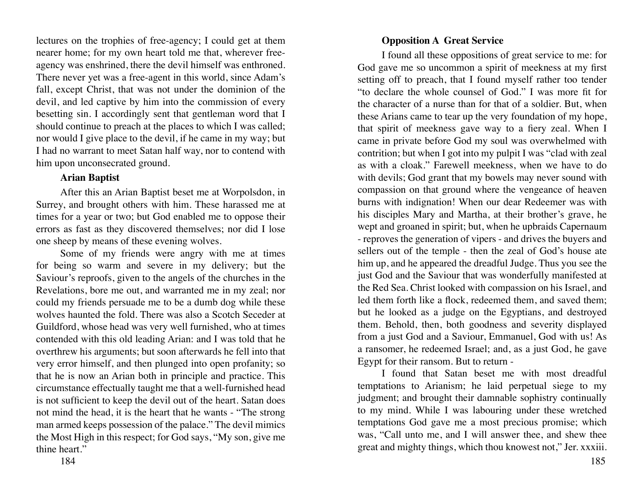lectures on the trophies of free-agency; I could get at them nearer home; for my own heart told me that, wherever freeagency was enshrined, there the devil himself was enthroned. There never yet was a free-agent in this world, since Adam's fall, except Christ, that was not under the dominion of the devil, and led captive by him into the commission of every besetting sin. I accordingly sent that gentleman word that I should continue to preach at the places to which I was called; nor would I give place to the devil, if he came in my way; but I had no warrant to meet Satan half way, nor to contend with him upon unconsecrated ground.

### **Arian Baptist**

After this an Arian Baptist beset me at Worpolsdon, in Surrey, and brought others with him. These harassed me at times for a year or two; but God enabled me to oppose their errors as fast as they discovered themselves; nor did I lose one sheep by means of these evening wolves.

Some of my friends were angry with me at times for being so warm and severe in my delivery; but the Saviour's reproofs, given to the angels of the churches in the Revelations, bore me out, and warranted me in my zeal; nor could my friends persuade me to be a dumb dog while these wolves haunted the fold. There was also a Scotch Seceder at Guildford, whose head was very well furnished, who at times contended with this old leading Arian: and I was told that he overthrew his arguments; but soon afterwards he fell into that very error himself, and then plunged into open profanity; so that he is now an Arian both in principle and practice. This circumstance effectually taught me that a well-furnished head is not sufficient to keep the devil out of the heart. Satan does not mind the head, it is the heart that he wants - "The strong man armed keeps possession of the palace." The devil mimics the Most High in this respect; for God says, "My son, give me thine heart."

# **Opposition A Great Service**

I found all these oppositions of great service to me: for God gave me so uncommon a spirit of meekness at my first setting off to preach, that I found myself rather too tender "to declare the whole counsel of God." I was more fit for the character of a nurse than for that of a soldier. But, when these Arians came to tear up the very foundation of my hope, that spirit of meekness gave way to a fiery zeal. When I came in private before God my soul was overwhelmed with contrition; but when I got into my pulpit I was "clad with zeal as with a cloak." Farewell meekness, when we have to do with devils; God grant that my bowels may never sound with compassion on that ground where the vengeance of heaven burns with indignation! When our dear Redeemer was with his disciples Mary and Martha, at their brother's grave, he wept and groaned in spirit; but, when he upbraids Capernaum - reproves the generation of vipers - and drives the buyers and sellers out of the temple - then the zeal of God's house ate him up, and he appeared the dreadful Judge. Thus you see the just God and the Saviour that was wonderfully manifested at the Red Sea. Christ looked with compassion on his Israel, and led them forth like a flock, redeemed them, and saved them; but he looked as a judge on the Egyptians, and destroyed them. Behold, then, both goodness and severity displayed from a just God and a Saviour, Emmanuel, God with us! As a ransomer, he redeemed Israel; and, as a just God, he gave Egypt for their ransom. But to return -

I found that Satan beset me with most dreadful temptations to Arianism; he laid perpetual siege to my judgment; and brought their damnable sophistry continually to my mind. While I was labouring under these wretched temptations God gave me a most precious promise; which was, "Call unto me, and I will answer thee, and shew thee great and mighty things, which thou knowest not," Jer. xxxiii.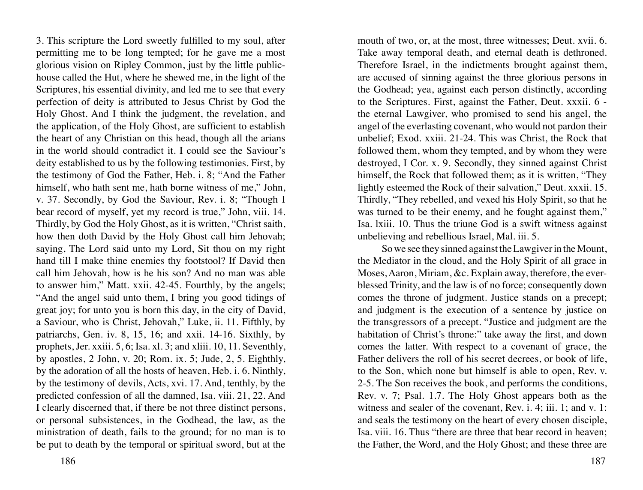3. This scripture the Lord sweetly fulfilled to my soul, after permitting me to be long tempted; for he gave me a most glorious vision on Ripley Common, just by the little publichouse called the Hut, where he shewed me, in the light of the Scriptures, his essential divinity, and led me to see that every perfection of deity is attributed to Jesus Christ by God the Holy Ghost. And I think the judgment, the revelation, and the application, of the Holy Ghost, are sufficient to establish the heart of any Christian on this head, though all the arians in the world should contradict it. I could see the Saviour's deity established to us by the following testimonies. First, by the testimony of God the Father, Heb. i. 8; "And the Father himself, who hath sent me, hath borne witness of me," John, v. 37. Secondly, by God the Saviour, Rev. i. 8; "Though I bear record of myself, yet my record is true," John, viii. 14. Thirdly, by God the Holy Ghost, as it is written, "Christ saith, how then doth David by the Holy Ghost call him Jehovah; saying, The Lord said unto my Lord, Sit thou on my right hand till I make thine enemies thy footstool? If David then call him Jehovah, how is he his son? And no man was able to answer him," Matt. xxii. 42-45. Fourthly, by the angels; "And the angel said unto them, I bring you good tidings of great joy; for unto you is born this day, in the city of David, a Saviour, who is Christ, Jehovah," Luke, ii. 11. Fifthly, by patriarchs, Gen. iv. 8, 15, 16; and xxii. 14-16. Sixthly, by prophets, Jer. xxiii. 5, 6; Isa. xl. 3; and xliii. 10, 11. Seventhly, by apostles, 2 John, v. 20; Rom. ix. 5; Jude, 2, 5. Eighthly, by the adoration of all the hosts of heaven, Heb. i. 6. Ninthly, by the testimony of devils, Acts, xvi. 17. And, tenthly, by the predicted confession of all the damned, Isa. viii. 21, 22. And I clearly discerned that, if there be not three distinct persons, or personal subsistences, in the Godhead, the law, as the ministration of death, fails to the ground; for no man is to be put to death by the temporal or spiritual sword, but at the

mouth of two, or, at the most, three witnesses; Deut. xvii. 6. Take away temporal death, and eternal death is dethroned. Therefore Israel, in the indictments brought against them, are accused of sinning against the three glorious persons in the Godhead; yea, against each person distinctly, according to the Scriptures. First, against the Father, Deut. xxxii. 6 the eternal Lawgiver, who promised to send his angel, the angel of the everlasting covenant, who would not pardon their unbelief; Exod. xxiii. 21-24. This was Christ, the Rock that followed them, whom they tempted, and by whom they were destroyed, I Cor. x. 9. Secondly, they sinned against Christ himself, the Rock that followed them; as it is written, "They lightly esteemed the Rock of their salvation," Deut. xxxii. 15. Thirdly, "They rebelled, and vexed his Holy Spirit, so that he was turned to be their enemy, and he fought against them," Isa. lxiii. 10. Thus the triune God is a swift witness against unbelieving and rebellious Israel, Mal. iii. 5.

So we see they sinned against the Lawgiver in the Mount, the Mediator in the cloud, and the Holy Spirit of all grace in Moses, Aaron, Miriam, &c. Explain away, therefore, the everblessed Trinity, and the law is of no force; consequently down comes the throne of judgment. Justice stands on a precept; and judgment is the execution of a sentence by justice on the transgressors of a precept. "Justice and judgment are the habitation of Christ's throne:" take away the first, and down comes the latter. With respect to a covenant of grace, the Father delivers the roll of his secret decrees, or book of life, to the Son, which none but himself is able to open, Rev. v. 2-5. The Son receives the book, and performs the conditions, Rev. v. 7; Psal. 1.7. The Holy Ghost appears both as the witness and sealer of the covenant, Rev. i. 4; iii. 1; and v. 1: and seals the testimony on the heart of every chosen disciple, Isa. viii. 16. Thus "there are three that bear record in heaven; the Father, the Word, and the Holy Ghost; and these three are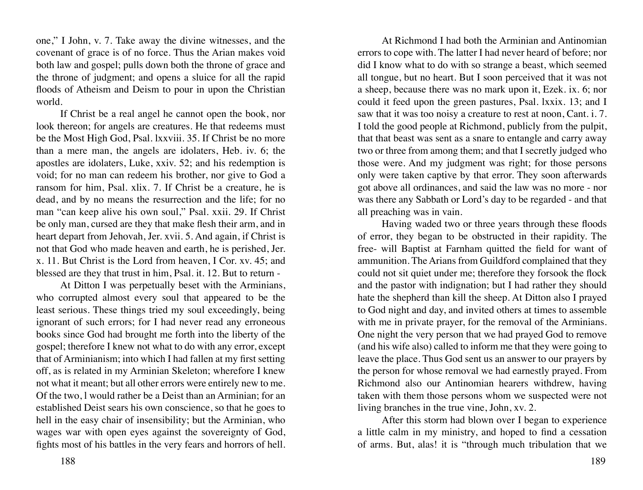one," I John, v. 7. Take away the divine witnesses, and the covenant of grace is of no force. Thus the Arian makes void both law and gospel; pulls down both the throne of grace and the throne of judgment; and opens a sluice for all the rapid floods of Atheism and Deism to pour in upon the Christian world.

If Christ be a real angel he cannot open the book, nor look thereon; for angels are creatures. He that redeems must be the Most High God, Psal. lxxviii. 35. If Christ be no more than a mere man, the angels are idolaters, Heb. iv. 6; the apostles are idolaters, Luke, xxiv. 52; and his redemption is void; for no man can redeem his brother, nor give to God a ransom for him, Psal. xlix. 7. If Christ be a creature, he is dead, and by no means the resurrection and the life; for no man "can keep alive his own soul," Psal. xxii. 29. If Christ be only man, cursed are they that make flesh their arm, and in heart depart from Jehovah, Jer. xvii. 5. And again, if Christ is not that God who made heaven and earth, he is perished, Jer. x. 11. But Christ is the Lord from heaven, I Cor. xv. 45; and blessed are they that trust in him, Psal. it. 12. But to return -

At Ditton I was perpetually beset with the Arminians, who corrupted almost every soul that appeared to be the least serious. These things tried my soul exceedingly, being ignorant of such errors; for I had never read any erroneous books since God had brought me forth into the liberty of the gospel; therefore I knew not what to do with any error, except that of Arminianism; into which I had fallen at my first setting off, as is related in my Arminian Skeleton; wherefore I knew not what it meant; but all other errors were entirely new to me. Of the two, l would rather be a Deist than an Arminian; for an established Deist sears his own conscience, so that he goes to hell in the easy chair of insensibility; but the Arminian, who wages war with open eyes against the sovereignty of God, fights most of his battles in the very fears and horrors of hell.

At Richmond I had both the Arminian and Antinomian errors to cope with. The latter I had never heard of before; nor did I know what to do with so strange a beast, which seemed all tongue, but no heart. But I soon perceived that it was not a sheep, because there was no mark upon it, Ezek. ix. 6; nor could it feed upon the green pastures, Psal. lxxix. 13; and I saw that it was too noisy a creature to rest at noon, Cant. i. 7. I told the good people at Richmond, publicly from the pulpit, that that beast was sent as a snare to entangle and carry away two or three from among them; and that I secretly judged who those were. And my judgment was right; for those persons only were taken captive by that error. They soon afterwards got above all ordinances, and said the law was no more - nor was there any Sabbath or Lord's day to be regarded - and that all preaching was in vain.

Having waded two or three years through these floods of error, they began to be obstructed in their rapidity. The free- will Baptist at Farnham quitted the field for want of ammunition. The Arians from Guildford complained that they could not sit quiet under me; therefore they forsook the flock and the pastor with indignation; but I had rather they should hate the shepherd than kill the sheep. At Ditton also I prayed to God night and day, and invited others at times to assemble with me in private prayer, for the removal of the Arminians. One night the very person that we had prayed God to remove (and his wife also) called to inform me that they were going to leave the place. Thus God sent us an answer to our prayers by the person for whose removal we had earnestly prayed. From Richmond also our Antinomian hearers withdrew, having taken with them those persons whom we suspected were not living branches in the true vine, John, xv. 2.

After this storm had blown over I began to experience a little calm in my ministry, and hoped to find a cessation of arms. But, alas! it is "through much tribulation that we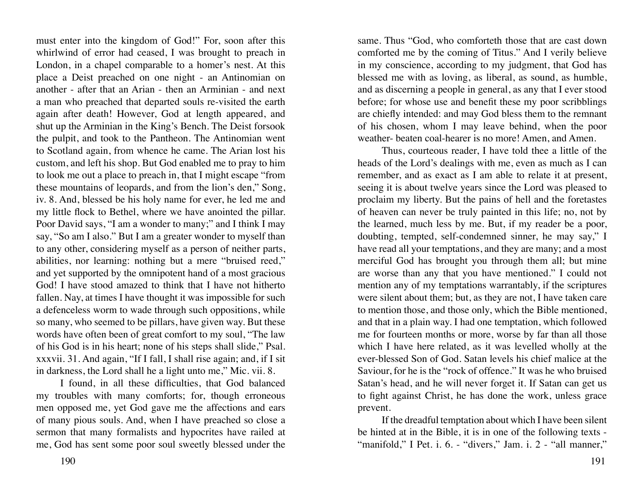must enter into the kingdom of God!" For, soon after this whirlwind of error had ceased, I was brought to preach in London, in a chapel comparable to a homer's nest. At this place a Deist preached on one night - an Antinomian on another - after that an Arian - then an Arminian - and next a man who preached that departed souls re-visited the earth again after death! However, God at length appeared, and shut up the Arminian in the King's Bench. The Deist forsook the pulpit, and took to the Pantheon. The Antinomian went to Scotland again, from whence he came. The Arian lost his custom, and left his shop. But God enabled me to pray to him to look me out a place to preach in, that I might escape "from these mountains of leopards, and from the lion's den," Song, iv. 8. And, blessed be his holy name for ever, he led me and my little flock to Bethel, where we have anointed the pillar. Poor David says, "I am a wonder to many;" and I think I may say, "So am I also." But I am a greater wonder to myself than to any other, considering myself as a person of neither parts, abilities, nor learning: nothing but a mere "bruised reed," and yet supported by the omnipotent hand of a most gracious God! I have stood amazed to think that I have not hitherto fallen. Nay, at times I have thought it was impossible for such a defenceless worm to wade through such oppositions, while so many, who seemed to be pillars, have given way. But these words have often been of great comfort to my soul, "The law of his God is in his heart; none of his steps shall slide," Psal. xxxvii. 31. And again, "If I fall, I shall rise again; and, if I sit in darkness, the Lord shall he a light unto me," Mic. vii. 8.

I found, in all these difficulties, that God balanced my troubles with many comforts; for, though erroneous men opposed me, yet God gave me the affections and ears of many pious souls. And, when I have preached so close a sermon that many formalists and hypocrites have railed at me, God has sent some poor soul sweetly blessed under the

190 191

same. Thus "God, who comforteth those that are cast down comforted me by the coming of Titus." And I verily believe in my conscience, according to my judgment, that God has blessed me with as loving, as liberal, as sound, as humble, and as discerning a people in general, as any that I ever stood before; for whose use and benefit these my poor scribblings are chiefly intended: and may God bless them to the remnant of his chosen, whom I may leave behind, when the poor weather- beaten coal-hearer is no more! Amen, and Amen.

Thus, courteous reader, I have told thee a little of the heads of the Lord's dealings with me, even as much as I can remember, and as exact as I am able to relate it at present, seeing it is about twelve years since the Lord was pleased to proclaim my liberty. But the pains of hell and the foretastes of heaven can never be truly painted in this life; no, not by the learned, much less by me. But, if my reader be a poor, doubting, tempted, self-condemned sinner, he may say," I have read all your temptations, and they are many; and a most merciful God has brought you through them all; but mine are worse than any that you have mentioned." I could not mention any of my temptations warrantably, if the scriptures were silent about them; but, as they are not, I have taken care to mention those, and those only, which the Bible mentioned, and that in a plain way. I had one temptation, which followed me for fourteen months or more, worse by far than all those which I have here related, as it was levelled wholly at the ever-blessed Son of God. Satan levels his chief malice at the Saviour, for he is the "rock of offence." It was he who bruised Satan's head, and he will never forget it. If Satan can get us to fight against Christ, he has done the work, unless grace prevent.

If the dreadful temptation about which I have been silent be hinted at in the Bible, it is in one of the following texts - "manifold," I Pet. i. 6. - "divers," Jam. i. 2 - "all manner,"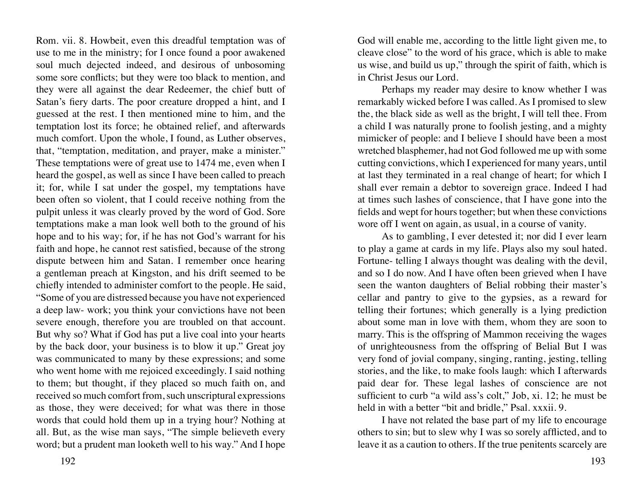Rom. vii. 8. Howbeit, even this dreadful temptation was of use to me in the ministry; for I once found a poor awakened soul much dejected indeed, and desirous of unbosoming some sore conflicts; but they were too black to mention, and they were all against the dear Redeemer, the chief butt of Satan's fiery darts. The poor creature dropped a hint, and I guessed at the rest. I then mentioned mine to him, and the temptation lost its force; he obtained relief, and afterwards much comfort. Upon the whole, I found, as Luther observes, that, "temptation, meditation, and prayer, make a minister." These temptations were of great use to 1474 me, even when I heard the gospel, as well as since I have been called to preach it; for, while I sat under the gospel, my temptations have been often so violent, that I could receive nothing from the pulpit unless it was clearly proved by the word of God. Sore temptations make a man look well both to the ground of his hope and to his way; for, if he has not God's warrant for his faith and hope, he cannot rest satisfied, because of the strong dispute between him and Satan. I remember once hearing a gentleman preach at Kingston, and his drift seemed to be chiefly intended to administer comfort to the people. He said, "Some of you are distressed because you have not experienced a deep law- work; you think your convictions have not been severe enough, therefore you are troubled on that account. But why so? What if God has put a live coal into your hearts by the back door, your business is to blow it up." Great joy was communicated to many by these expressions; and some who went home with me rejoiced exceedingly. I said nothing to them; but thought, if they placed so much faith on, and received so much comfort from, such unscriptural expressions as those, they were deceived; for what was there in those words that could hold them up in a trying hour? Nothing at all. But, as the wise man says, "The simple believeth every word; but a prudent man looketh well to his way." And I hope

God will enable me, according to the little light given me, to cleave close" to the word of his grace, which is able to make us wise, and build us up," through the spirit of faith, which is in Christ Jesus our Lord.

Perhaps my reader may desire to know whether I was remarkably wicked before I was called. As I promised to slew the, the black side as well as the bright, I will tell thee. From a child I was naturally prone to foolish jesting, and a mighty mimicker of people: and I believe I should have been a most wretched blasphemer, had not God followed me up with some cutting convictions, which I experienced for many years, until at last they terminated in a real change of heart; for which I shall ever remain a debtor to sovereign grace. Indeed I had at times such lashes of conscience, that I have gone into the fields and wept for hours together; but when these convictions wore off I went on again, as usual, in a course of vanity.

As to gambling, I ever detested it; nor did I ever learn to play a game at cards in my life. Plays also my soul hated. Fortune- telling I always thought was dealing with the devil, and so I do now. And I have often been grieved when I have seen the wanton daughters of Belial robbing their master's cellar and pantry to give to the gypsies, as a reward for telling their fortunes; which generally is a lying prediction about some man in love with them, whom they are soon to marry. This is the offspring of Mammon receiving the wages of unrighteousness from the offspring of Belial But I was very fond of jovial company, singing, ranting, jesting, telling stories, and the like, to make fools laugh: which I afterwards paid dear for. These legal lashes of conscience are not sufficient to curb "a wild ass's colt," Job, xi. 12; he must be held in with a better "bit and bridle," Psal. xxxii. 9.

I have not related the base part of my life to encourage others to sin; but to slew why I was so sorely afflicted, and to leave it as a caution to others. If the true penitents scarcely are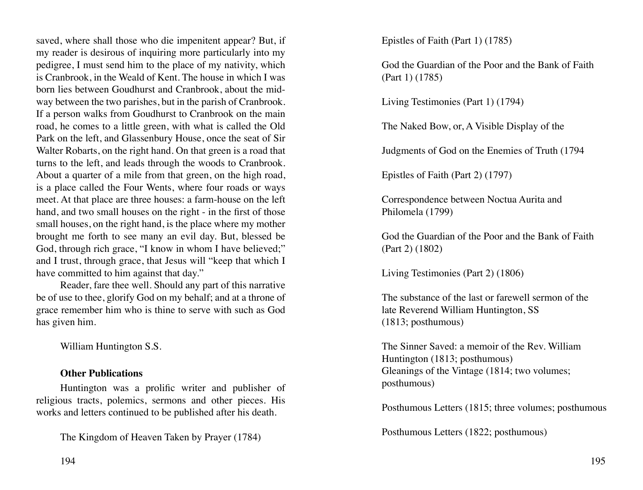saved, where shall those who die impenitent appear? But, if my reader is desirous of inquiring more particularly into my pedigree, I must send him to the place of my nativity, which is Cranbrook, in the Weald of Kent. The house in which I was born lies between Goudhurst and Cranbrook, about the midway between the two parishes, but in the parish of Cranbrook. If a person walks from Goudhurst to Cranbrook on the main road, he comes to a little green, with what is called the Old Park on the left, and Glassenbury House, once the seat of Sir Walter Robarts, on the right hand. On that green is a road that turns to the left, and leads through the woods to Cranbrook. About a quarter of a mile from that green, on the high road, is a place called the Four Wents, where four roads or ways meet. At that place are three houses: a farm-house on the left hand, and two small houses on the right - in the first of those small houses, on the right hand, is the place where my mother brought me forth to see many an evil day. But, blessed be God, through rich grace, "I know in whom I have believed;" and I trust, through grace, that Jesus will "keep that which I have committed to him against that day."

Reader, fare thee well. Should any part of this narrative be of use to thee, glorify God on my behalf; and at a throne of grace remember him who is thine to serve with such as God has given him.

William Huntington S.S.

# **Other Publications**

Huntington was a prolific writer and publisher of religious tracts, polemics, sermons and other pieces. His works and letters continued to be published after his death.

The Kingdom of Heaven Taken by Prayer (1784)

Epistles of Faith (Part 1) (1785)

God the Guardian of the Poor and the Bank of Faith (Part 1) (1785)

Living Testimonies (Part 1) (1794)

The Naked Bow, or, A Visible Display of the

Judgments of God on the Enemies of Truth (1794

Epistles of Faith (Part 2) (1797)

Correspondence between Noctua Aurita and Philomela (1799)

God the Guardian of the Poor and the Bank of Faith (Part 2) (1802)

Living Testimonies (Part 2) (1806)

The substance of the last or farewell sermon of the late Reverend William Huntington, SS (1813; posthumous)

The Sinner Saved: a memoir of the Rev. William Huntington (1813; posthumous) Gleanings of the Vintage (1814; two volumes; posthumous)

Posthumous Letters (1815; three volumes; posthumous

Posthumous Letters (1822; posthumous)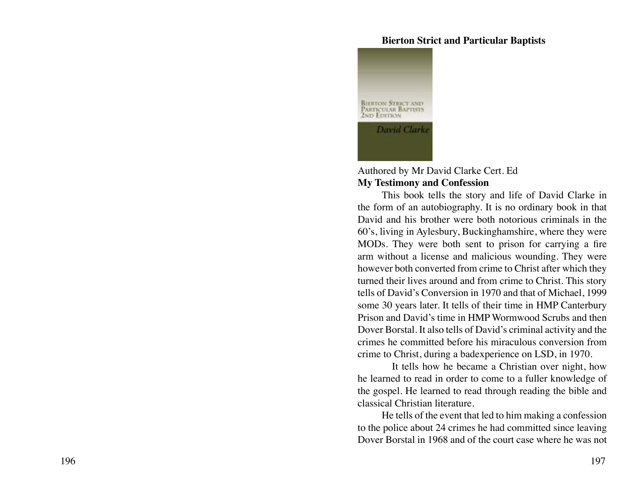#### **Bierton Strict and Particular Baptists**



#### Authored by Mr David Clarke Cert. Ed **My Testimony and Confession**

This book tells the story and life of David Clarke in the form of an autobiography. It is no ordinary book in that David and his brother were both notorious criminals in the 60's, living in Aylesbury, Buckinghamshire, where they were MODs. They were both sent to prison for carrying a fire arm without a license and malicious wounding. They were however both converted from crime to Christ after which they turned their lives around and from crime to Christ. This story tells of David's Conversion in 1970 and that of Michael, 1999 some 30 years later. It tells of their time in HMP Canterbury Prison and David's time in HMP Wormwood Scrubs and then Dover Borstal. It also tells of David's criminal activity and the crimes he committed before his miraculous conversion from crime to Christ, during a badexperience on LSD, in 1970.

It tells how he became a Christian over night, how he learned to read in order to come to a fuller knowledge of the gospel. He learned to read through reading the bible and classical Christian literature.

He tells of the event that led to him making a confession to the police about 24 crimes he had committed since leaving Dover Borstal in 1968 and of the court case where he was not